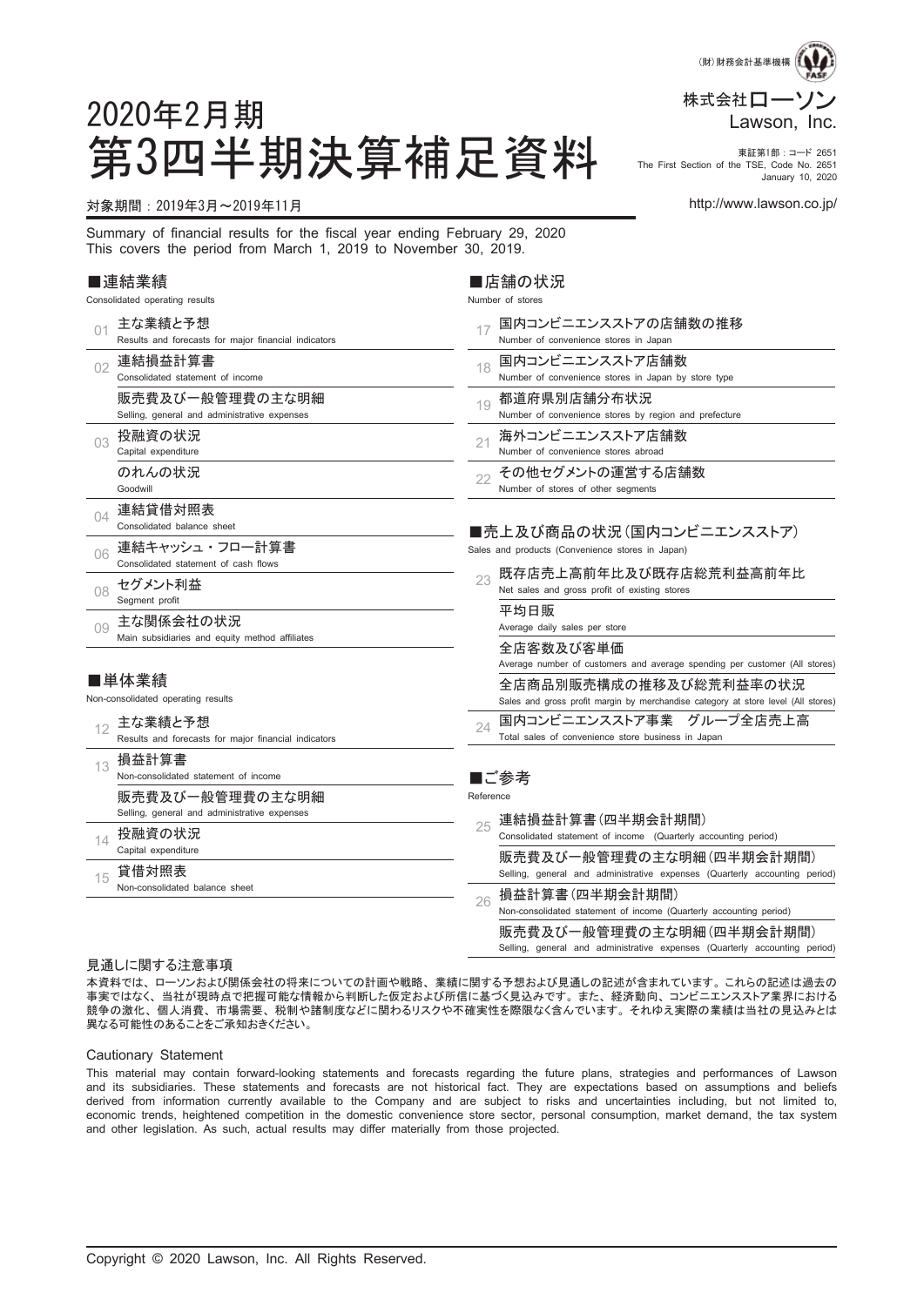

#### 第3四半期決算補足資料 Fire First Section of the TSE, Code No. 2651 The First Section of the TSE, Code No. 2651 January 10, 2020

#### 対象期間:2019年3月~2019年11月 http://www.lawson.co.jp/

2020年2月期

Summary of financial results for the fiscal year ending February 29, 2020 This covers the period from March 1, 2019 to November 30, 2019.

#### ■連結業績

Consolidated operating results

| 01       | 主な業績と予想<br>Results and forecasts for major financial indicators  |           | 国内コンビニエンスストアの店舗数の推移<br>Number of convenience stores in Japan                                                                                                                              |
|----------|------------------------------------------------------------------|-----------|-------------------------------------------------------------------------------------------------------------------------------------------------------------------------------------------|
| 02       | 連結損益計算書<br>Consolidated statement of income                      | 18        | 国内コンビニエンスストア店舗数<br>Number of convenience stores in Japan by store type                                                                                                                    |
|          | 販売費及び一般管理費の主な明細<br>Selling, general and administrative expenses  | 19        | 都道府県別店舗分布状況<br>Number of convenience stores by region and prefecture                                                                                                                      |
| 03       | 投融資の状況<br>Capital expenditure                                    | 21        | 海外コンビニエンスストア店舗数<br>Number of convenience stores abroad                                                                                                                                    |
|          | のれんの状況<br>Goodwill                                               | 22        | その他セグメントの運営する店舗数<br>Number of stores of other segments                                                                                                                                    |
| $\Omega$ | 連結貸借対照表<br>Consolidated balance sheet                            |           | ■売上及び商品の状況(国内コンビニエンスストア)                                                                                                                                                                  |
| 06       | 連結キャッシュ・フロー計算書<br>Consolidated statement of cash flows           |           | Sales and products (Convenience stores in Japan)                                                                                                                                          |
| 08       | セグメント利益<br>Segment profit                                        | 23        | 既存店売上高前年比及び既存店総荒利益高前年比<br>Net sales and gross profit of existing stores                                                                                                                   |
| 0.9      | 主な関係会社の状況<br>Main subsidiaries and equity method affiliates      |           | 平均日販<br>Average daily sales per store<br>全店客数及び客単価                                                                                                                                        |
|          | ■単体業績<br>Non-consolidated operating results                      |           | Average number of customers and average spending per customer (All stores)<br>全店商品別販売構成の推移及び総荒利益率の状況<br>Sales and gross profit margin by merchandise category at store level (All stores) |
| 12       | 主な業績と予想<br>Results and forecasts for major financial indicators  | 24        | 国内コンビニエンスストア事業 グループ全店売上高<br>Total sales of convenience store business in Japan                                                                                                            |
| 13       | 損益計算書<br>Non-consolidated statement of income<br>販売費及び一般管理費の主な明細 | Reference | ■ご参考                                                                                                                                                                                      |
|          | Selling, general and administrative expenses                     |           | 連結損益計算書(四半期会計期間)                                                                                                                                                                          |
| 14       | 投融資の状況<br>Capital expenditure                                    | 25        | Consolidated statement of income (Quarterly accounting period)<br>販売費及び一般管理費の主な明細(四半期会計期間)                                                                                                |
| 15       | 貸借対照表<br>Non-consolidated balance sheet                          |           | Selling, general and administrative expenses (Quarterly accounting period)                                                                                                                |
|          |                                                                  | 26        | 損益計算書(四半期会計期間)<br>Non-consolidated statement of income (Quarterly accounting period)                                                                                                      |
|          |                                                                  |           | 販売費及び一般管理費の主な明細(四半期会計期間)<br>Selling, general and administrative expenses (Quarterly accounting period)                                                                                    |

■店舗の状況 Number of stores

#### 見通しに関する注意事項

本資料では、 ローソンおよび関係会社の将来についての計画や戦略、 業績に関する予想および見通しの記述が含まれています。 これらの記述は過去の 事実ではなく、 当社が現時点で把握可能な情報から判断した仮定および所信に基づく見込みです。 また、 経済動向、 コンビニエンスストア業界における 競争の激化、 個人消費、 市場需要、 税制や諸制度などに関わるリスクや不確実性を際限なく含んでいます。 それゆえ実際の業績は当社の見込みとは 異なる可能性のあることをご承知おきください。

#### Cautionary Statement

This material may contain forward-looking statements and forecasts regarding the future plans, strategies and performances of Lawson and its subsidiaries. These statements and forecasts are not historical fact. They are expectations based on assumptions and beliefs derived from information currently available to the Company and are subject to risks and uncertainties including, but not limited to, economic trends, heightened competition in the domestic convenience store sector, personal consumption, market demand, the tax system and other legislation. As such, actual results may differ materially from those projected.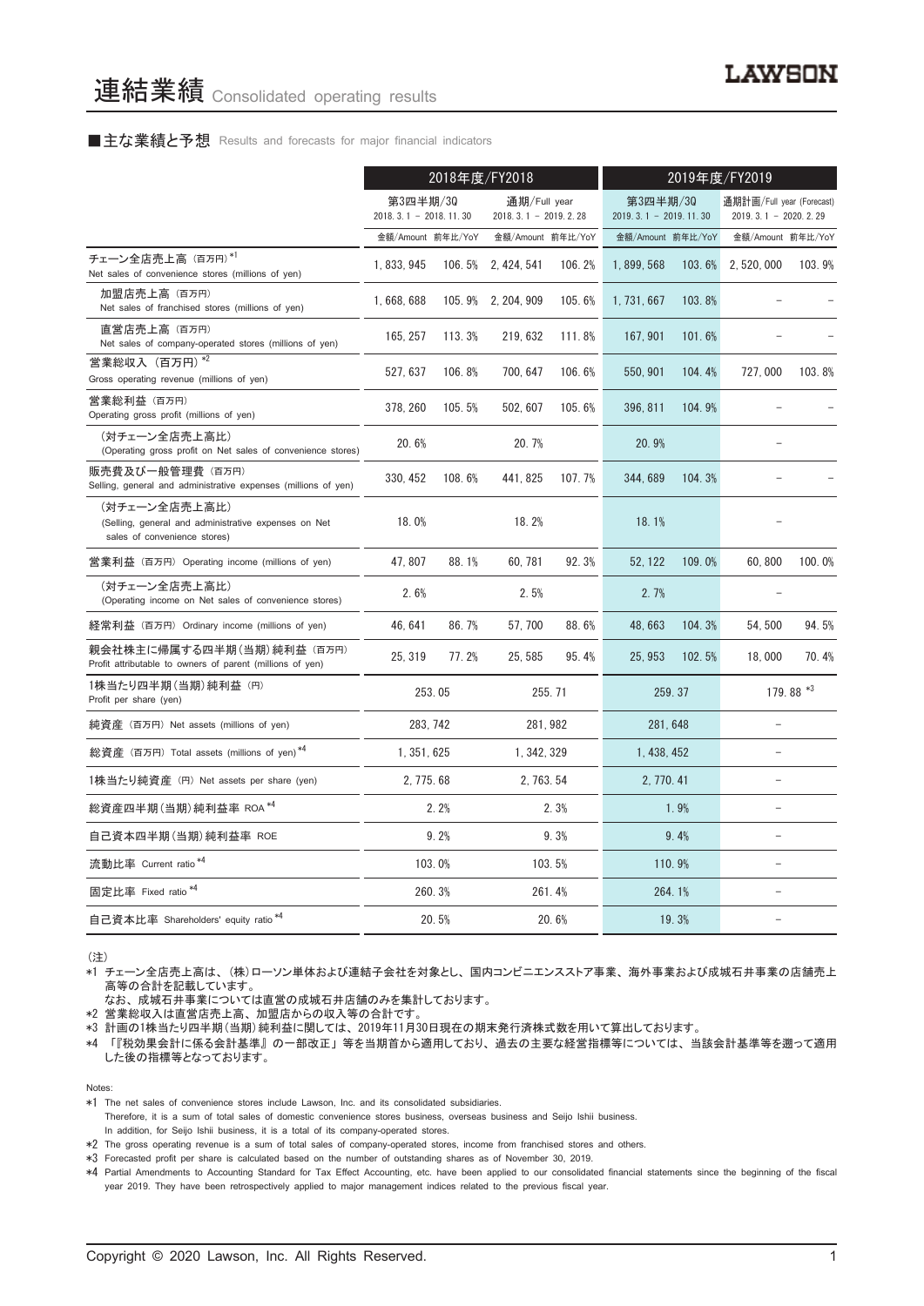#### ■主な業績と予想 Results and forecasts for major financial indicators

|                                                                                                       | 2018年度/FY2018                                                                   |        |                                     | 2019年度/FY2019 |                                                     |        |                   |           |
|-------------------------------------------------------------------------------------------------------|---------------------------------------------------------------------------------|--------|-------------------------------------|---------------|-----------------------------------------------------|--------|-------------------|-----------|
|                                                                                                       | 第3四半期/30<br>通期/Full year<br>$2018.3.1 - 2018.11.30$<br>2018. 3. 1 - 2019. 2. 28 |        | 第3四半期/30<br>$2019.3.1 - 2019.11.30$ |               | 通期計画/Full year (Forecast)<br>$2019.3.1 - 2020.2.29$ |        |                   |           |
|                                                                                                       | 金額/Amount 前年比/YoY                                                               |        | 金額/Amount 前年比/YoY                   |               | 金額/Amount 前年比/YoY                                   |        | 金額/Amount 前年比/YoY |           |
| チェーン全店売上高 (百万円)*1<br>Net sales of convenience stores (millions of yen)                                | 1.833.945                                                                       | 106.5% | 2, 424, 541                         | 106.2%        | 1,899,568                                           | 103.6% | 2, 520, 000       | 103.9%    |
| 加盟店売上高 (百万円)<br>Net sales of franchised stores (millions of yen)                                      | 1,668,688                                                                       |        | 105.9% 2.204.909                    | 105.6%        | 1, 731, 667                                         | 103.8% |                   |           |
| 直営店売上高(百万円)<br>Net sales of company-operated stores (millions of yen)                                 | 165, 257                                                                        | 113.3% | 219, 632                            | 111.8%        | 167, 901                                            | 101.6% |                   |           |
| 営業総収入 (百万円) *2<br>Gross operating revenue (millions of yen)                                           | 527, 637                                                                        | 106.8% | 700, 647                            | 106.6%        | 550, 901                                            | 104.4% | 727.000           | 103.8%    |
| 営業総利益 (百万円)<br>Operating gross profit (millions of yen)                                               | 378, 260                                                                        | 105.5% | 502.607                             | 105.6%        | 396, 811                                            | 104.9% |                   |           |
| (対チェーン全店売上高比)<br>(Operating gross profit on Net sales of convenience stores)                          | 20.6%                                                                           |        | 20.7%                               |               | 20.9%                                               |        |                   |           |
| 販売費及び一般管理費(百万円)<br>Selling, general and administrative expenses (millions of yen)                     | 330, 452                                                                        | 108.6% | 441, 825                            | 107.7%        | 344, 689                                            | 104.3% |                   |           |
| (対チェーン全店売上高比)<br>(Selling, general and administrative expenses on Net<br>sales of convenience stores) | 18.0%                                                                           |        | 18.2%                               |               | 18.1%                                               |        |                   |           |
| 営業利益 (百万円) Operating income (millions of yen)                                                         | 47.807                                                                          | 88.1%  | 60.781                              | 92.3%         | 52.122                                              | 109.0% | 60.800            | 100.0%    |
| (対チェーン全店売上高比)<br>(Operating income on Net sales of convenience stores)                                | 2.6%                                                                            |        | 2.5%                                |               | 2.7%                                                |        |                   |           |
| 経常利益 (百万円) Ordinary income (millions of yen)                                                          | 46, 641                                                                         | 86.7%  | 57,700                              | 88.6%         | 48,663                                              | 104.3% | 54, 500           | 94.5%     |
| 親会社株主に帰属する四半期 (当期) 純利益 (百万円)<br>Profit attributable to owners of parent (millions of yen)             | 25, 319                                                                         | 77.2%  | 25, 585                             | 95.4%         | 25.953                                              | 102.5% | 18,000            | 70.4%     |
| 1株当たり四半期 (当期) 純利益 (円)<br>Profit per share (yen)                                                       |                                                                                 | 253.05 |                                     | 255.71        | 259.37                                              |        |                   | 179.88 *3 |
| 純資産 (百万円) Net assets (millions of yen)                                                                | 283.742                                                                         |        | 281.982                             |               | 281.648                                             |        |                   |           |
| 総資産 (百万円) Total assets (millions of yen)*4                                                            | 1, 351, 625                                                                     |        | 1, 342, 329                         |               | 1, 438, 452                                         |        | L.                |           |
| 1株当たり純資産 (円) Net assets per share (yen)                                                               | 2, 775. 68                                                                      |        | 2, 763, 54                          |               | 2, 770, 41                                          |        | ۳                 |           |
| 総資産四半期(当期) 純利益率 ROA *4                                                                                |                                                                                 | 2.2%   |                                     | 2.3%          |                                                     | 1.9%   |                   |           |
| 自己資本四半期(当期)純利益率 ROE                                                                                   |                                                                                 | 9.2%   | 9.3%                                |               | 9.4%                                                |        |                   |           |
| 流動比率 Current ratio <sup>*4</sup>                                                                      |                                                                                 | 103.0% |                                     | 103.5%        | 110.9%                                              |        |                   |           |
| 固定比率 Fixed ratio <sup>*4</sup>                                                                        |                                                                                 | 260.3% |                                     | 261.4%        |                                                     | 264.1% |                   |           |
| 自己資本比率 Shareholders' equity ratio *4                                                                  |                                                                                 | 20.5%  |                                     | 20.6%         |                                                     | 19.3%  |                   |           |

(注)

\*1 チェーン全店売上高は、 (株)ローソン単体および連結子会社を対象とし、 国内コンビニエンスストア事業、 海外事業および成城石井事業の店舗売上 高等の合計を記載しています。

なお、 成城石井事業については直営の成城石井店舗のみを集計しております。

\*2 営業総収入は直営店売上高、 加盟店からの収入等の合計です。

\*3 計画の1株当たり四半期(当期)純利益に関しては、 2019年11月30日現在の期末発行済株式数を用いて算出しております。

\*4 「『税効果会計に係る会計基準』 の一部改正」 等を当期首から適用しており、 過去の主要な経営指標等については、 当該会計基準等を遡って適用 した後の指標等となっております。

Notes:

\*1 The net sales of convenience stores include Lawson, Inc. and its consolidated subsidiaries.

Therefore, it is a sum of total sales of domestic convenience stores business, overseas business and Seijo Ishii business.

In addition, for Seijo Ishii business, it is a total of its company-operated stores. \*2 The gross operating revenue is a sum of total sales of company-operated stores, income from franchised stores and others.

\*3 Forecasted profit per share is calculated based on the number of outstanding shares as of November 30, 2019.

\*4 Partial Amendments to Accounting Standard for Tax Effect Accounting, etc. have been applied to our consolidated financial statements since the beginning of the fiscal year 2019. They have been retrospectively applied to major management indices related to the previous fiscal year.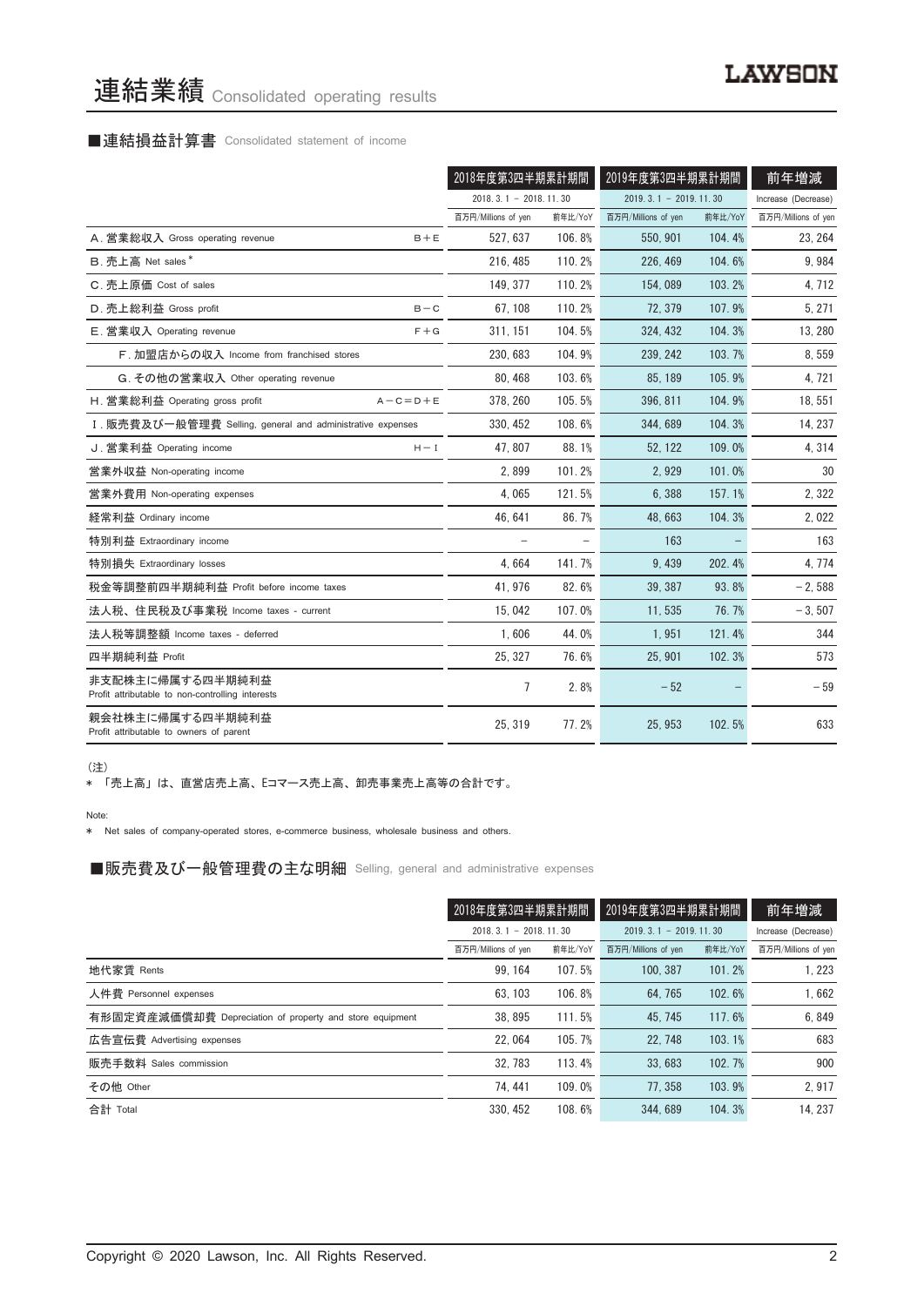# 連結業績 Consolidated operating results

# ■連結損益計算書 Consolidated statement of income

|                                                                      |                         | 2018年度第3四半期累計期間 |                         | 2019年度第3四半期累計期間 |                     |
|----------------------------------------------------------------------|-------------------------|-----------------|-------------------------|-----------------|---------------------|
|                                                                      | $2018.3.1 - 2018.11.30$ |                 | $2019.3.1 - 2019.11.30$ |                 | Increase (Decrease) |
|                                                                      | 百万円/Millions of yen     | 前年比/YoY         | 百万円/Millions of yen     | 前年比/YoY         | 百万円/Millions of yen |
| A. 営業総収入 Gross operating revenue<br>$B + E$                          | 527.637                 | 106.8%          | 550, 901                | 104.4%          | 23, 264             |
| B. 売上高 Net sales*                                                    | 216, 485                | 110.2%          | 226, 469                | 104.6%          | 9,984               |
| C. 売上原価 Cost of sales                                                | 149.377                 | 110.2%          | 154,089                 | 103.2%          | 4,712               |
| D. 売上総利益 Gross profit<br>$B - C$                                     | 67, 108                 | 110.2%          | 72.379                  | 107.9%          | 5, 271              |
| E. 営業収入 Operating revenue                                            | $F + G$<br>311, 151     | 104.5%          | 324, 432                | 104.3%          | 13, 280             |
| F. 加盟店からの収入 Income from franchised stores                            | 230, 683                | 104.9%          | 239, 242                | 103.7%          | 8,559               |
| G. その他の営業収入 Other operating revenue                                  | 80.468                  | 103.6%          | 85, 189                 | 105.9%          | 4, 721              |
| H. 営業総利益 Operating gross profit<br>$A - C = D + E$                   | 378, 260                | 105.5%          | 396, 811                | 104.9%          | 18, 551             |
| I. 販売費及び一般管理費 Selling, general and administrative expenses           | 330, 452                | 108.6%          | 344,689                 | 104.3%          | 14, 237             |
| J. 営業利益 Operating income<br>$H - I$                                  | 47.807                  | 88.1%           | 52.122                  | 109.0%          | 4,314               |
| 営業外収益 Non-operating income                                           | 2.899                   | 101.2%          | 2.929                   | 101.0%          | 30                  |
| 営業外費用 Non-operating expenses                                         | 4,065                   | 121.5%          | 6,388                   | 157.1%          | 2,322               |
| 経常利益 Ordinary income                                                 | 46, 641                 | 86.7%           | 48, 663                 | 104.3%          | 2,022               |
| 特別利益 Extraordinary income                                            |                         |                 | 163                     |                 | 163                 |
| 特別損失 Extraordinary losses                                            | 4.664                   | 141.7%          | 9.439                   | 202.4%          | 4, 774              |
| 税金等調整前四半期純利益 Profit before income taxes                              | 41, 976                 | 82.6%           | 39, 387                 | 93.8%           | $-2,588$            |
| 法人税、住民税及び事業税 Income taxes - current                                  | 15.042                  | 107.0%          | 11.535                  | 76.7%           | $-3,507$            |
| 法人税等調整額 Income taxes - deferred                                      | 1.606                   | 44.0%           | 1,951                   | 121.4%          | 344                 |
| 四半期純利益 Profit                                                        | 25, 327                 | 76.6%           | 25, 901                 | 102.3%          | 573                 |
| 非支配株主に帰属する四半期純利益<br>Profit attributable to non-controlling interests | 7                       | 2.8%            | $-52$                   |                 | $-59$               |
| 親会社株主に帰属する四半期純利益<br>Profit attributable to owners of parent          | 25, 319                 | 77.2%           | 25, 953                 | 102.5%          | 633                 |

(注)

\* 「売上高」 は、 直営店売上高、 Eコマース売上高、 卸売事業売上高等の合計です。

Note:

\* Net sales of company-operated stores, e-commerce business, wholesale business and others.

■販売費及び一般管理費の主な明細 Selling, general and administrative expenses

|                                                          | 2018年度第3四半期累計期間         |         | 2019年度第3四半期累計期間         |         | 前年増減                |
|----------------------------------------------------------|-------------------------|---------|-------------------------|---------|---------------------|
|                                                          | $2018.3.1 - 2018.11.30$ |         | $2019.3.1 - 2019.11.30$ |         | Increase (Decrease) |
|                                                          | 百万円/Millions of yen     | 前年比/YoY | 百万円/Millions of yen     | 前年比/YoY | 百万円/Millions of yen |
| 地代家賃 Rents                                               | 99.164                  | 107.5%  | 100.387                 | 101.2%  | 1.223               |
| 人件費 Personnel expenses                                   | 63.103                  | 106.8%  | 64.765                  | 102.6%  | 1.662               |
| 有形固定資産減価償却費 Depreciation of property and store equipment | 38.895                  | 111.5%  | 45.745                  | 117.6%  | 6,849               |
| 広告宣伝費 Advertising expenses                               | 22.064                  | 105.7%  | 22.748                  | 103.1%  | 683                 |
| 販売手数料 Sales commission                                   | 32.783                  | 113.4%  | 33.683                  | 102.7%  | 900                 |
| その他 Other                                                | 74.441                  | 109.0%  | 77.358                  | 103.9%  | 2.917               |
| 合計 Total                                                 | 330.452                 | 108.6%  | 344.689                 | 104.3%  | 14.237              |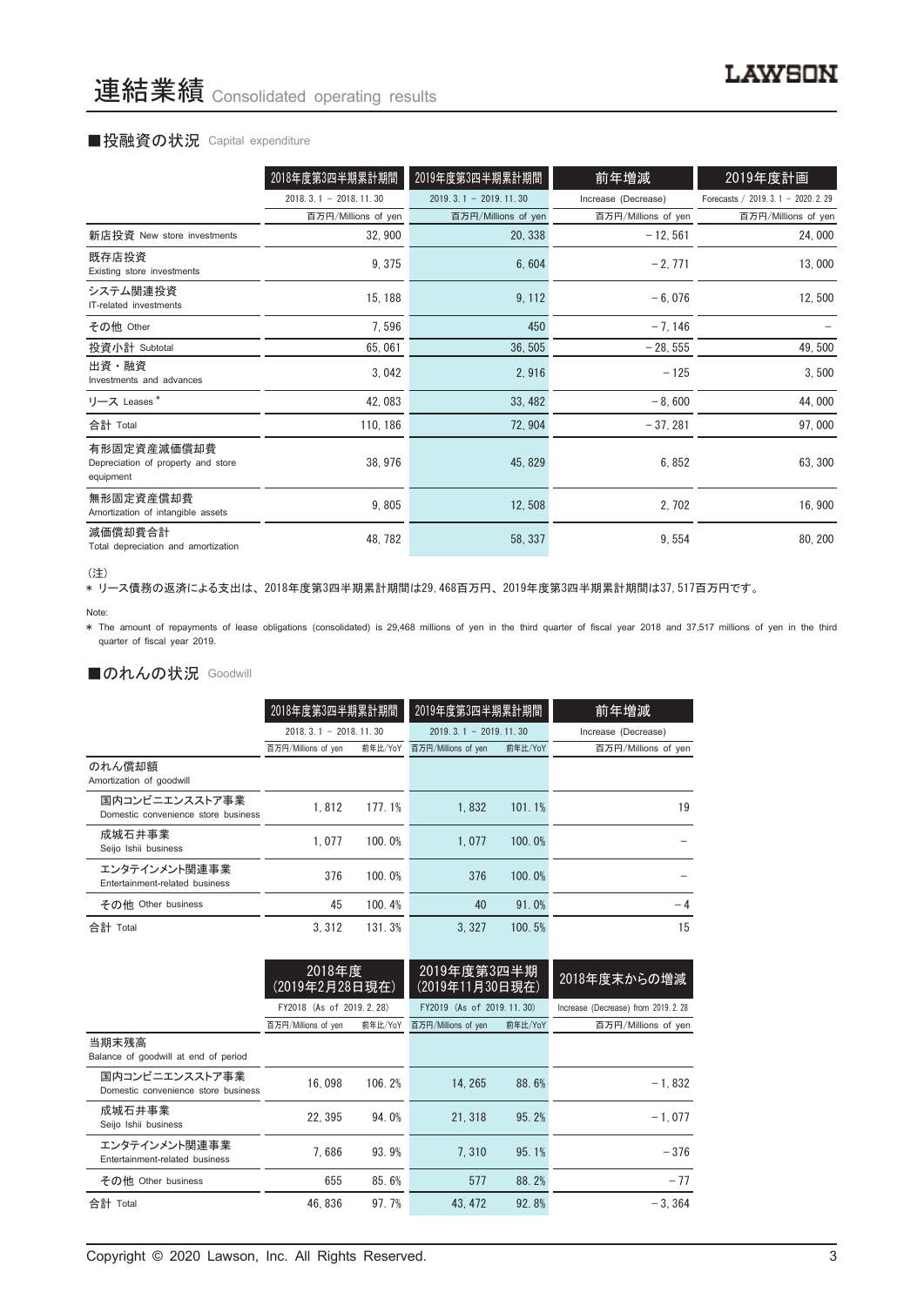#### ■投融資の状況 Capital expenditure

|                                                                | 2018年度第3四半期累計期間         | 2019年度第3四半期累計期間             | 前年増減                | 2019年度計画                             |
|----------------------------------------------------------------|-------------------------|-----------------------------|---------------------|--------------------------------------|
|                                                                | $2018.3.1 - 2018.11.30$ | $2019, 3, 1 - 2019, 11, 30$ | Increase (Decrease) | Forecasts / 2019. 3. 1 - 2020. 2. 29 |
|                                                                | 百万円/Millions of yen     | 百万円/Millions of yen         | 百万円/Millions of yen | 百万円/Millions of yen                  |
| 新店投資 New store investments                                     | 32,900                  | 20, 338                     | $-12,561$           | 24,000                               |
| 既存店投資<br>Existing store investments                            | 9, 375                  | 6,604                       | $-2,771$            | 13,000                               |
| システム関連投資<br>IT-related investments                             | 15, 188                 | 9, 112                      | $-6,076$            | 12,500                               |
| その他 Other                                                      | 7,596                   | 450                         | $-7,146$            |                                      |
| 投資小計 Subtotal                                                  | 65,061                  | 36, 505                     | $-28,555$           | 49,500                               |
| 出資・融資<br>Investments and advances                              | 3,042                   | 2,916                       | $-125$              | 3,500                                |
| リース Leases*                                                    | 42,083                  | 33, 482                     | $-8,600$            | 44,000                               |
| 合計 Total                                                       | 110, 186                | 72, 904                     | $-37,281$           | 97,000                               |
| 有形固定資産減価償却費<br>Depreciation of property and store<br>equipment | 38, 976                 | 45, 829                     | 6,852               | 63, 300                              |
| 無形固定資産償却費<br>Amortization of intangible assets                 | 9,805                   | 12,508                      | 2,702               | 16,900                               |
| 減価償却費合計<br>Total depreciation and amortization                 | 48, 782                 | 58, 337                     | 9,554               | 80, 200                              |

<sup>(</sup>注)

、----<br>\* リース債務の返済による支出は、2018年度第3四半期累計期間は29,468百万円、2019年度第3四半期累計期間は37,517百万円です。

\* The amount of repayments of lease obligations (consolidated) is 29,468 millions of yen in the third quarter of fiscal year 2018 and 37,517 millions of yen in the third quarter of fiscal year 2019.

### ■のれんの状況 Goodwill

|                                                       | 2018年度第3四半期累計期間         |         | 2019年度第3四半期累計期間             |         | 前年増減                |
|-------------------------------------------------------|-------------------------|---------|-----------------------------|---------|---------------------|
|                                                       | $2018.3.1 - 2018.11.30$ |         | $2019, 3, 1 - 2019, 11, 30$ |         | Increase (Decrease) |
|                                                       | 百万円/Millions of yen     | 前年比/YoY | 百万円/Millions of yen         | 前年比/YoY | 百万円/Millions of yen |
| のれん償却額<br>Amortization of goodwill                    |                         |         |                             |         |                     |
| 国内コンビニエンスストア事業<br>Domestic convenience store business | 1.812                   | 177.1%  | 1.832                       | 101.1%  | 19                  |
| 成城石井事業<br>Seijo Ishii business                        | 1.077                   | 100.0%  | 1.077                       | 100.0%  |                     |
| エンタテインメント関連事業<br>Entertainment-related business       | 376                     | 100.0%  | 376                         | 100.0%  |                     |
| その他 Other business                                    | 45                      | 100.4%  | 40                          | 91.0%   | $-4$                |
| 合計 Total                                              | 3.312                   | 131.3%  | 3.327                       | 100.5%  | 15                  |

|                                                       | 2018年度<br>(2019年2月28日現在)                        |         | 2019年度第3四半期<br>(2019年11月30日現在)                                |       | 2018年度末からの増減                                                |
|-------------------------------------------------------|-------------------------------------------------|---------|---------------------------------------------------------------|-------|-------------------------------------------------------------|
|                                                       | FY2018 (As of 2019.2.28)<br>百万円/Millions of yen | 前年比/YoY | FY2019 (As of 2019, 11, 30)<br>百万円/Millions of yen<br>前年比/YoY |       | Increase (Decrease) from 2019. 2. 28<br>百万円/Millions of yen |
| 当期末残高<br>Balance of goodwill at end of period         |                                                 |         |                                                               |       |                                                             |
| 国内コンビニエンスストア事業<br>Domestic convenience store business | 16.098                                          | 106.2%  | 14.265                                                        | 88.6% | $-1.832$                                                    |
| 成城石井事業<br>Seijo Ishii business                        | 22.395                                          | 94.0%   | 21.318                                                        | 95.2% | $-1.077$                                                    |
| エンタテインメント関連事業<br>Entertainment-related business       | 7.686                                           | 93.9%   | 7.310                                                         | 95.1% | $-376$                                                      |
| その他 Other business                                    | 655                                             | 85.6%   | 577                                                           | 88.2% | $-77$                                                       |
| 合計 Total                                              | 46.836                                          | 97.7%   | 43.472                                                        | 92.8% | $-3.364$                                                    |

Note: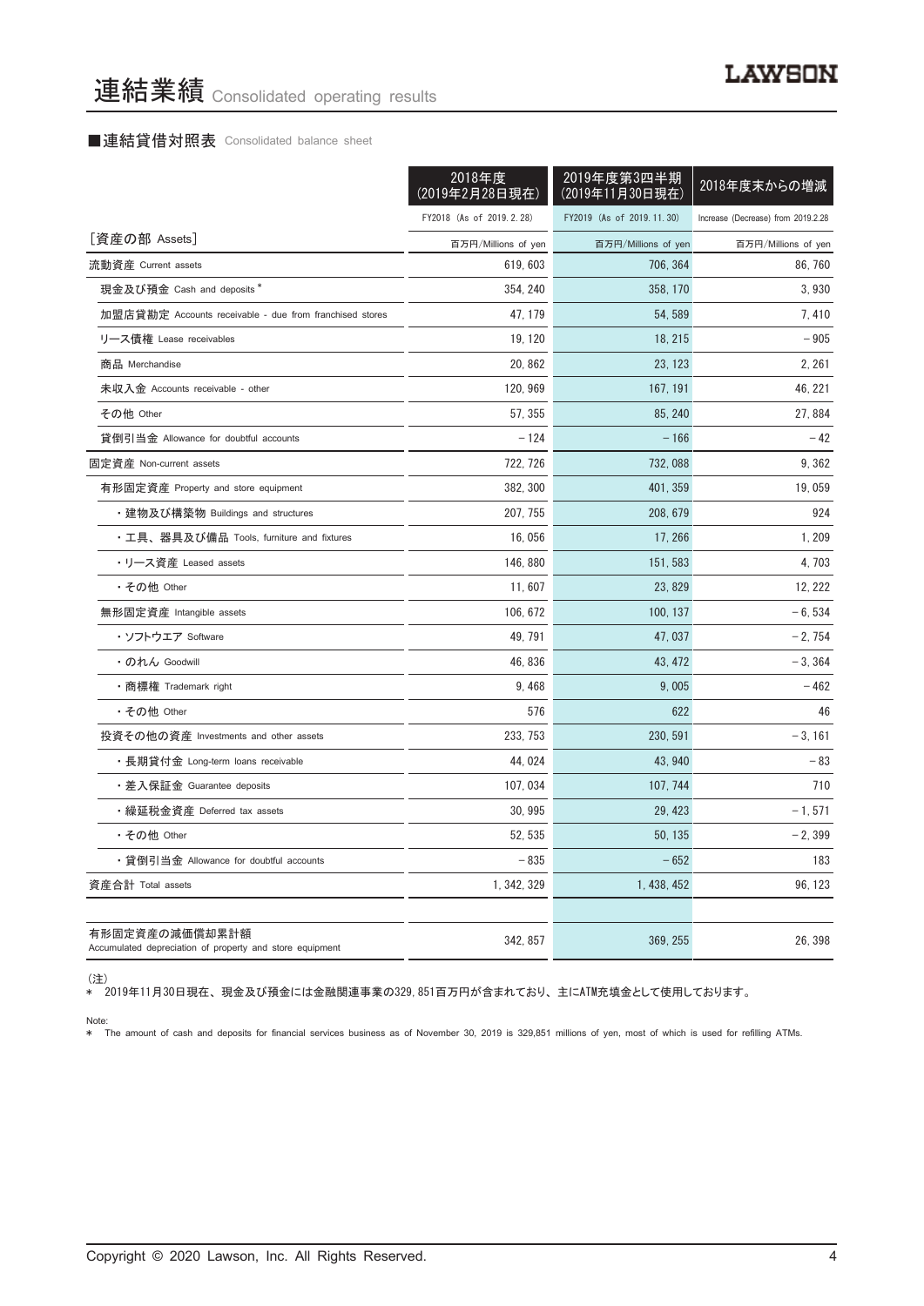#### ■連結貸借対照表 Consolidated balance sheet

|                                                                            | 2018年度<br>(2019年2月28日現在) | 2019年度第3四半期<br>(2019年11月30日現在) | 2018年度末からの増減                       |
|----------------------------------------------------------------------------|--------------------------|--------------------------------|------------------------------------|
|                                                                            | FY2018 (As of 2019.2.28) | FY2019 (As of 2019.11.30)      | Increase (Decrease) from 2019.2.28 |
| [資産の部 Assets]                                                              | 百万円/Millions of yen      | 百万円/Millions of yen            | 百万円/Millions of yen                |
| 流動資産 Current assets                                                        | 619, 603                 | 706, 364                       | 86.760                             |
| 現金及び預金 Cash and deposits*                                                  | 354, 240                 | 358, 170                       | 3,930                              |
| 加盟店貸勘定 Accounts receivable - due from franchised stores                    | 47, 179                  | 54, 589                        | 7,410                              |
| リース債権 Lease receivables                                                    | 19, 120                  | 18, 215                        | $-905$                             |
| 商品 Merchandise                                                             | 20.862                   | 23, 123                        | 2, 261                             |
| 未収入金 Accounts receivable - other                                           | 120, 969                 | 167, 191                       | 46, 221                            |
| その他 Other                                                                  | 57, 355                  | 85, 240                        | 27, 884                            |
| 貸倒引当金 Allowance for doubtful accounts                                      | $-124$                   | $-166$                         | $-42$                              |
| 固定資産 Non-current assets                                                    | 722, 726                 | 732, 088                       | 9,362                              |
| 有形固定資産 Property and store equipment                                        | 382, 300                 | 401, 359                       | 19,059                             |
| ・建物及び構築物 Buildings and structures                                          | 207, 755                 | 208, 679                       | 924                                |
| ・工具、器具及び備品 Tools, furniture and fixtures                                   | 16,056                   | 17, 266                        | 1, 209                             |
| ・リース資産 Leased assets                                                       | 146, 880                 | 151, 583                       | 4,703                              |
| ・その他 Other                                                                 | 11,607                   | 23, 829                        | 12, 222                            |
| 無形固定資産 Intangible assets                                                   | 106, 672                 | 100, 137                       | $-6,534$                           |
| ・ソフトウエア Software                                                           | 49.791                   | 47,037                         | $-2,754$                           |
| ・のれん Goodwill                                                              | 46, 836                  | 43, 472                        | $-3,364$                           |
| • 商標権 Trademark right                                                      | 9,468                    | 9,005                          | $-462$                             |
| ・その他 Other                                                                 | 576                      | 622                            | 46                                 |
| 投資その他の資産 Investments and other assets                                      | 233, 753                 | 230, 591                       | $-3, 161$                          |
| ・長期貸付金 Long-term loans receivable                                          | 44,024                   | 43, 940                        | $-83$                              |
| ・差入保証金 Guarantee deposits                                                  | 107, 034                 | 107, 744                       | 710                                |
| ・繰延税金資産 Deferred tax assets                                                | 30, 995                  | 29, 423                        | $-1, 571$                          |
| ・その他 Other                                                                 | 52, 535                  | 50, 135                        | $-2,399$                           |
| ・貸倒引当金 Allowance for doubtful accounts                                     | $-835$                   | $-652$                         | 183                                |
| 資産合計 Total assets                                                          | 1, 342, 329              | 1, 438, 452                    | 96, 123                            |
|                                                                            |                          |                                |                                    |
| 有形固定資産の減価償却累計額<br>Accumulated depreciation of property and store equipment | 342, 857                 | 369, 255                       | 26, 398                            |

\* 2019年11月30日現在、 現金及び預金には金融関連事業の329,851百万円が含まれており、 主にATM充填金として使用しております。

Note: \* The amount of cash and deposits for financial services business as of November 30, 2019 is 329,851 millions of yen, most of which is used for refilling ATMs.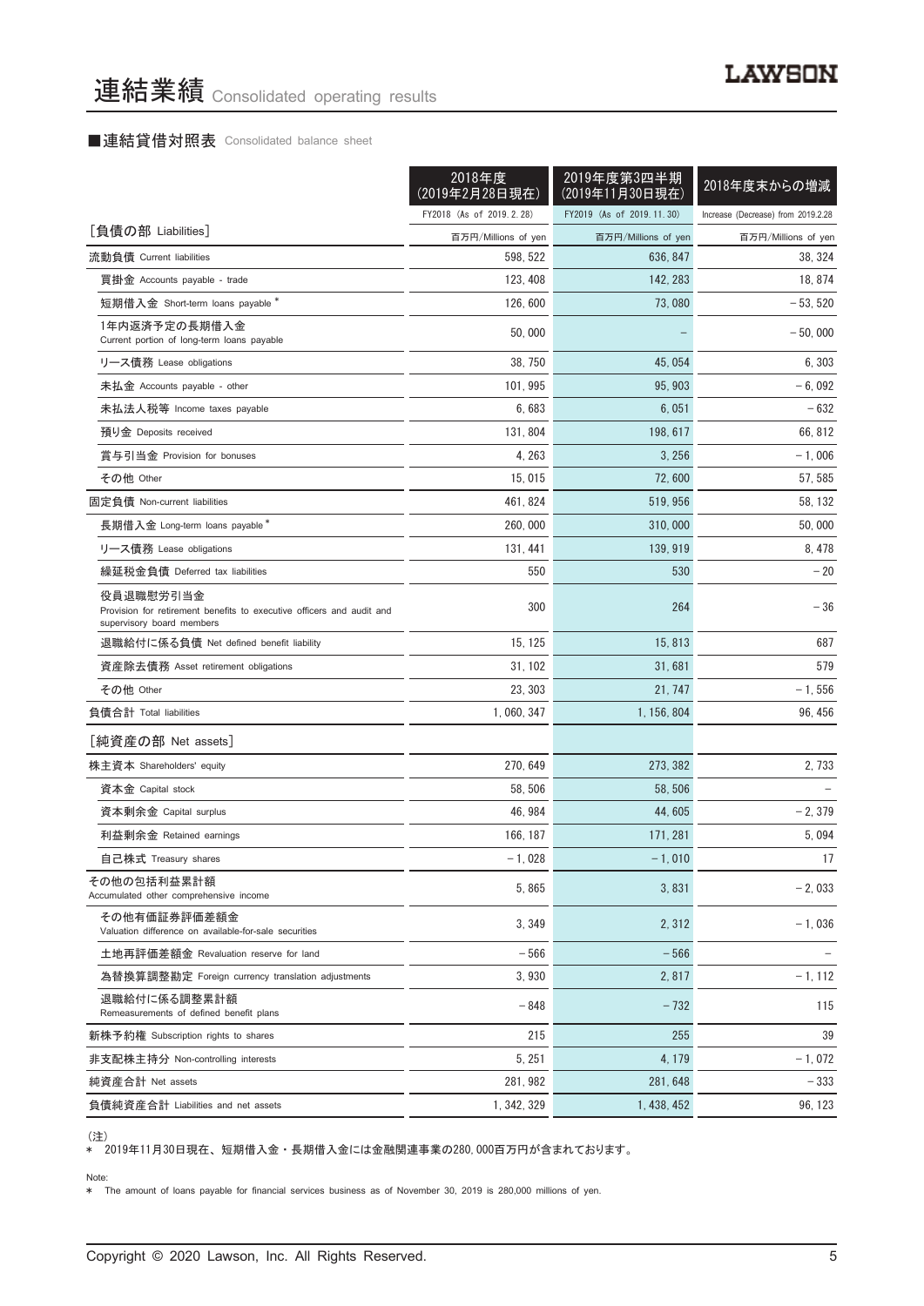## ■連結貸借対照表 Consolidated balance sheet

| 2018年度<br>(2019年2月28日現在)                                                                                        |                          | 2019年度第3四半期<br>(2019年11月30日現在) | 2018年度末からの増減                       |
|-----------------------------------------------------------------------------------------------------------------|--------------------------|--------------------------------|------------------------------------|
|                                                                                                                 | FY2018 (As of 2019.2.28) | FY2019 (As of 2019.11.30)      | Increase (Decrease) from 2019.2.28 |
| [負債の部 Liabilities]                                                                                              | 百万円/Millions of yen      | 百万円/Millions of yen            | 百万円/Millions of yen                |
| 流動負債 Current liabilities                                                                                        | 598, 522                 | 636, 847                       | 38, 324                            |
| 買掛金 Accounts payable - trade                                                                                    | 123, 408                 | 142, 283                       | 18, 874                            |
| 短期借入金 Short-term loans payable *                                                                                | 126, 600                 | 73,080                         | - 53, 520                          |
| 1年内返済予定の長期借入金<br>Current portion of long-term loans payable                                                     | 50,000                   |                                | $-50,000$                          |
| リース債務 Lease obligations                                                                                         | 38, 750                  | 45, 054                        | 6.303                              |
| 未払金 Accounts payable - other                                                                                    | 101, 995                 | 95, 903                        | $-6,092$                           |
| 未払法人税等 Income taxes payable                                                                                     | 6,683                    | 6,051                          | - 632                              |
| 預り金 Deposits received                                                                                           | 131, 804                 | 198, 617                       | 66, 812                            |
| 賞与引当金 Provision for bonuses                                                                                     | 4, 263                   | 3,256                          | $-1,006$                           |
| その他 Other                                                                                                       | 15,015                   | 72,600                         | 57, 585                            |
| 固定負債 Non-current liabilities                                                                                    | 461, 824                 | 519.956                        | 58, 132                            |
| 長期借入金 Long-term loans payable*                                                                                  | 260, 000                 | 310,000                        | 50,000                             |
| リース債務 Lease obligations                                                                                         | 131, 441                 | 139, 919                       | 8, 478                             |
| 繰延税金負債 Deferred tax liabilities                                                                                 | 550                      | 530                            | $-20$                              |
| 役員退職慰労引当金<br>Provision for retirement benefits to executive officers and audit and<br>supervisory board members | 300                      | 264                            | $-36$                              |
| 退職給付に係る負債 Net defined benefit liability                                                                         | 15, 125                  | 15, 813                        | 687                                |
| 資産除去債務 Asset retirement obligations                                                                             | 31, 102                  | 31,681                         | 579                                |
| その他 Other                                                                                                       | 23, 303                  | 21, 747                        | $-1,556$                           |
| 負債合計 Total liabilities                                                                                          | 1, 060, 347              | 1, 156, 804                    | 96, 456                            |
| [純資産の部 Net assets]                                                                                              |                          |                                |                                    |
| 株主資本 Shareholders' equity                                                                                       | 270, 649                 | 273, 382                       | 2,733                              |
| 資本金 Capital stock                                                                                               | 58, 506                  | 58, 506                        |                                    |
| 資本剰余金 Capital surplus                                                                                           | 46, 984                  | 44.605                         | $-2,379$                           |
| 利益剰余金 Retained earnings                                                                                         | 166, 187                 | 171, 281                       | 5,094                              |
| 自己株式 Treasury shares                                                                                            | $-1,028$                 | $-1,010$                       | 17                                 |
| その他の包括利益累計額<br>Accumulated other comprehensive income                                                           | 5.865                    | 3,831                          | $-2,033$                           |
| その他有価証券評価差額金<br>Valuation difference on available-for-sale securities                                           | 3, 349                   | 2, 312                         | $-1,036$                           |
| 土地再評価差額金 Revaluation reserve for land                                                                           | $-566$                   | $-566$                         |                                    |
| 為替換算調整勘定 Foreign currency translation adjustments                                                               | 3,930                    | 2,817                          | $-1, 112$                          |
| 退職給付に係る調整累計額<br>Remeasurements of defined benefit plans                                                         | - 848                    | $-732$                         | 115                                |
| 新株予約権 Subscription rights to shares                                                                             | 215                      | 255                            | 39                                 |
| 非支配株主持分 Non-controlling interests                                                                               | 5, 251                   | 4, 179                         | $-1,072$                           |
| 純資産合計 Net assets                                                                                                | 281, 982                 | 281, 648                       | $-333$                             |
| 負債純資産合計 Liabilities and net assets                                                                              | 1, 342, 329              | 1, 438, 452                    | 96, 123                            |

<sup>(</sup>注)

\* 2019年11月30日現在、 短期借入金 ・ 長期借入金には金融関連事業の280,000百万円が含まれております。

#### Note:

\* The amount of loans payable for financial services business as of November 30, 2019 is 280,000 millions of yen.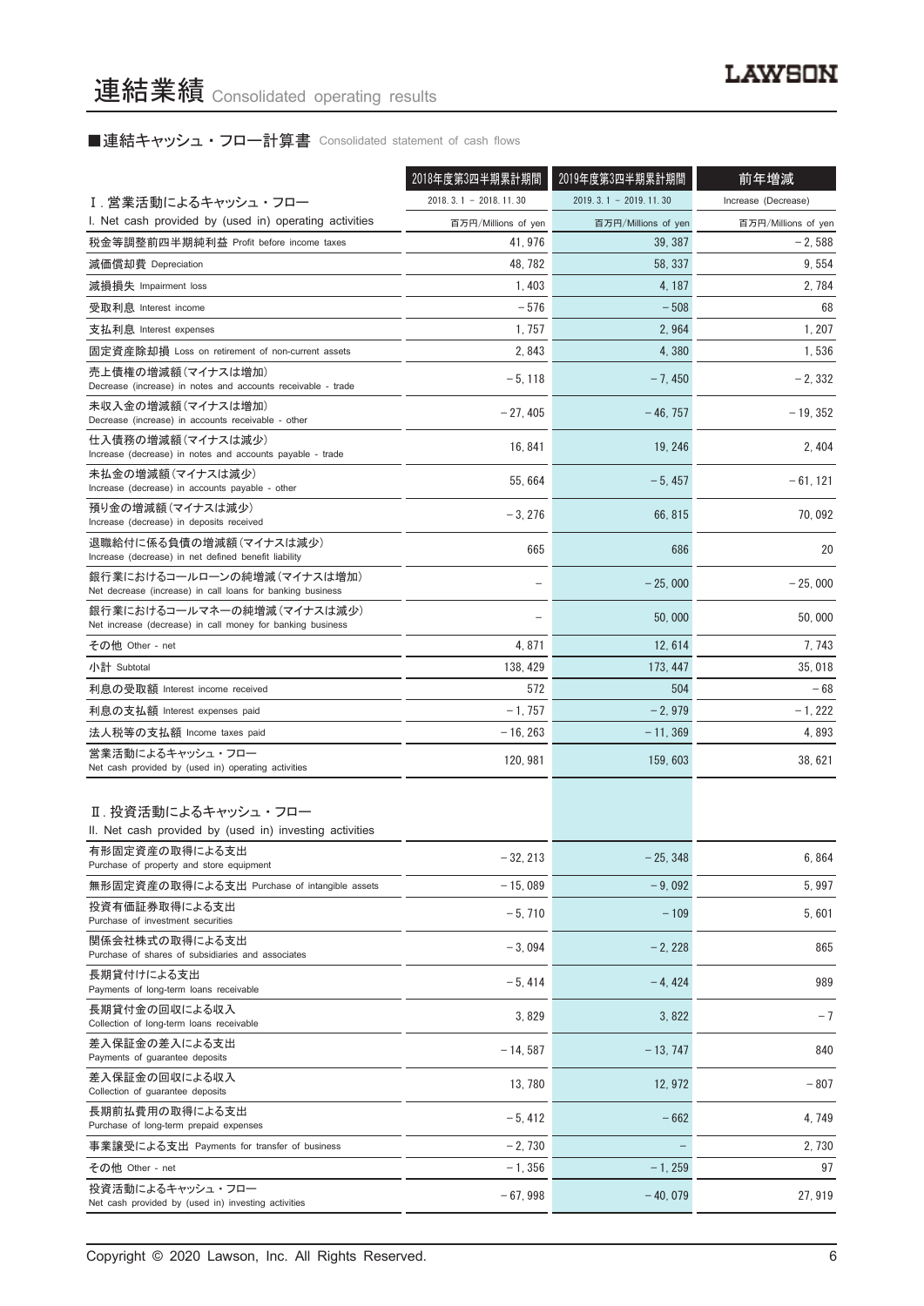# ■連結キャッシュ・フロー計算書 Consolidated statement of cash flows

|                                                                                          | 2018年度第3四半期累計期間         | 2019年度第3四半期累計期間         | 前年増減                |
|------------------------------------------------------------------------------------------|-------------------------|-------------------------|---------------------|
| I.営業活動によるキャッシュ・フロー                                                                       | $2018.3.1 - 2018.11.30$ | $2019.3.1 - 2019.11.30$ | Increase (Decrease) |
| I. Net cash provided by (used in) operating activities                                   | 百万円/Millions of yen     | 百万円/Millions of yen     | 百万円/Millions of yen |
| 税金等調整前四半期純利益 Profit before income taxes                                                  | 41, 976                 | 39, 387                 | $-2,588$            |
| 減価償却費 Depreciation                                                                       | 48, 782                 | 58, 337                 | 9, 554              |
| 減損損失 Impairment loss                                                                     | 1, 403                  | 4, 187                  | 2, 784              |
| 受取利息 Interest income                                                                     | $-576$                  | $-508$                  | 68                  |
| 支払利息 Interest expenses                                                                   | 1, 757                  | 2,964                   | 1, 207              |
| 固定資産除却損 Loss on retirement of non-current assets                                         | 2,843                   | 4,380                   | 1,536               |
| 売上債権の増減額(マイナスは増加)<br>Decrease (increase) in notes and accounts receivable - trade        | $-5,118$                | $-7,450$                | $-2, 332$           |
| 未収入金の増減額(マイナスは増加)<br>Decrease (increase) in accounts receivable - other                  | $-27,405$               | $-46, 757$              | $-19, 352$          |
| 仕入債務の増減額(マイナスは減少)<br>Increase (decrease) in notes and accounts payable - trade           | 16, 841                 | 19, 246                 | 2, 404              |
| 未払金の増減額(マイナスは減少)<br>Increase (decrease) in accounts payable - other                      | 55, 664                 | $-5,457$                | $-61, 121$          |
| 預り金の増減額(マイナスは減少)<br>Increase (decrease) in deposits received                             | $-3,276$                | 66, 815                 | 70,092              |
| 退職給付に係る負債の増減額(マイナスは減少)<br>Increase (decrease) in net defined benefit liability           | 665                     | 686                     | 20                  |
| 銀行業におけるコールローンの純増減(マイナスは増加)<br>Net decrease (increase) in call loans for banking business |                         | $-25,000$               | $-25.000$           |
| 銀行業におけるコールマネーの純増減(マイナスは減少)<br>Net increase (decrease) in call money for banking business |                         | 50,000                  | 50,000              |
| その他 Other - net                                                                          | 4,871                   | 12, 614                 | 7, 743              |
| 小計 Subtotal                                                                              | 138, 429                | 173, 447                | 35,018              |
| 利息の受取額 Interest income received                                                          | 572                     | 504                     | $-68$               |
| 利息の支払額 Interest expenses paid                                                            | $-1,757$                | $-2,979$                | $-1, 222$           |
| 法人税等の支払額 Income taxes paid                                                               | $-16, 263$              | - 11, 369               | 4,893               |
| 営業活動によるキャッシュ・フロー<br>Net cash provided by (used in) operating activities                  | 120, 981                | 159, 603                | 38,621              |
| Ⅱ. 投資活動によるキャッシュ・フロー<br>II. Net cash provided by (used in) investing activities           |                         |                         |                     |
| 有形固定資産の取得による支出<br>Purchase of property and store equipment                               | $-32, 213$              | $-25, 348$              | 6,864               |
| 無形固定資産の取得による支出 Purchase of intangible assets                                             | $-15,089$               | $-9.092$                | 5,997               |
| 投資有価証券取得による支出<br>Purchase of investment securities                                       | $-5,710$                | $-109$                  | 5,601               |
| 関係会社株式の取得による支出<br>Purchase of shares of subsidiaries and associates                      | $-3,094$                | $-2,228$                | 865                 |
| 長期貸付けによる支出<br>Payments of long-term loans receivable                                     | $-5,414$                | $-4.424$                | 989                 |
| 長期貸付金の回収による収入<br>Collection of long-term loans receivable                                | 3,829                   | 3,822                   | $-7$                |
| 差入保証金の差入による支出<br>Payments of guarantee deposits                                          | $-14,587$               | $-13, 747$              | 840                 |
| 差入保証金の回収による収入<br>Collection of guarantee deposits                                        | 13,780                  | 12, 972                 | - 807               |
| 長期前払費用の取得による支出<br>Purchase of long-term prepaid expenses                                 | $-5,412$                | $-662$                  | 4, 749              |
| 事業譲受による支出 Payments for transfer of business                                              | $-2,730$                |                         | 2, 730              |
| その他 Other - net                                                                          | $-1,356$                | $-1, 259$               | 97                  |
| 投資活動によるキャッシュ・フロー<br>Net cash provided by (used in) investing activities                  | $-67,998$               | $-40,079$               | 27, 919             |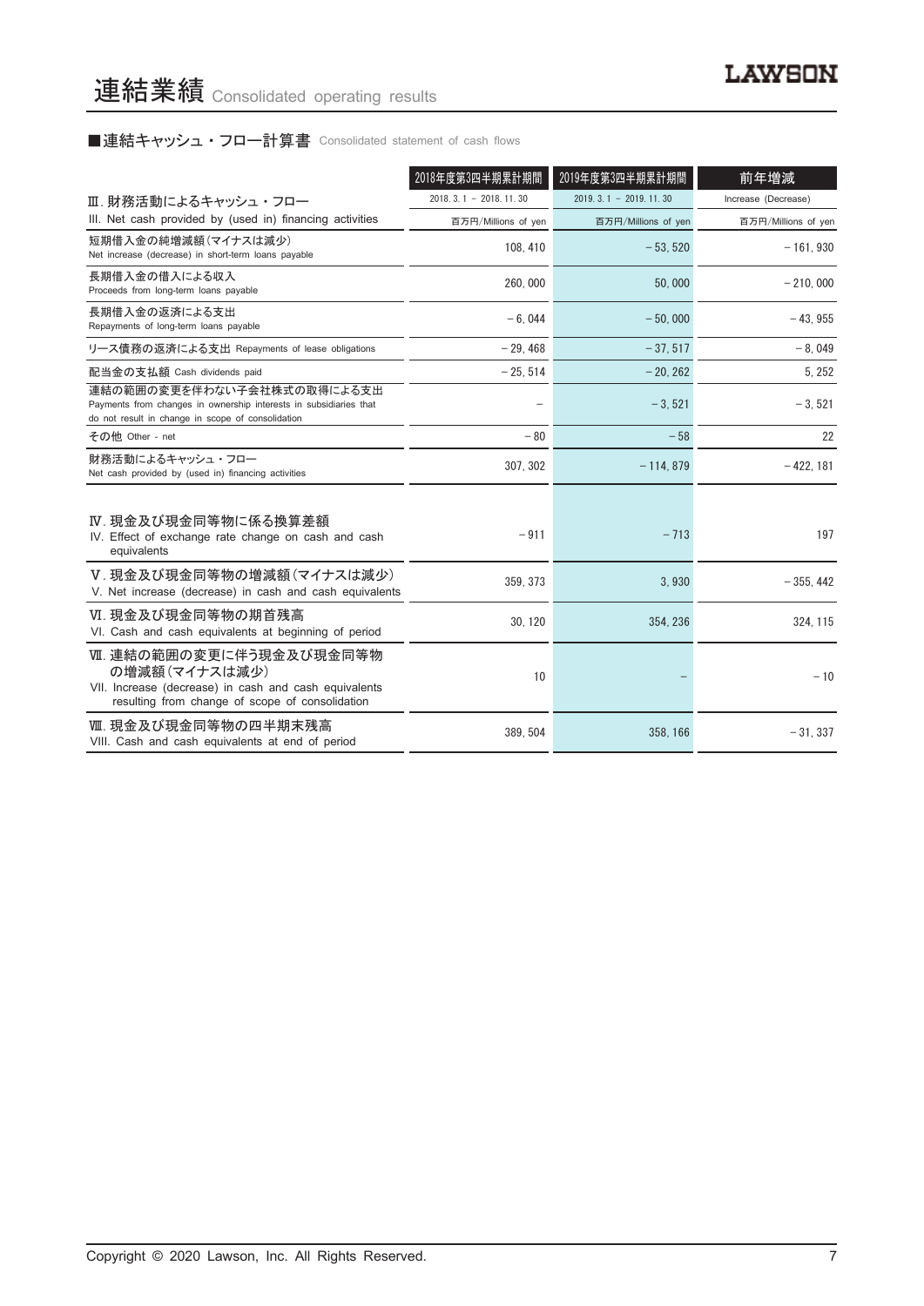# ■連結キャッシュ・フロー計算書 Consolidated statement of cash flows

|                                                                                                                                                      | 2018年度第3四半期累計期間           | 2019年度第3四半期累計期間         | 前年増減                |
|------------------------------------------------------------------------------------------------------------------------------------------------------|---------------------------|-------------------------|---------------------|
| Ⅲ. 財務活動によるキャッシュ・フロー                                                                                                                                  | 2018. 3. 1 - 2018. 11. 30 | $2019.3.1 - 2019.11.30$ | Increase (Decrease) |
| III. Net cash provided by (used in) financing activities                                                                                             | 百万円/Millions of yen       | 百万円/Millions of yen     | 百万円/Millions of yen |
| 短期借入金の純増減額(マイナスは減少)<br>Net increase (decrease) in short-term loans payable                                                                           | 108, 410                  | $-53.520$               | $-161.930$          |
| 長期借入金の借入による収入<br>Proceeds from long-term loans payable                                                                                               | 260,000                   | 50,000                  | $-210,000$          |
| 長期借入金の返済による支出<br>Repayments of long-term loans payable                                                                                               | $-6.044$                  | $-50.000$               | $-43.955$           |
| リース債務の返済による支出 Repayments of lease obligations                                                                                                        | $-29.468$                 | $-37.517$               | $-8.049$            |
| 配当金の支払額 Cash dividends paid                                                                                                                          | $-25, 514$                | $-20, 262$              | 5, 252              |
| 連結の範囲の変更を伴わない子会社株式の取得による支出<br>Payments from changes in ownership interests in subsidiaries that<br>do not result in change in scope of consolidation |                           | $-3,521$                | $-3,521$            |
| その他 Other - net                                                                                                                                      | $-80$                     | $-58$                   | 22                  |
| 財務活動によるキャッシュ・フロー<br>Net cash provided by (used in) financing activities                                                                              | 307, 302                  | $-114, 879$             | $-422, 181$         |
| Ⅳ. 現金及び現金同等物に係る換算差額<br>IV. Effect of exchange rate change on cash and cash<br>equivalents                                                            | $-911$                    | $-713$                  | 197                 |
| V. 現金及び現金同等物の増減額(マイナスは減少)<br>V. Net increase (decrease) in cash and cash equivalents                                                                 | 359, 373                  | 3,930                   | $-355.442$          |
| Ⅵ. 現金及び現金同等物の期首残高<br>VI. Cash and cash equivalents at beginning of period                                                                            | 30, 120                   | 354, 236                | 324, 115            |
| Ⅶ. 連結の範囲の変更に伴う現金及び現金同等物<br>の増減額(マイナスは減少)<br>VII. Increase (decrease) in cash and cash equivalents<br>resulting from change of scope of consolidation | 10                        |                         | $-10$               |
| Ⅷ. 現金及び現金同等物の四半期末残高<br>VIII. Cash and cash equivalents at end of period                                                                              | 389, 504                  | 358, 166                | $-31,337$           |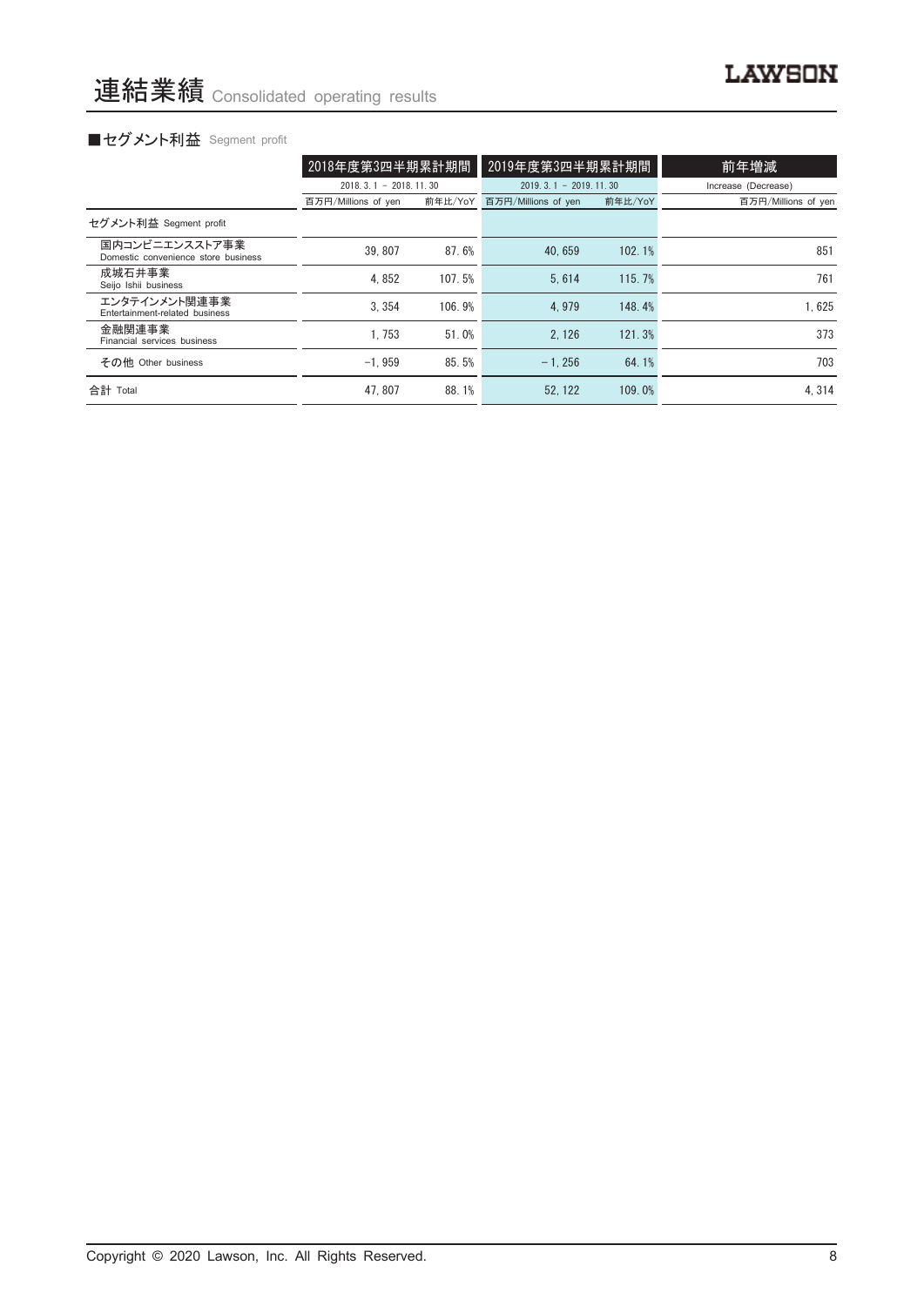# ■セグメント利益 Segment profit

|                                                       | 2018年度第3四半期累計期間         |         | 2019年度第3四半期累計期間         |         | 前年増減                |
|-------------------------------------------------------|-------------------------|---------|-------------------------|---------|---------------------|
|                                                       | $2018.3.1 - 2018.11.30$ |         | $2019.3.1 - 2019.11.30$ |         | Increase (Decrease) |
|                                                       | 百万円/Millions of yen     | 前年比/YoY | 百万円/Millions of yen     | 前年比/YoY | 百万円/Millions of yen |
| セグメント利益 Segment profit                                |                         |         |                         |         |                     |
| 国内コンビニエンスストア事業<br>Domestic convenience store business | 39.807                  | 87.6%   | 40.659                  | 102.1%  | 851                 |
| 成城石井事業<br>Seijo Ishii business                        | 4.852                   | 107.5%  | 5.614                   | 115.7%  | 761                 |
| エンタテインメント関連事業<br>Entertainment-related business       | 3.354                   | 106.9%  | 4.979                   | 148.4%  | 1.625               |
| 金融関連事業<br>Financial services business                 | 1.753                   | 51.0%   | 2.126                   | 121.3%  | 373                 |
| その他 Other business                                    | $-1.959$                | 85.5%   | $-1.256$                | 64.1%   | 703                 |
| 合計 Total                                              | 47.807                  | 88.1%   | 52.122                  | 109.0%  | 4.314               |

**LAWSON**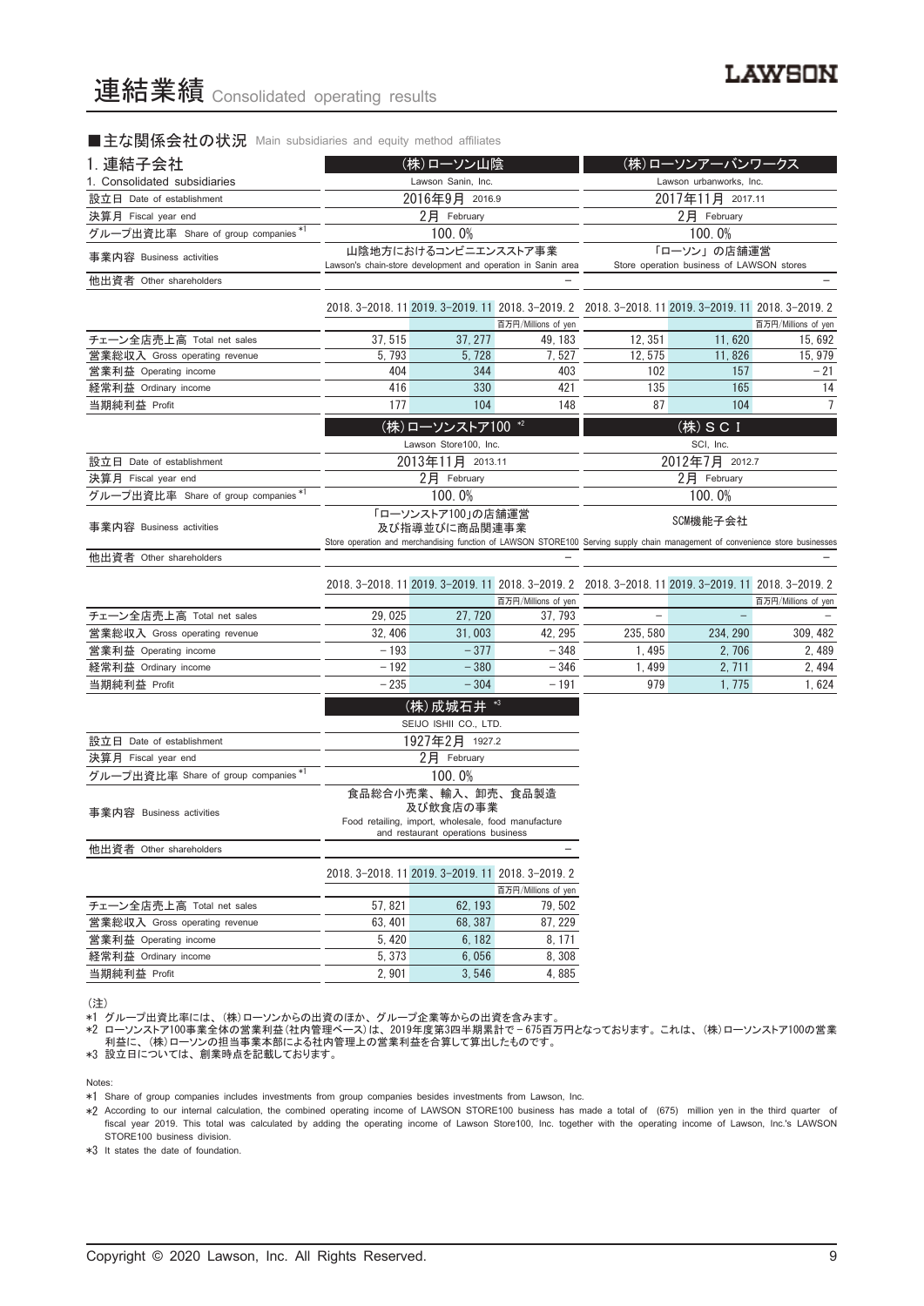#### ■主な関係会社の状況 Main subsidiaries and equity method affiliates

| 1. 連結子会社                             | (株)ローソン山陰          |                                                     |                                                              |                                                                                                                               | (株)ローソンアーバンワークス                                          |                     |
|--------------------------------------|--------------------|-----------------------------------------------------|--------------------------------------------------------------|-------------------------------------------------------------------------------------------------------------------------------|----------------------------------------------------------|---------------------|
| 1. Consolidated subsidiaries         | Lawson Sanin, Inc. |                                                     |                                                              |                                                                                                                               | Lawson urbanworks, Inc.                                  |                     |
| 設立日 Date of establishment            | 2016年9月 2016.9     |                                                     |                                                              |                                                                                                                               | 2017年11月 2017.11                                         |                     |
| 決算月 Fiscal year end                  | 2月 February        |                                                     |                                                              |                                                                                                                               | 2月 February                                              |                     |
| グループ出資比率 Share of group companies*   | 100.0%             |                                                     |                                                              |                                                                                                                               | 100.0%                                                   |                     |
| 事業内容 Business activities             |                    | 山陰地方におけるコンビニエンスストア事業                                | Lawson's chain-store development and operation in Sanin area |                                                                                                                               | 「ローソン」の店舗運営<br>Store operation business of LAWSON stores |                     |
| 他出資者 Other shareholders              |                    |                                                     |                                                              |                                                                                                                               |                                                          |                     |
|                                      |                    |                                                     |                                                              | 2018. 3-2018. 11 2019. 3-2019. 11 2018. 3-2019. 2 2018. 3-2018. 11 2019. 3-2019. 11 2018. 3-2019. 2                           |                                                          |                     |
|                                      |                    |                                                     | 百万円/Millions of yen                                          |                                                                                                                               |                                                          | 百万円/Millions of yen |
| チェーン全店売上高 Total net sales            | 37, 515            | 37, 277                                             | 49.183                                                       | 12, 351                                                                                                                       | 11,620                                                   | 15, 692             |
| 営業総収入 Gross operating revenue        | 5, 793             | 5, 728                                              | 7, 527                                                       | 12.575                                                                                                                        | 11,826                                                   | 15, 979             |
| 営業利益 Operating income                | 404                | 344                                                 | 403                                                          | 102                                                                                                                           | 157                                                      | $-21$               |
| 経常利益 Ordinary income                 | 416                | 330                                                 | 421                                                          | 135                                                                                                                           | 165                                                      | 14                  |
| 当期純利益 Profit                         | 177                | 104                                                 | 148                                                          | 87                                                                                                                            | 104                                                      | 7                   |
|                                      |                    | (株)ローソンストア100 *2                                    |                                                              |                                                                                                                               | (株) SCI                                                  |                     |
|                                      |                    | Lawson Store100, Inc.                               |                                                              |                                                                                                                               | SCI, Inc.                                                |                     |
| 設立日 Date of establishment            |                    | 2013年11月 2013.11                                    |                                                              |                                                                                                                               | 2012年7月 2012.7                                           |                     |
| 決算月 Fiscal year end                  |                    | 2月 February                                         |                                                              |                                                                                                                               | 2月 February                                              |                     |
| グループ出資比率 Share of group companies *1 |                    | 100.0%                                              |                                                              |                                                                                                                               | 100.0%                                                   |                     |
|                                      |                    | 「ローソンストア100」の店舗運営                                   |                                                              |                                                                                                                               |                                                          |                     |
| 事業内容 Business activities             |                    | 及び指導並びに商品関連事業                                       |                                                              | Store operation and merchandising function of LAWSON STORE100 Serving supply chain management of convenience store businesses | SCM機能子会社                                                 |                     |
| 他出資者 Other shareholders              |                    |                                                     |                                                              |                                                                                                                               |                                                          |                     |
|                                      |                    |                                                     |                                                              |                                                                                                                               |                                                          |                     |
|                                      |                    |                                                     | 百万円/Millions of yen                                          | 2018. 3-2018. 11 2019. 3-2019. 11 2018. 3-2019. 2 2018. 3-2018. 11 2019. 3-2019. 11 2018. 3-2019. 2                           |                                                          | 百万円/Millions of yen |
| チェーン全店売上高 Total net sales            | 29,025             | 27, 720                                             | 37, 793                                                      |                                                                                                                               |                                                          |                     |
| 営業総収入 Gross operating revenue        | 32, 406            | 31,003                                              | 42, 295                                                      | 235, 580                                                                                                                      | 234, 290                                                 | 309, 482            |
| 営業利益 Operating income                | $-193$             | $-377$                                              | $-348$                                                       | 1, 495                                                                                                                        | 2, 706                                                   | 2, 489              |
| 経常利益 Ordinary income                 | $-192$             | $-380$                                              | $-346$                                                       | 1,499                                                                                                                         | 2, 711                                                   | 2, 494              |
| 当期純利益 Profit                         | $-235$             | $-304$                                              | $-191$                                                       | 979                                                                                                                           | 1,775                                                    | 1,624               |
|                                      |                    | (株) 成城石井 *3                                         |                                                              |                                                                                                                               |                                                          |                     |
|                                      |                    | SEIJO ISHII CO., LTD.                               |                                                              |                                                                                                                               |                                                          |                     |
| 設立日 Date of establishment            |                    | 1927年2月 1927.2                                      |                                                              |                                                                                                                               |                                                          |                     |
| 決算月 Fiscal year end                  |                    | 2月 February                                         |                                                              |                                                                                                                               |                                                          |                     |
| グループ出資比率 Share of group companies *1 |                    | 100.0%                                              |                                                              |                                                                                                                               |                                                          |                     |
|                                      |                    | 食品総合小売業、輸入、卸売、食品製造                                  |                                                              |                                                                                                                               |                                                          |                     |
| 事業内容 Business activities             |                    | 及び飲食店の事業                                            |                                                              |                                                                                                                               |                                                          |                     |
|                                      |                    | Food retailing, import, wholesale, food manufacture |                                                              |                                                                                                                               |                                                          |                     |
|                                      |                    | and restaurant operations business                  |                                                              |                                                                                                                               |                                                          |                     |
| 他出資者 Other shareholders              |                    |                                                     |                                                              |                                                                                                                               |                                                          |                     |
|                                      |                    | 2018. 3-2018. 11 2019. 3-2019. 11 2018. 3-2019. 2   |                                                              |                                                                                                                               |                                                          |                     |
|                                      |                    |                                                     | 百万円/Millions of yen                                          |                                                                                                                               |                                                          |                     |
| チェーン全店売上高 Total net sales            | 57,821             | 62, 193                                             | 79, 502                                                      |                                                                                                                               |                                                          |                     |
| 営業総収入 Gross operating revenue        | 63, 401            | 68, 387                                             | 87, 229                                                      |                                                                                                                               |                                                          |                     |
| 営業利益 Operating income                | 5, 420             | 6, 182                                              | 8, 171                                                       |                                                                                                                               |                                                          |                     |
| 経常利益 Ordinary income                 | 5,373              | 6,056                                               | 8,308                                                        |                                                                                                                               |                                                          |                     |
| 当期純利益 Profit                         | 2,901              | 3,546                                               | 4,885                                                        |                                                                                                                               |                                                          |                     |

<sup>(</sup>注)

\*1 グループ出資比率には、 (株)ローソンからの出資のほか、 グループ企業等からの出資を含みます。

\*2 ローソンストア100事業全体の営業利益(社内管理ベース)は、 2019年度第3四半期累計で — 675百万円となっております。 これは、 (株)ローソンストア100の営業 利益に、 (株)ローソンの担当事業本部による社内管理上の営業利益を合算して算出したものです。

\*3 設立日については、 創業時点を記載しております。

Notes:

\*1 Share of group companies includes investments from group companies besides investments from Lawson, Inc.

\*2 According to our internal calculation, the combined operating income of LAWSON STORE100 business has made a total of (675) million yen in the third quarter of fiscal year 2019. This total was calculated by adding the operating income of Lawson Store100, Inc. together with the operating income of Lawson, Inc.'s LAWSON STORE100 business division.

\*3 It states the date of foundation.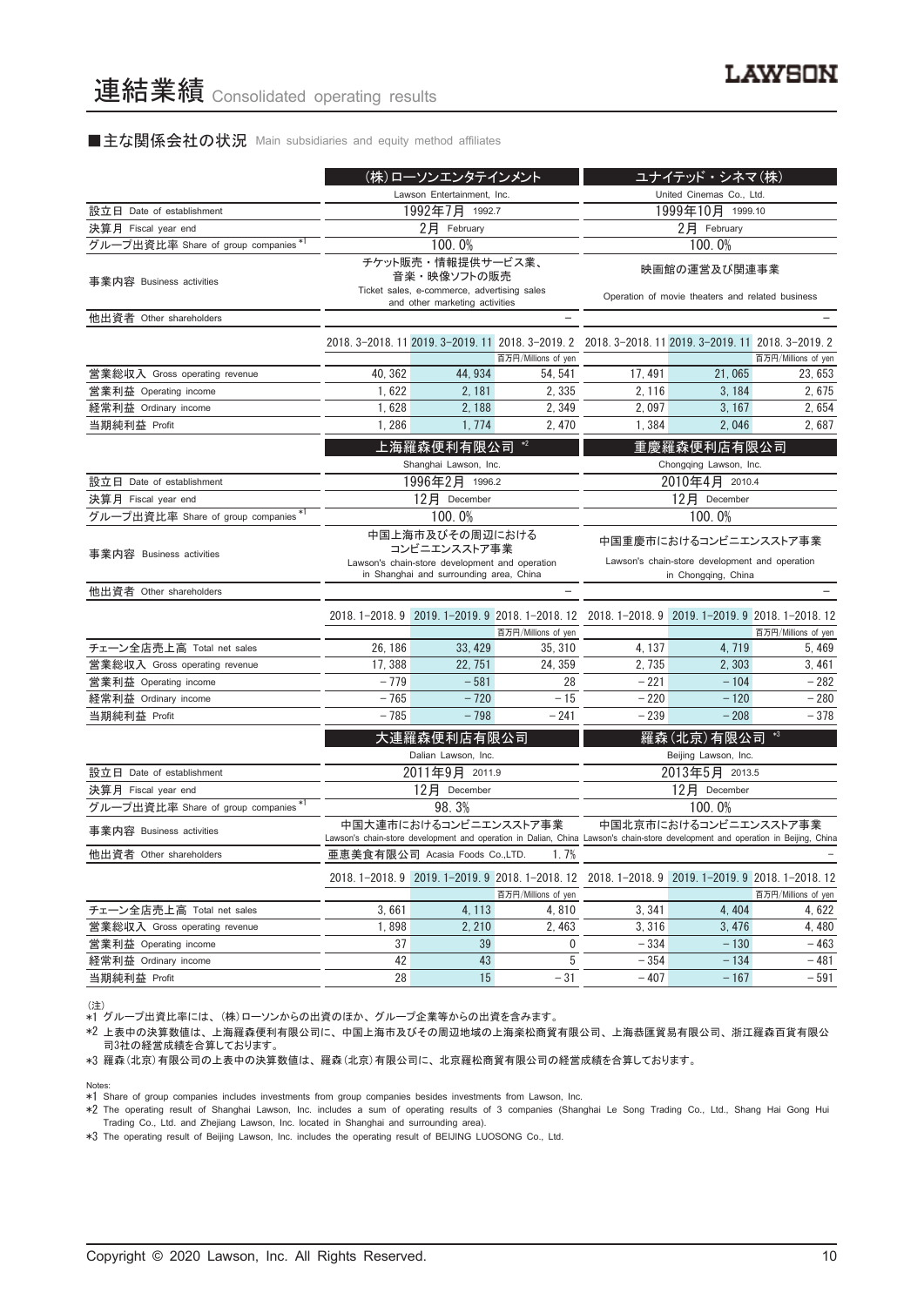#### ■主な関係会社の状況 Main subsidiaries and equity method affiliates

|                                      |                            | (株)ローソンエンタテインメント                                                                                                             |                     |                                                                                                                                  | ユナイテッド・シネマ(株)                                                    |                     |
|--------------------------------------|----------------------------|------------------------------------------------------------------------------------------------------------------------------|---------------------|----------------------------------------------------------------------------------------------------------------------------------|------------------------------------------------------------------|---------------------|
|                                      | Lawson Entertainment, Inc. |                                                                                                                              |                     |                                                                                                                                  | United Cinemas Co., Ltd.                                         |                     |
| 設立日 Date of establishment            |                            | 1992年7月 1992.7                                                                                                               |                     | 1999年10月 1999.10                                                                                                                 |                                                                  |                     |
| 決算月 Fiscal year end                  | $2$ 月 February             |                                                                                                                              |                     |                                                                                                                                  | $2$ 月 February                                                   |                     |
| グループ出資比率 Share of group companies*1  |                            | 100.0%                                                                                                                       |                     |                                                                                                                                  | 100.0%                                                           |                     |
| 事業内容 Business activities             |                            | チケット販売・情報提供サービス業、<br>音楽・映像ソフトの販売<br>Ticket sales, e-commerce, advertising sales<br>and other marketing activities            |                     |                                                                                                                                  | 映画館の運営及び関連事業<br>Operation of movie theaters and related business |                     |
| 他出資者 Other shareholders              |                            |                                                                                                                              |                     |                                                                                                                                  |                                                                  |                     |
|                                      |                            |                                                                                                                              | 百万円/Millions of yen | 2018. 3-2018. 11 2019. 3-2019. 11 2018. 3-2019. 2 2018. 3-2018. 11 2019. 3-2019. 11 2018. 3-2019. 2                              |                                                                  | 百万円/Millions of yen |
| 営業総収入 Gross operating revenue        | 40, 362                    | 44, 934                                                                                                                      | 54, 541             | 17, 491                                                                                                                          | 21,065                                                           | 23.653              |
| 営業利益 Operating income                | 1,622                      | 2, 181                                                                                                                       | 2,335               | 2, 116                                                                                                                           | 3,184                                                            | 2,675               |
| 経常利益 Ordinary income                 | 1,628                      | 2, 188                                                                                                                       | 2,349               | 2,097                                                                                                                            | 3, 167                                                           | 2,654               |
| 当期純利益 Profit                         | 1,286                      | 1, 774                                                                                                                       | 2,470               | 1,384                                                                                                                            | 2,046                                                            | 2,687               |
|                                      |                            | 上海羅森便利有限公司<br>Shanghai Lawson, Inc.                                                                                          | $*2$                |                                                                                                                                  | 重慶羅森便利店有限公司<br>Chongqing Lawson, Inc.                            |                     |
| 設立日 Date of establishment            |                            | 1996年2月 1996.2                                                                                                               |                     |                                                                                                                                  | 2010年4月 2010.4                                                   |                     |
| 決算月 Fiscal year end                  |                            | 12月 December                                                                                                                 |                     |                                                                                                                                  | 12月 December                                                     |                     |
| グループ出資比率 Share of group companies*1  |                            | 100.0%                                                                                                                       |                     | 100.0%                                                                                                                           |                                                                  |                     |
| 事業内容 Business activities             |                            | 中国上海市及びその周辺における<br>コンビニエンスストア事業<br>Lawson's chain-store development and operation<br>in Shanghai and surrounding area, China |                     | 中国重慶市におけるコンビニエンスストア事業<br>Lawson's chain-store development and operation<br>in Chongqing, China                                   |                                                                  |                     |
| 他出資者 Other shareholders              |                            |                                                                                                                              |                     |                                                                                                                                  |                                                                  |                     |
|                                      |                            |                                                                                                                              | 百万円/Millions of yen | 2018.1-2018.9 2019.1-2019.9 2018.1-2018.12 2018.1-2018.9 2019.1-2019.9 2018.1-2018.12                                            |                                                                  | 百万円/Millions of yen |
| チェーン全店売上高 Total net sales            | 26, 186                    | 33, 429                                                                                                                      | 35, 310             | 4, 137                                                                                                                           | 4,719                                                            | 5, 469              |
| 営業総収入 Gross operating revenue        | 17, 388                    | 22, 751                                                                                                                      | 24, 359             | 2,735                                                                                                                            | 2,303                                                            | 3,461               |
| 営業利益 Operating income                | $-779$                     | $-581$                                                                                                                       | 28                  | $-221$                                                                                                                           | $-104$                                                           | $-282$              |
| 経常利益 Ordinary income                 | $-765$                     | $-720$                                                                                                                       | $-15$               | $-220$                                                                                                                           | $-120$                                                           | $-280$              |
| 当期純利益 Profit                         | $-785$                     | $-798$                                                                                                                       | $-241$              | $-239$                                                                                                                           | $-208$                                                           | $-378$              |
|                                      |                            | 大連羅森便利店有限公司<br>Dalian Lawson, Inc.                                                                                           |                     |                                                                                                                                  | 羅森(北京)有限公司<br>Beijing Lawson, Inc.                               |                     |
| 設立日 Date of establishment            |                            | 2011年9月 2011.9                                                                                                               |                     |                                                                                                                                  | 2013年5月 2013.5                                                   |                     |
| 決算月 Fiscal year end                  |                            | 12月 December                                                                                                                 |                     |                                                                                                                                  | 12月 December                                                     |                     |
| グループ出資比率 Share of group companies *1 |                            | 98.3%                                                                                                                        |                     |                                                                                                                                  | 100.0%                                                           |                     |
| 事業内容 Business activities             |                            | 中国大連市におけるコンビニエンスストア事業                                                                                                        |                     | Lawson's chain-store development and operation in Dalian, China Lawson's chain-store development and operation in Beijing, China | 中国北京市におけるコンビニエンスストア事業                                            |                     |
| 他出資者 Other shareholders              |                            | 亜恵美食有限公司 Acasia Foods Co.,LTD.                                                                                               | 1.7%                |                                                                                                                                  |                                                                  |                     |
|                                      |                            |                                                                                                                              | 百万円/Millions of yen | 2018. 1-2018. 9 2019. 1-2019. 9 2018. 1-2018. 12 2018. 1-2018. 9 2019. 1-2019. 9 2018. 1-2018. 12                                |                                                                  | 百万円/Millions of yen |
| チェーン全店売上高 Total net sales            | 3,661                      | 4, 113                                                                                                                       | 4,810               | 3, 341                                                                                                                           | 4, 404                                                           | 4,622               |
| 営業総収入 Gross operating revenue        | 1,898                      | 2, 210                                                                                                                       | 2,463               | 3,316                                                                                                                            | 3,476                                                            | 4,480               |
| 営業利益 Operating income                | 37                         | 39                                                                                                                           | 0                   | $-334$                                                                                                                           | $-130$                                                           | $-463$              |
| 経常利益 Ordinary income                 | 42                         | 43                                                                                                                           | 5                   | $-354$                                                                                                                           | $-134$                                                           | $-481$              |
| 当期純利益 Profit                         | 28                         | 15                                                                                                                           | $-31$               | $-407$                                                                                                                           | $-167$                                                           | $-591$              |

(注) \*1 グループ出資比率には、 (株)ローソンからの出資のほか、 グループ企業等からの出資を含みます。

\*2 上表中の決算数値は、 上海羅森便利有限公司に、 中国上海市及びその周辺地域の上海楽松商貿有限公司、 上海恭匯貿易有限公司、 浙江羅森百貨有限公 司3社の経営成績を合算しております。

\*3 羅森(北京)有限公司の上表中の決算数値は、 羅森(北京)有限公司に、 北京羅松商貿有限公司の経営成績を合算しております。

Notes:

\*1 Share of group companies includes investments from group companies besides investments from Lawson, Inc.

\*2 The operating result of Shanghai Lawson, Inc. includes a sum of operating results of 3 companies (Shanghai Le Song Trading Co., Ltd., Shang Hai Gong Hui Trading Co., Ltd. and Zhejiang Lawson, Inc. located in Shanghai and surrounding area).

\*3 The operating result of Beijing Lawson, Inc. includes the operating result of BEIJING LUOSONG Co., Ltd.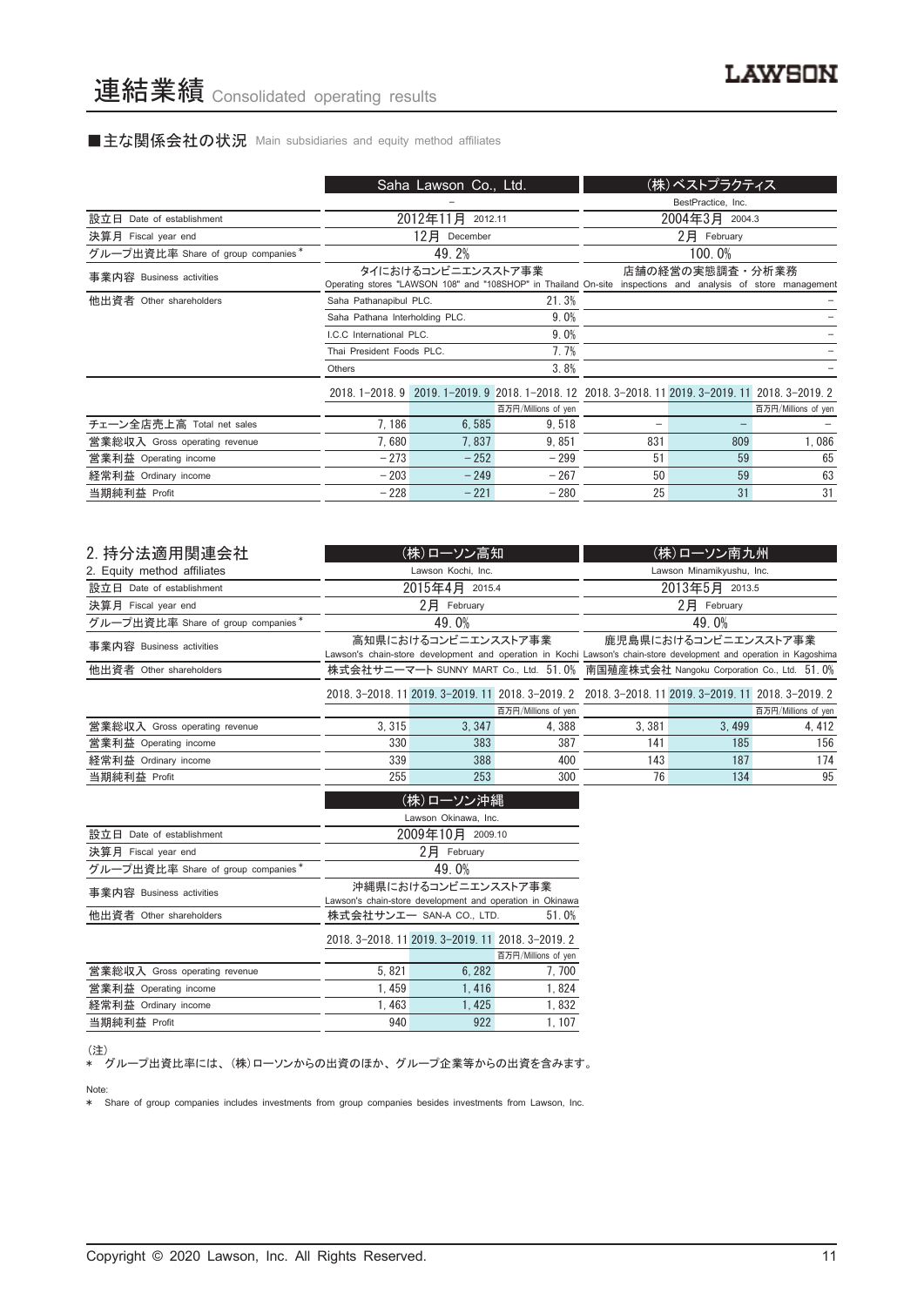## ■主な関係会社の状況 Main subsidiaries and equity method affiliates

|                                    |                                | Saha Lawson Co., Ltd. |                                                                                                              |     | (株)ベストプラクティス       |                     |
|------------------------------------|--------------------------------|-----------------------|--------------------------------------------------------------------------------------------------------------|-----|--------------------|---------------------|
|                                    |                                |                       |                                                                                                              |     | BestPractice, Inc. |                     |
| 設立日 Date of establishment          |                                | 2012年11月<br>2012.11   |                                                                                                              |     | 2004年3月 2004.3     |                     |
| 決算月 Fiscal year end                |                                | 12月<br>December       |                                                                                                              |     | 2月 February        |                     |
| グループ出資比率 Share of group companies* |                                | 49.2%                 |                                                                                                              |     | 100.0%             |                     |
| 事業内容 Business activities           |                                | タイにおけるコンビニエンスストア事業    | Operating stores "LAWSON 108" and "108SHOP" in Thailand On-site inspections and analysis of store management |     | 店舗の経営の実態調査・分析業務    |                     |
| 他出資者 Other shareholders            | Saha Pathanapibul PLC.         |                       | 21.3%                                                                                                        |     |                    |                     |
|                                    | Saha Pathana Interholding PLC. |                       | 9.0%                                                                                                         |     |                    |                     |
|                                    | I.C.C International PLC.       |                       | 9.0%                                                                                                         |     |                    |                     |
|                                    | Thai President Foods PLC.      |                       | 7.7%                                                                                                         |     |                    |                     |
|                                    | Others                         |                       | 3.8%                                                                                                         |     |                    |                     |
|                                    |                                |                       | 2018. 1-2018. 9 2019. 1-2019. 9 2018. 1-2018. 12 2018. 3-2018. 11 2019. 3-2019. 11 2018. 3-2019. 2           |     |                    |                     |
|                                    |                                |                       | 百万円/Millions of yen                                                                                          |     |                    | 百万円/Millions of yen |
| チェーン全店売上高 Total net sales          | 7.186                          | 6,585                 | 9,518                                                                                                        | -   |                    |                     |
| 営業総収入 Gross operating revenue      | 7.680                          | 7.837                 | 9.851                                                                                                        | 831 | 809                | 1,086               |
| 営業利益 Operating income              | $-273$                         | $-252$                | $-299$                                                                                                       | 51  | 59                 | 65                  |
| 経常利益 Ordinary income               | $-203$                         | $-249$                | $-267$                                                                                                       | 50  | 59                 | 63                  |
| 当期純利益 Profit                       | $-228$                         | $-221$                | $-280$                                                                                                       | 25  | 31                 | 31                  |

| 2. 持分法適用関連会社                       |                                                                                    | (株)ローソン高知           |                     |                                                                                                                     | (株)ローソン南九州                  |                     |
|------------------------------------|------------------------------------------------------------------------------------|---------------------|---------------------|---------------------------------------------------------------------------------------------------------------------|-----------------------------|---------------------|
| 2. Equity method affiliates        |                                                                                    | Lawson Kochi, Inc.  |                     |                                                                                                                     | Lawson Minamikyushu, Inc.   |                     |
| 設立日 Date of establishment          |                                                                                    | 2015年4月 2015.4      |                     | 2013年5月 2013.5                                                                                                      |                             |                     |
| 決算月 Fiscal year end                |                                                                                    | $2$ $H$ February    |                     |                                                                                                                     | $2$ $\overline{P}$ February |                     |
| グループ出資比率 Share of group companies* |                                                                                    | 49.0%               |                     |                                                                                                                     | 49.0%                       |                     |
| 事業内容 Business activities           |                                                                                    | 高知県におけるコンビニエンスストア事業 |                     |                                                                                                                     | 鹿児島県におけるコンビニエンスストア事業        |                     |
|                                    |                                                                                    |                     |                     | Lawson's chain-store development and operation in Kochi Lawson's chain-store development and operation in Kagoshima |                             |                     |
| 他出資者 Other shareholders            | 株式会社サニーマート SUNNY MART Co., Ltd. 51.0% 南国殖産株式会社 Nangoku Corporation Co., Ltd. 51.0% |                     |                     |                                                                                                                     |                             |                     |
|                                    |                                                                                    |                     |                     | 2018. 3-2018. 11 2019. 3-2019. 11 2018. 3-2019. 2 2018. 3-2018. 11 2019. 3-2019. 11 2018. 3-2019. 2                 |                             |                     |
|                                    |                                                                                    |                     | 百万円/Millions of yen |                                                                                                                     |                             | 百万円/Millions of yen |
| 営業総収入 Gross operating revenue      | 3.315                                                                              | 3.347               | 4.388               | 3.381                                                                                                               | 3.499                       | 4, 412              |
| 営業利益 Operating income              | 330                                                                                | 383                 | 387                 | 141                                                                                                                 | 185                         | 156                 |
| 経常利益 Ordinary income               | 339                                                                                | 388                 | 400                 | 143                                                                                                                 | 187                         | 174                 |
| 当期純利益 Profit                       | 255                                                                                | 253                 | 300                 | 76                                                                                                                  | 134                         | 95                  |
|                                    |                                                                                    | (株)ローソン沖縄           |                     |                                                                                                                     |                             |                     |

|                                    | Lawson Okinawa, Inc.                                      |                                                   |                     |  |  |  |
|------------------------------------|-----------------------------------------------------------|---------------------------------------------------|---------------------|--|--|--|
| 設立日 Date of establishment          | 2009年10月 2009.10                                          |                                                   |                     |  |  |  |
| 決算月 Fiscal year end                |                                                           | 2月<br>February                                    |                     |  |  |  |
| グループ出資比率 Share of group companies* |                                                           | 49.0%                                             |                     |  |  |  |
| 事業内容 Business activities           |                                                           | 沖縄県におけるコンビニエンスストア事業                               |                     |  |  |  |
|                                    | Lawson's chain-store development and operation in Okinawa |                                                   |                     |  |  |  |
| 他出資者 Other shareholders            | 株式会社サンエー SAN-A CO., LTD.<br>51.0%                         |                                                   |                     |  |  |  |
|                                    |                                                           | 2018. 3-2018. 11 2019. 3-2019. 11 2018. 3-2019. 2 |                     |  |  |  |
|                                    |                                                           |                                                   | 百万円/Millions of yen |  |  |  |
| 営業総収入 Gross operating revenue      | 5.821                                                     | 6.282                                             | 7,700               |  |  |  |
| 営業利益 Operating income              | 1.459                                                     | 1.416                                             | 1.824               |  |  |  |
| 経常利益 Ordinary income               | 1.463                                                     | 1.425                                             | 1,832               |  |  |  |
| 当期純利益 Profit                       | 940                                                       | 922                                               | 1.107               |  |  |  |
|                                    |                                                           |                                                   |                     |  |  |  |

(注)

\* グループ出資比率には、 (株)ローソンからの出資のほか、 グループ企業等からの出資を含みます。

Note:

\* Share of group companies includes investments from group companies besides investments from Lawson, Inc.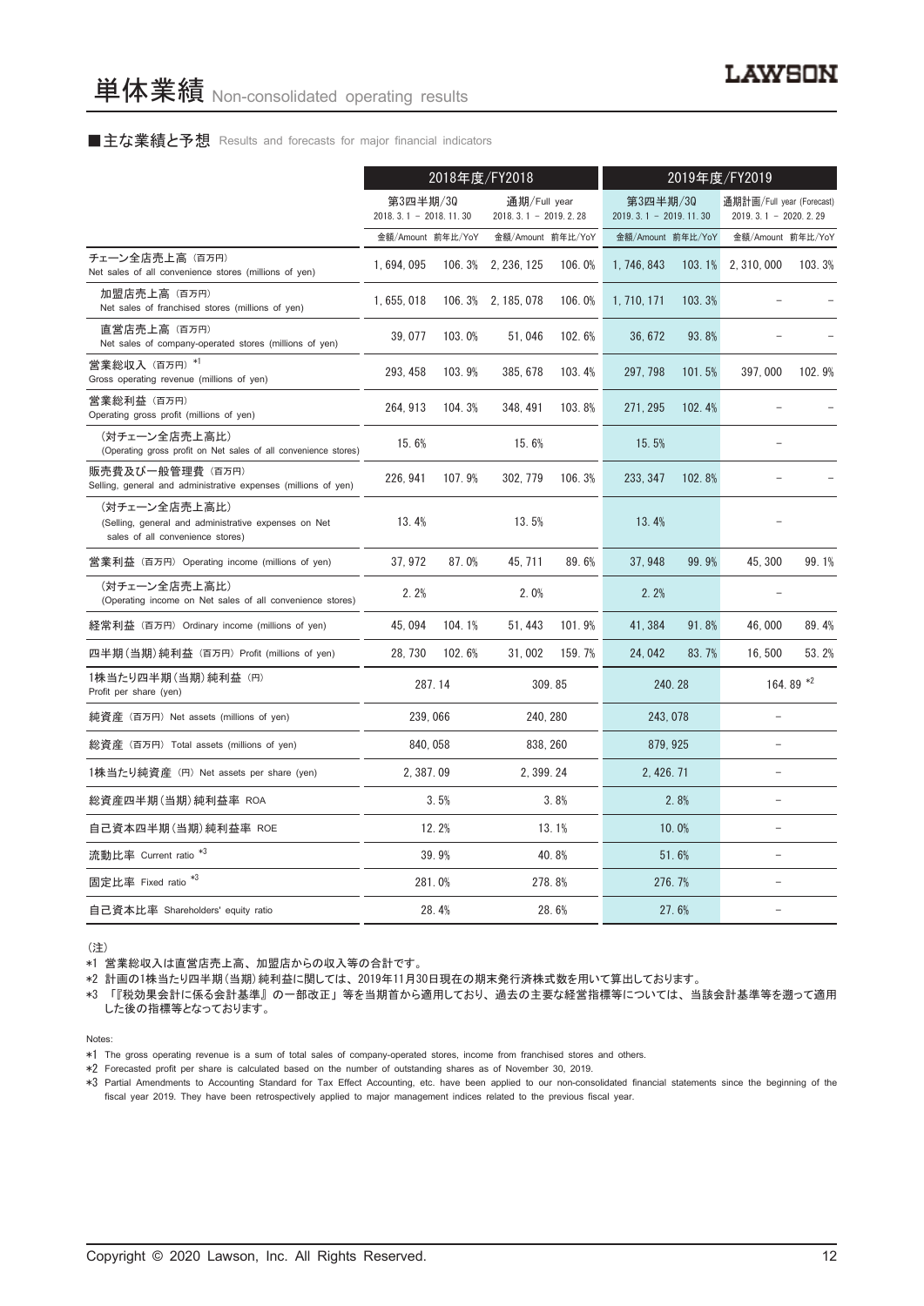#### ■主な業績と予想 Results and forecasts for major financial indicators

|                                                                                                           | 2018年度/FY2018                         |        |                                          |        | 2019年度/FY2019                       |        |                                                       |           |
|-----------------------------------------------------------------------------------------------------------|---------------------------------------|--------|------------------------------------------|--------|-------------------------------------|--------|-------------------------------------------------------|-----------|
|                                                                                                           | 第3四半期/30<br>2018. 3. 1 - 2018. 11. 30 |        | 通期/Full year<br>2018. 3. 1 - 2019. 2. 28 |        | 第3四半期/30<br>$2019.3.1 - 2019.11.30$ |        | 通期計画/Full year (Forecast)<br>2019. 3. 1 - 2020. 2. 29 |           |
|                                                                                                           | 金額/Amount 前年比/YoY                     |        | 金額/Amount 前年比/YoY                        |        | 金額/Amount 前年比/YoY                   |        | 金額/Amount 前年比/YoY                                     |           |
| チェーン全店売上高 (百万円)<br>Net sales of all convenience stores (millions of yen)                                  | 1,694,095                             |        | 106.3% 2, 236, 125                       | 106.0% | 1, 746, 843                         | 103.1% | 2, 310, 000                                           | 103.3%    |
| 加盟店売上高(百万円)<br>Net sales of franchised stores (millions of yen)                                           | 1, 655, 018                           |        | 106.3% 2, 185, 078                       | 106.0% | 1, 710, 171                         | 103.3% |                                                       |           |
| 直営店売上高(百万円)<br>Net sales of company-operated stores (millions of yen)                                     | 39,077                                | 103.0% | 51,046                                   | 102.6% | 36, 672                             | 93.8%  |                                                       |           |
| 営業総収入 (百万円) *1<br>Gross operating revenue (millions of yen)                                               | 293, 458                              | 103.9% | 385, 678                                 | 103.4% | 297, 798                            | 101.5% | 397,000                                               | 102.9%    |
| 営業総利益 (百万円)<br>Operating gross profit (millions of yen)                                                   | 264, 913                              | 104.3% | 348, 491                                 | 103.8% | 271, 295                            | 102.4% |                                                       |           |
| (対チェーン全店売上高比)<br>(Operating gross profit on Net sales of all convenience stores)                          | 15.6%                                 |        | 15.6%                                    |        | 15.5%                               |        |                                                       |           |
| 販売費及び一般管理費 (百万円)<br>Selling, general and administrative expenses (millions of yen)                        | 226, 941                              | 107.9% | 302.779                                  | 106.3% | 233.347                             | 102.8% |                                                       |           |
| (対チェーン全店売上高比)<br>(Selling, general and administrative expenses on Net<br>sales of all convenience stores) | 13.4%                                 |        | 13.5%                                    |        | 13.4%                               |        |                                                       |           |
| 営業利益 (百万円) Operating income (millions of yen)                                                             | 37, 972                               | 87.0%  | 45, 711                                  | 89.6%  | 37, 948                             | 99.9%  | 45, 300                                               | 99.1%     |
| (対チェーン全店売上高比)<br>(Operating income on Net sales of all convenience stores)                                | 2.2%                                  |        | 2.0%                                     |        | 2.2%                                |        |                                                       |           |
| 経常利益(百万円)Ordinary income (millions of yen)                                                                | 45, 094                               | 104.1% | 51, 443                                  | 101.9% | 41, 384                             | 91.8%  | 46,000                                                | 89.4%     |
| 四半期(当期)純利益 (百万円) Profit (millions of yen)                                                                 | 28, 730                               | 102.6% | 31,002                                   | 159.7% | 24,042                              | 83.7%  | 16,500                                                | 53.2%     |
| 1株当たり四半期 (当期) 純利益 (円)<br>Profit per share (yen)                                                           |                                       | 287.14 |                                          | 309.85 | 240.28                              |        |                                                       | 164.89 *2 |
| 純資産 (百万円) Net assets (millions of yen)                                                                    | 239,066                               |        | 240, 280                                 |        | 243, 078                            |        |                                                       |           |
| 総資産 (百万円) Total assets (millions of yen)                                                                  | 840, 058                              |        | 838, 260                                 |        | 879, 925                            |        |                                                       |           |
| 1株当たり純資産 (円) Net assets per share (yen)                                                                   | 2, 387.09                             |        | 2, 399, 24                               |        | 2, 426, 71                          |        | $\equiv$                                              |           |
| 総資産四半期(当期)純利益率 ROA                                                                                        |                                       | 3.5%   |                                          | 3.8%   |                                     | 2.8%   | L.                                                    |           |
| 自己資本四半期(当期)純利益率 ROE                                                                                       |                                       | 12.2%  |                                          | 13.1%  |                                     | 10.0%  | $\equiv$                                              |           |
| 流動比率 Current ratio <sup>*3</sup>                                                                          |                                       | 39.9%  |                                          | 40.8%  |                                     | 51.6%  | $\equiv$                                              |           |
| 固定比率 Fixed ratio <sup>*3</sup>                                                                            |                                       | 281.0% |                                          | 278.8% | 276.7%                              |        |                                                       |           |
| 自己資本比率 Shareholders' equity ratio                                                                         |                                       | 28.4%  |                                          | 28.6%  |                                     | 27.6%  |                                                       |           |

(注)

\*1 営業総収入は直営店売上高、 加盟店からの収入等の合計です。

\*2 計画の1株当たり四半期(当期)純利益に関しては、 2019年11月30日現在の期末発行済株式数を用いて算出しております。

\*3 「『税効果会計に係る会計基準』 の一部改正」 等を当期首から適用しており、 過去の主要な経営指標等については、 当該会計基準等を遡って適用 した後の指標等となっております。

Notes:

\*2 Forecasted profit per share is calculated based on the number of outstanding shares as of November 30, 2019.

\*3 Partial Amendments to Accounting Standard for Tax Effect Accounting, etc. have been applied to our non-consolidated financial statements since the beginning of the fiscal year 2019. They have been retrospectively applied to major management indices related to the previous fiscal year.

<sup>\*1</sup> The gross operating revenue is a sum of total sales of company-operated stores, income from franchised stores and others.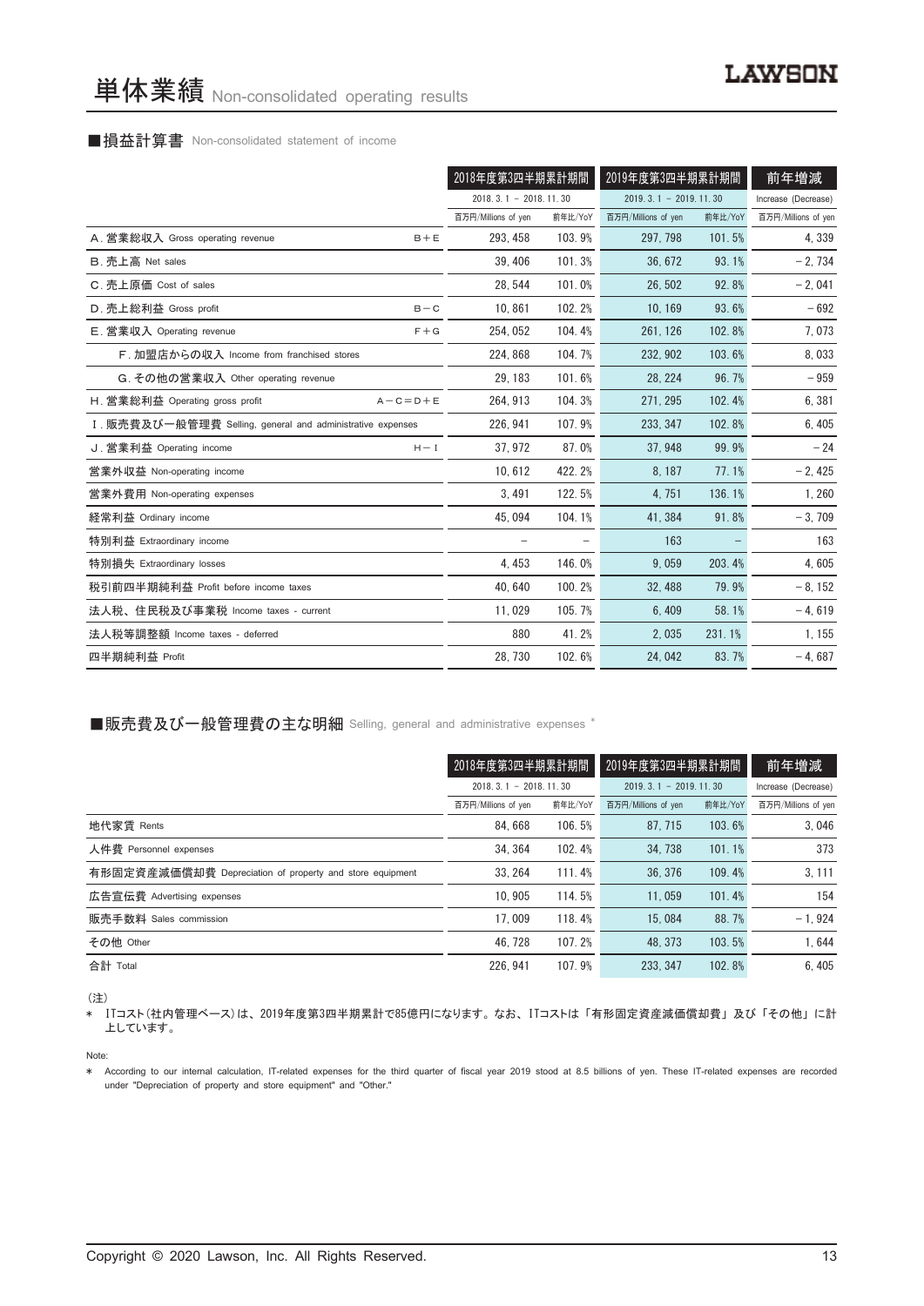#### ■損益計算書 Non-consolidated statement of income

|                                                            |         | 2018年度第3四半期累計期間         |         | 2019年度第3四半期累計期間         |         | 前年増減                |
|------------------------------------------------------------|---------|-------------------------|---------|-------------------------|---------|---------------------|
|                                                            |         | $2018.3.1 - 2018.11.30$ |         | $2019.3.1 - 2019.11.30$ |         | Increase (Decrease) |
|                                                            |         | 百万円/Millions of yen     | 前年比/YoY | 百万円/Millions of yen     | 前年比/YoY | 百万円/Millions of yen |
| A. 営業総収入 Gross operating revenue                           | $B + E$ | 293.458                 | 103.9%  | 297.798                 | 101.5%  | 4,339               |
| B. 売上高 Net sales                                           |         | 39, 406                 | 101.3%  | 36.672                  | 93.1%   | $-2,734$            |
| C. 売上原価 Cost of sales                                      |         | 28, 544                 | 101.0%  | 26,502                  | 92.8%   | $-2,041$            |
| D. 売上総利益 Gross profit                                      | $B - C$ | 10.861                  | 102.2%  | 10, 169                 | 93.6%   | $-692$              |
| E. 営業収入 Operating revenue                                  | $F + G$ | 254, 052                | 104.4%  | 261, 126                | 102.8%  | 7,073               |
| F. 加盟店からの収入 Income from franchised stores                  |         | 224, 868                | 104.7%  | 232.902                 | 103.6%  | 8,033               |
| G. その他の営業収入 Other operating revenue                        |         | 29, 183                 | 101.6%  | 28, 224                 | 96.7%   | $-959$              |
| H. 営業総利益 Operating gross profit<br>$A - C = D + E$         |         | 264, 913                | 104.3%  | 271, 295                | 102.4%  | 6,381               |
| I. 販売費及び一般管理費 Selling, general and administrative expenses |         | 226, 941                | 107.9%  | 233.347                 | 102.8%  | 6,405               |
| J. 営業利益 Operating income                                   | $H - I$ | 37.972                  | 87.0%   | 37.948                  | 99.9%   | $-24$               |
| 営業外収益 Non-operating income                                 |         | 10,612                  | 422.2%  | 8,187                   | 77.1%   | $-2,425$            |
| 営業外費用 Non-operating expenses                               |         | 3,491                   | 122.5%  | 4,751                   | 136.1%  | 1,260               |
| 経常利益 Ordinary income                                       |         | 45, 094                 | 104.1%  | 41.384                  | 91.8%   | $-3,709$            |
| 特別利益 Extraordinary income                                  |         |                         |         | 163                     |         | 163                 |
| 特別損失 Extraordinary losses                                  |         | 4,453                   | 146.0%  | 9,059                   | 203.4%  | 4,605               |
| 税引前四半期純利益 Profit before income taxes                       |         | 40,640                  | 100.2%  | 32, 488                 | 79.9%   | $-8, 152$           |
| 法人税、住民税及び事業税 Income taxes - current                        |         | 11.029                  | 105.7%  | 6.409                   | 58.1%   | $-4.619$            |
| 法人税等調整額 Income taxes - deferred                            |         | 880                     | 41.2%   | 2,035                   | 231.1%  | 1, 155              |
| 四半期純利益 Profit                                              |         | 28,730                  | 102.6%  | 24,042                  | 83.7%   | $-4,687$            |

■販売費及び一般管理費の主な明細 Selling, general and administrative expenses \*

|                                                          | 2018年度第3四半期累計期間             |         | 2019年度第3四半期累計期間         |                     | 前年増減                |
|----------------------------------------------------------|-----------------------------|---------|-------------------------|---------------------|---------------------|
|                                                          | $2018, 3, 1 - 2018, 11, 30$ |         | $2019.3.1 - 2019.11.30$ | Increase (Decrease) |                     |
|                                                          | 百万円/Millions of yen         | 前年比/YoY | 百万円/Millions of yen     | 前年比/YoY             | 百万円/Millions of yen |
| 地代家賃 Rents                                               | 84.668                      | 106.5%  | 87.715                  | 103.6%              | 3.046               |
| 人件費 Personnel expenses                                   | 34.364                      | 102.4%  | 34, 738                 | 101.1%              | 373                 |
| 有形固定資産減価償却費 Depreciation of property and store equipment | 33.264                      | 111.4%  | 36, 376                 | 109.4%              | 3, 111              |
| 広告宣伝費 Advertising expenses                               | 10.905                      | 114.5%  | 11.059                  | 101.4%              | 154                 |
| 販売手数料 Sales commission                                   | 17.009                      | 118.4%  | 15,084                  | 88.7%               | $-1.924$            |
| その他 Other                                                | 46.728                      | 107.2%  | 48.373                  | 103.5%              | 1.644               |
| 合計 Total                                                 | 226.941                     | 107.9%  | 233.347                 | 102.8%              | 6.405               |

(注)

\* ITコスト(社内管理ベース)は、 2019年度第3四半期累計で85億円になります。 なお、 ITコストは 「有形固定資産減価償却費」 及び 「その他」 に計 上しています。

Note:

\* According to our internal calculation, IT-related expenses for the third quarter of fiscal year 2019 stood at 8.5 billions of yen. These IT-related expenses are recorded under "Depreciation of property and store equipment" and "Other."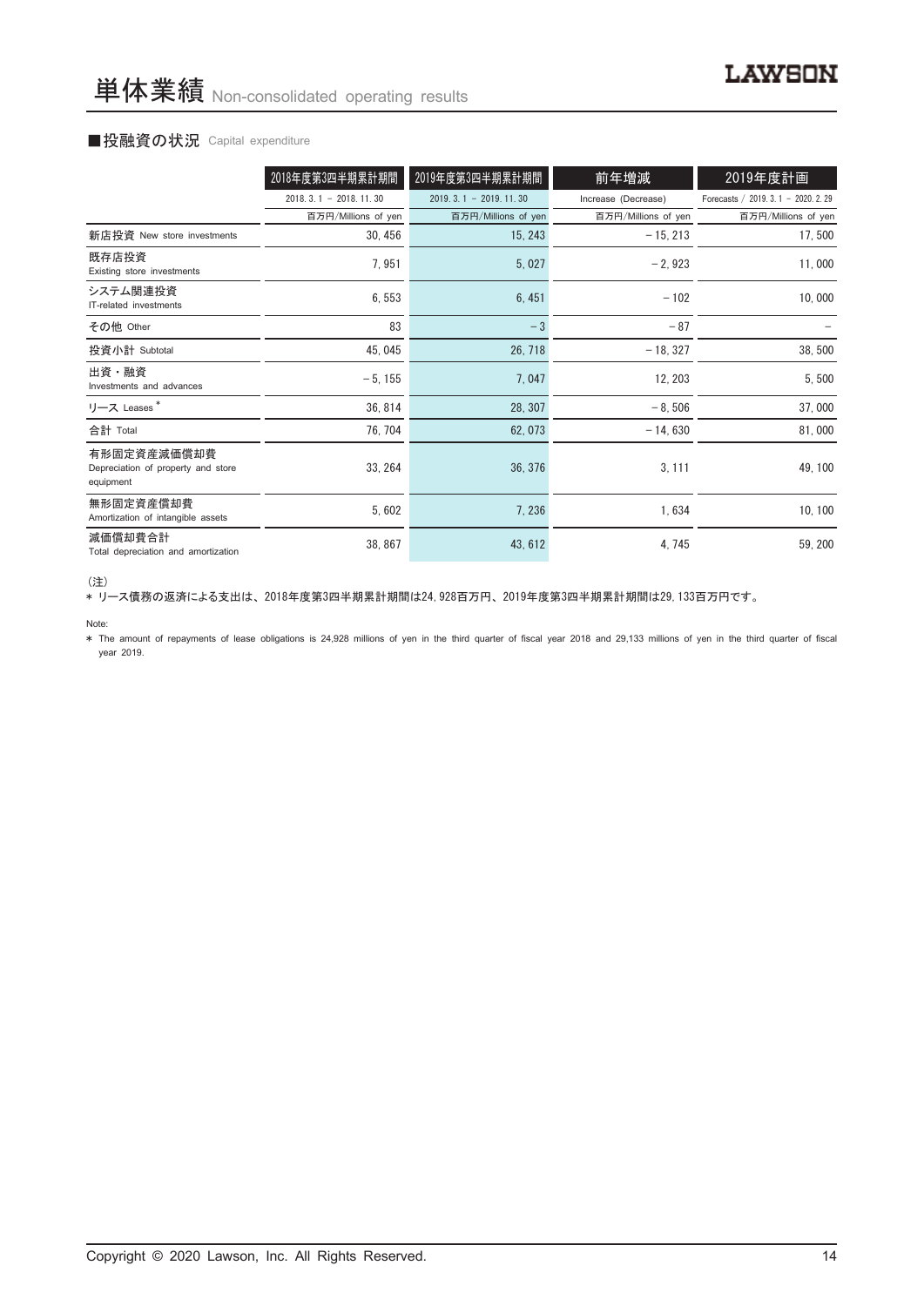#### ■投融資の状況 Capital expenditure

|                                                                | 2018年度第3四半期累計期間             | 2019年度第3四半期累計期間             | 前年増減                | 2019年度計画                             |
|----------------------------------------------------------------|-----------------------------|-----------------------------|---------------------|--------------------------------------|
|                                                                | $2018, 3, 1 - 2018, 11, 30$ | $2019, 3, 1 - 2019, 11, 30$ | Increase (Decrease) | Forecasts / 2019. 3. 1 - 2020. 2. 29 |
|                                                                | 百万円/Millions of yen         | 百万円/Millions of yen         | 百万円/Millions of yen | 百万円/Millions of yen                  |
| 新店投資 New store investments                                     | 30, 456                     | 15, 243                     | $-15, 213$          | 17,500                               |
| 既存店投資<br>Existing store investments                            | 7,951                       | 5,027                       | $-2,923$            | 11,000                               |
| システム関連投資<br>IT-related investments                             | 6,553                       | 6,451                       | $-102$              | 10,000                               |
| その他 Other                                                      | 83                          | $-3$                        | $-87$               |                                      |
| 投資小計 Subtotal                                                  | 45, 045                     | 26, 718                     | $-18, 327$          | 38,500                               |
| 出資・融資<br>Investments and advances                              | $-5, 155$                   | 7,047                       | 12, 203             | 5,500                                |
| リース Leases <sup>*</sup>                                        | 36, 814                     | 28, 307                     | $-8,506$            | 37,000                               |
| 合計 Total                                                       | 76, 704                     | 62, 073                     | $-14,630$           | 81,000                               |
| 有形固定資産減価償却費<br>Depreciation of property and store<br>equipment | 33, 264                     | 36, 376                     | 3, 111              | 49, 100                              |
| 無形固定資産償却費<br>Amortization of intangible assets                 | 5,602                       | 7, 236                      | 1,634               | 10, 100                              |
| 減価償却費合計<br>Total depreciation and amortization                 | 38, 867                     | 43, 612                     | 4,745               | 59, 200                              |

<sup>(</sup>注)

\* リース債務の返済による支出は、 2018年度第3四半期累計期間は24,928百万円、 2019年度第3四半期累計期間は29,133百万円です。

\* The amount of repayments of lease obligations is 24,928 millions of yen in the third quarter of fiscal year 2018 and 29,133 millions of yen in the third quarter of fiscal year 2019.

Note: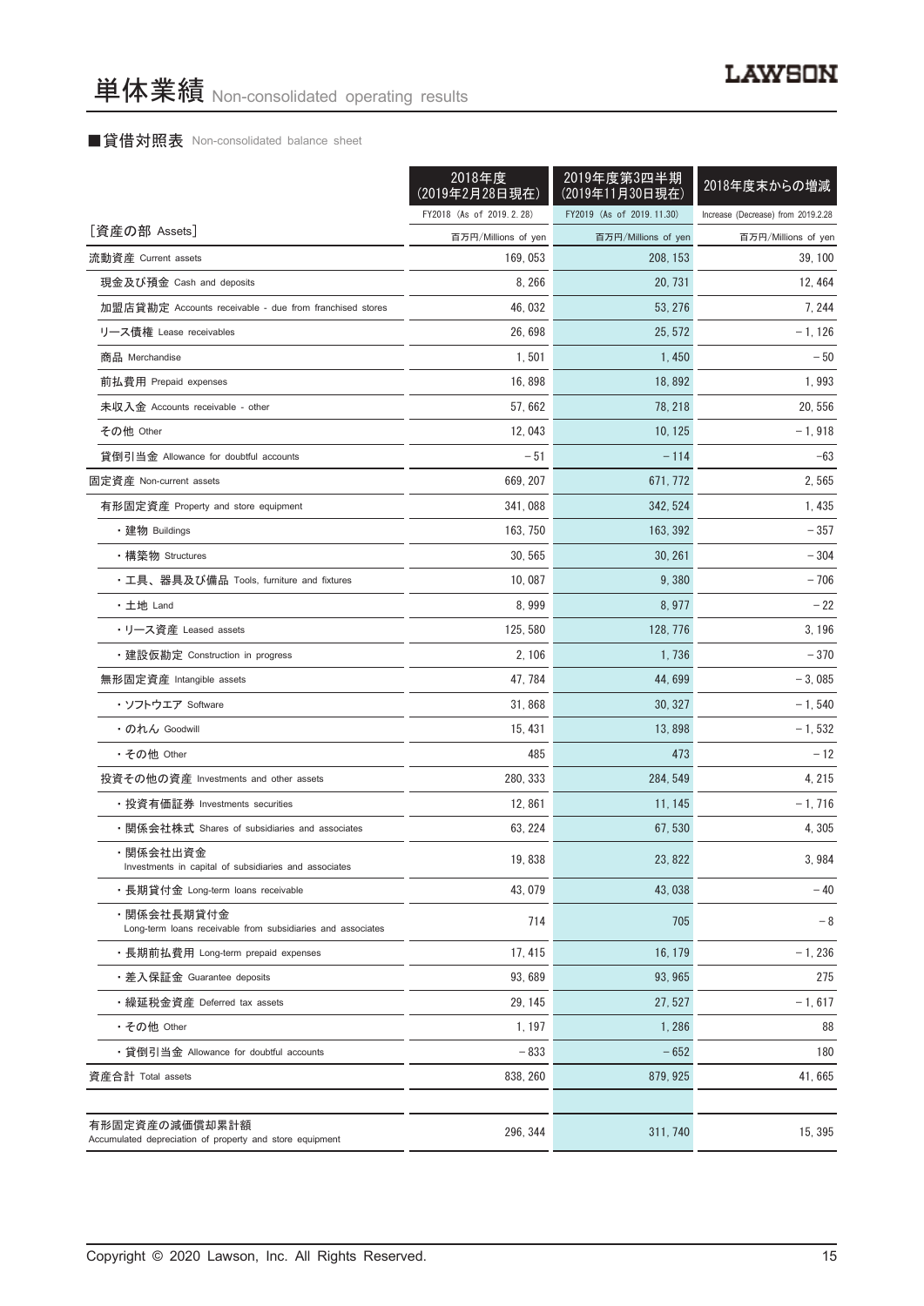## ■貸借対照表 Non-consolidated balance sheet

|                                                                            | 2018年度<br>(2019年2月28日現在) | 2019年度第3四半期<br>(2019年11月30日現在) | 2018年度末からの増減                       |
|----------------------------------------------------------------------------|--------------------------|--------------------------------|------------------------------------|
|                                                                            | FY2018 (As of 2019.2.28) | FY2019 (As of 2019.11.30)      | Increase (Decrease) from 2019.2.28 |
| [資産の部 Assets]                                                              | 百万円/Millions of yen      | 百万円/Millions of yen            | 百万円/Millions of yen                |
| 流動資産 Current assets                                                        | 169, 053                 | 208, 153                       | 39, 100                            |
| 現金及び預金 Cash and deposits                                                   | 8, 266                   | 20, 731                        | 12, 464                            |
| 加盟店貸勘定 Accounts receivable - due from franchised stores                    | 46, 032                  | 53, 276                        | 7, 244                             |
| リース債権 Lease receivables                                                    | 26, 698                  | 25, 572                        | $-1, 126$                          |
| 商品 Merchandise                                                             | 1,501                    | 1,450                          | $-50$                              |
| 前払費用 Prepaid expenses                                                      | 16,898                   | 18,892                         | 1,993                              |
| 未収入金 Accounts receivable - other                                           | 57,662                   | 78, 218                        | 20, 556                            |
| その他 Other                                                                  | 12,043                   | 10, 125                        | $-1,918$                           |
| 貸倒引当金 Allowance for doubtful accounts                                      | $-51$                    | $-114$                         | $-63$                              |
| 固定資産 Non-current assets                                                    | 669, 207                 | 671, 772                       | 2,565                              |
| 有形固定資産 Property and store equipment                                        | 341,088                  | 342, 524                       | 1, 435                             |
| ・建物 Buildings                                                              | 163, 750                 | 163, 392                       | $-357$                             |
| ・構築物 Structures                                                            | 30, 565                  | 30, 261                        | - 304                              |
| ・工具、器具及び備品 Tools, furniture and fixtures                                   | 10,087                   | 9,380                          | $-706$                             |
| ・土地 Land                                                                   | 8,999                    | 8,977                          | $-22$                              |
| ・リース資産 Leased assets                                                       | 125, 580                 | 128, 776                       | 3, 196                             |
| ・建設仮勘定 Construction in progress                                            | 2, 106                   | 1,736                          | $-370$                             |
| 無形固定資産 Intangible assets                                                   | 47, 784                  | 44, 699                        | $-3,085$                           |
| ・ソフトウエア Software                                                           | 31,868                   | 30, 327                        | $-1,540$                           |
| ・のれん Goodwill                                                              | 15, 431                  | 13,898                         | $-1, 532$                          |
| ・その他 Other                                                                 | 485                      | 473                            | $-12$                              |
| 投資その他の資産 Investments and other assets                                      | 280, 333                 | 284, 549                       | 4, 215                             |
| ・投資有価証券 Investments securities                                             | 12,861                   | 11, 145                        | $-1,716$                           |
| ・関係会社株式 Shares of subsidiaries and associates                              | 63, 224                  | 67, 530                        | 4,305                              |
| ・関係会社出資金<br>Investments in capital of subsidiaries and associates          | 19,838                   | 23, 822                        | 3,984                              |
| ・長期貸付金 Long-term loans receivable                                          | 43, 079                  | 43,038                         | $-40$                              |
| ・関係会社長期貸付金<br>Long-term loans receivable from subsidiaries and associates  | 714                      | 705                            | $-8$                               |
| ・長期前払費用 Long-term prepaid expenses                                         | 17, 415                  | 16.179                         | $-1,236$                           |
| ・差入保証金 Guarantee deposits                                                  | 93.689                   | 93, 965                        | 275                                |
| ・繰延税金資産 Deferred tax assets                                                | 29, 145                  | 27, 527                        | $-1, 617$                          |
| • その他 Other                                                                | 1, 197                   | 1,286                          | 88                                 |
| ・貸倒引当金 Allowance for doubtful accounts                                     | $-833$                   | $-652$                         | 180                                |
| 資産合計 Total assets                                                          | 838, 260                 | 879, 925                       | 41,665                             |
|                                                                            |                          |                                |                                    |
| 有形固定資産の減価償却累計額<br>Accumulated depreciation of property and store equipment | 296, 344                 | 311, 740                       | 15, 395                            |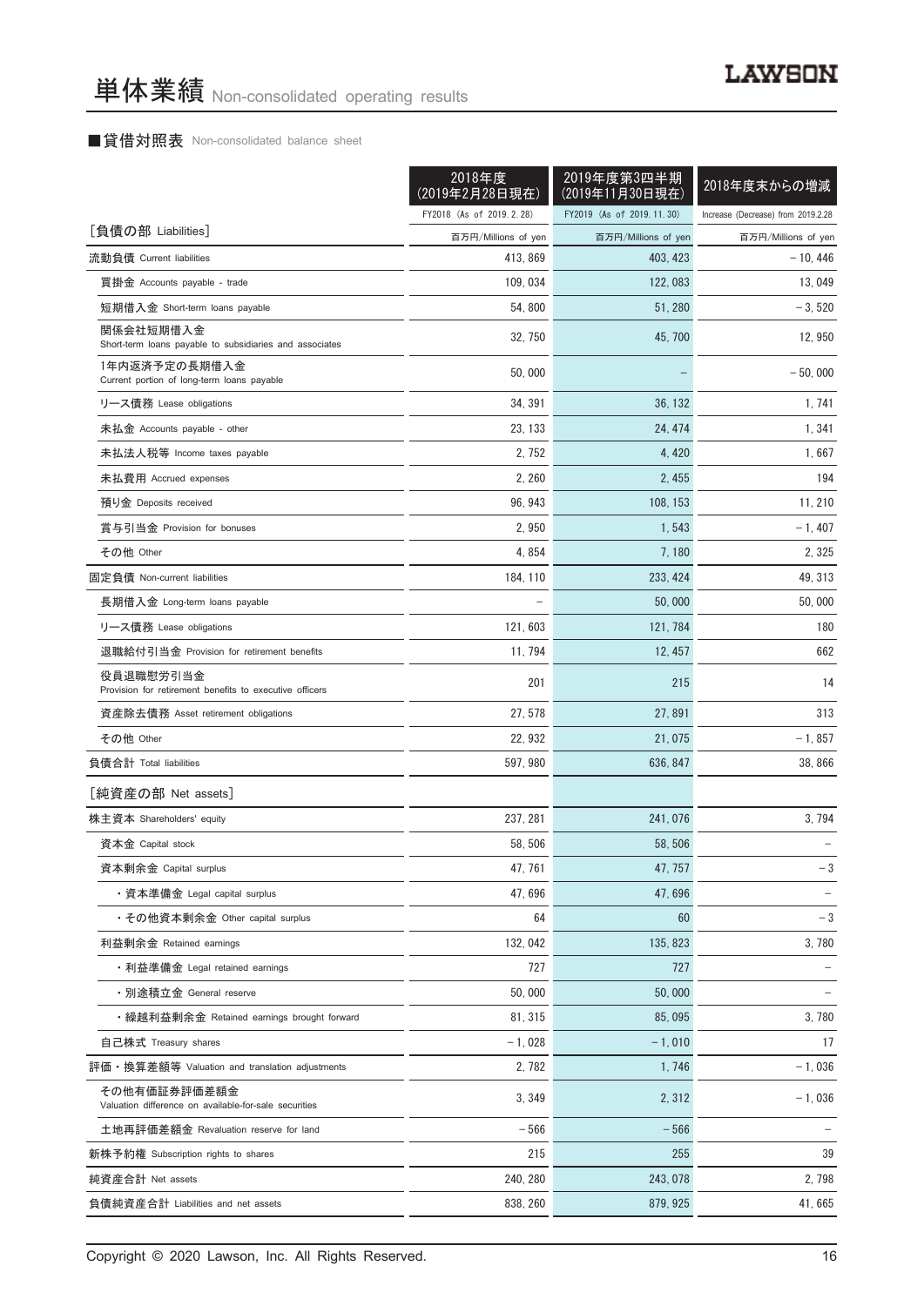## ■貸借対照表 Non-consolidated balance sheet

|                                                                       | 2018年度<br>(2019年2月28日現在) | 2019年度第3四半期<br>(2019年11月30日現在) | 2018年度末からの増減                       |
|-----------------------------------------------------------------------|--------------------------|--------------------------------|------------------------------------|
|                                                                       | FY2018 (As of 2019.2.28) | FY2019 (As of 2019.11.30)      | Increase (Decrease) from 2019.2.28 |
| [負債の部 Liabilities]                                                    | 百万円/Millions of yen      | 百万円/Millions of yen            | 百万円/Millions of yen                |
| 流動負債 Current liabilities                                              | 413, 869                 | 403, 423                       | $-10.446$                          |
| 買掛金 Accounts payable - trade                                          | 109, 034                 | 122, 083                       | 13, 049                            |
| 短期借入金 Short-term loans payable                                        | 54,800                   | 51, 280                        | $-3,520$                           |
| 関係会社短期借入金<br>Short-term loans payable to subsidiaries and associates  | 32, 750                  | 45,700                         | 12, 950                            |
| 1年内返済予定の長期借入金<br>Current portion of long-term loans payable           | 50,000                   |                                | $-50,000$                          |
| リース債務 Lease obligations                                               | 34, 391                  | 36, 132                        | 1, 741                             |
| 未払金 Accounts payable - other                                          | 23, 133                  | 24, 474                        | 1, 341                             |
| 未払法人税等 Income taxes payable                                           | 2, 752                   | 4, 420                         | 1,667                              |
| 未払費用 Accrued expenses                                                 | 2, 260                   | 2, 455                         | 194                                |
| 預り金 Deposits received                                                 | 96, 943                  | 108, 153                       | 11, 210                            |
| 賞与引当金 Provision for bonuses                                           | 2,950                    | 1,543                          | $-1,407$                           |
| その他 Other                                                             | 4,854                    | 7, 180                         | 2, 325                             |
| 固定負債 Non-current liabilities                                          | 184, 110                 | 233, 424                       | 49, 313                            |
| 長期借入金 Long-term loans payable                                         |                          | 50,000                         | 50,000                             |
| リース債務 Lease obligations                                               | 121, 603                 | 121, 784                       | 180                                |
| 退職給付引当金 Provision for retirement benefits                             | 11, 794                  | 12, 457                        | 662                                |
| 役員退職慰労引当金<br>Provision for retirement benefits to executive officers  | 201                      | 215                            | 14                                 |
| 資産除去債務 Asset retirement obligations                                   | 27, 578                  | 27, 891                        | 313                                |
| その他 Other                                                             | 22, 932                  | 21,075                         | $-1,857$                           |
| 負債合計 Total liabilities                                                | 597, 980                 | 636, 847                       | 38,866                             |
| [純資産の部 Net assets]                                                    |                          |                                |                                    |
| 株主資本 Shareholders' equity                                             | 237, 281                 | 241,076                        | 3,794                              |
| 資本金 Capital stock                                                     | 58, 506                  | 58, 506                        |                                    |
| 資本剰余金 Capital surplus                                                 | 47,761                   | 47, 757                        | $-3$                               |
| ・資本準備金 Legal capital surplus                                          | 47,696                   | 47,696                         |                                    |
| ・その他資本剰余金 Other capital surplus                                       | 64                       | 60                             | $-3$                               |
| 利益剰余金 Retained earnings                                               | 132, 042                 | 135, 823                       | 3,780                              |
| ・利益準備金 Legal retained earnings                                        | 727                      | 727                            |                                    |
| ・別途積立金 General reserve                                                | 50,000                   | 50,000                         |                                    |
| ・繰越利益剰余金 Retained earnings brought forward                            | 81, 315                  | 85,095                         | 3,780                              |
| 自己株式 Treasury shares                                                  | $-1,028$                 | $-1,010$                       | 17                                 |
| 評価・換算差額等 Valuation and translation adjustments                        | 2,782                    | 1,746                          | $-1,036$                           |
| その他有価証券評価差額金<br>Valuation difference on available-for-sale securities | 3,349                    | 2,312                          | $-1,036$                           |
| 土地再評価差額金 Revaluation reserve for land                                 | $-566$                   | $-566$                         |                                    |
| 新株予約権 Subscription rights to shares                                   | 215                      | 255                            | 39                                 |
| 純資産合計 Net assets                                                      | 240, 280                 | 243, 078                       | 2,798                              |
| 負債純資産合計 Liabilities and net assets                                    | 838, 260                 | 879, 925                       | 41,665                             |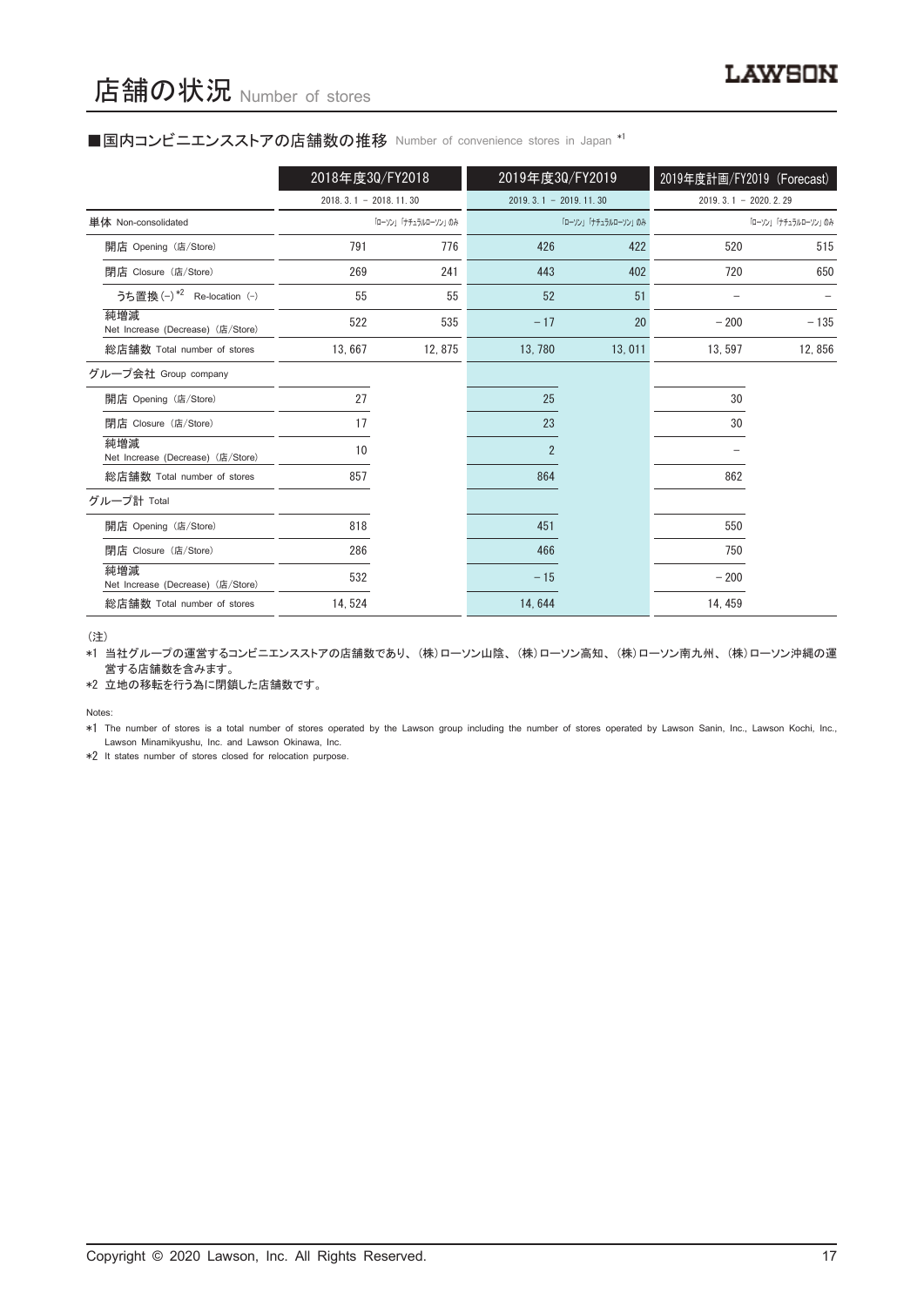#### ■国内コンビニエンスストアの店舗数の推移 Number of convenience stores in Japan \*1

|                                          | 2018年度30/FY2018         |                     | 2019年度30/FY2019         |                     | 2019年度計画/FY2019 (Forecast) |                     |
|------------------------------------------|-------------------------|---------------------|-------------------------|---------------------|----------------------------|---------------------|
|                                          | $2018.3.1 - 2018.11.30$ |                     | $2019.3.1 - 2019.11.30$ |                     | $2019.3.1 - 2020.2.29$     |                     |
| 単体 Non-consolidated                      |                         | 「ローソン」「ナチュラルローソン」のみ |                         | 「ローソン」「ナチュラルローソン」のみ |                            | 「ローソン」「ナチュラルローソン」のみ |
| 開店 Opening (店/Store)                     | 791                     | 776                 | 426                     | 422                 | 520                        | 515                 |
| 閉店 Closure (店/Store)                     | 269                     | 241                 | 443                     | 402                 | 720                        | 650                 |
| うち置換 (-) *2 Re-location (-)              | 55                      | 55                  | 52                      | 51                  |                            |                     |
| 純増減<br>Net Increase (Decrease) (店/Store) | 522                     | 535                 | $-17$                   | 20                  | $-200$                     | $-135$              |
| 総店舗数 Total number of stores              | 13,667                  | 12,875              | 13, 780                 | 13,011              | 13, 597                    | 12,856              |
| グループ会社 Group company                     |                         |                     |                         |                     |                            |                     |
| 開店 Opening (店/Store)                     | 27                      |                     | 25                      |                     | 30                         |                     |
| 閉店 Closure (店/Store)                     | 17                      |                     | 23                      |                     | 30                         |                     |
| 純増減<br>Net Increase (Decrease) (店/Store) | 10                      |                     | $\overline{2}$          |                     |                            |                     |
| 総店舗数 Total number of stores              | 857                     |                     | 864                     |                     | 862                        |                     |
| グループ計 Total                              |                         |                     |                         |                     |                            |                     |
| 開店 Opening (店/Store)                     | 818                     |                     | 451                     |                     | 550                        |                     |
| 閉店 Closure (店/Store)                     | 286                     |                     | 466                     |                     | 750                        |                     |
| 純増減<br>Net Increase (Decrease) (店/Store) | 532                     |                     | $-15$                   |                     | $-200$                     |                     |
| 総店舗数 Total number of stores              | 14, 524                 |                     | 14,644                  |                     | 14, 459                    |                     |

(注)

\*1 当社グループの運営するコンビニエンスストアの店舗数であり、 (株)ローソン山陰、 (株)ローソン高知、 (株)ローソン南九州、 (株)ローソン沖縄の運 営する店舗数を含みます。

\*2 立地の移転を行う為に閉鎖した店舗数です。

Notes:

\*1 The number of stores is a total number of stores operated by the Lawson group including the number of stores operated by Lawson Sanin, Inc., Lawson Kochi, Inc., Lawson Minamikyushu, Inc. and Lawson Okinawa, Inc.

\*2 It states number of stores closed for relocation purpose.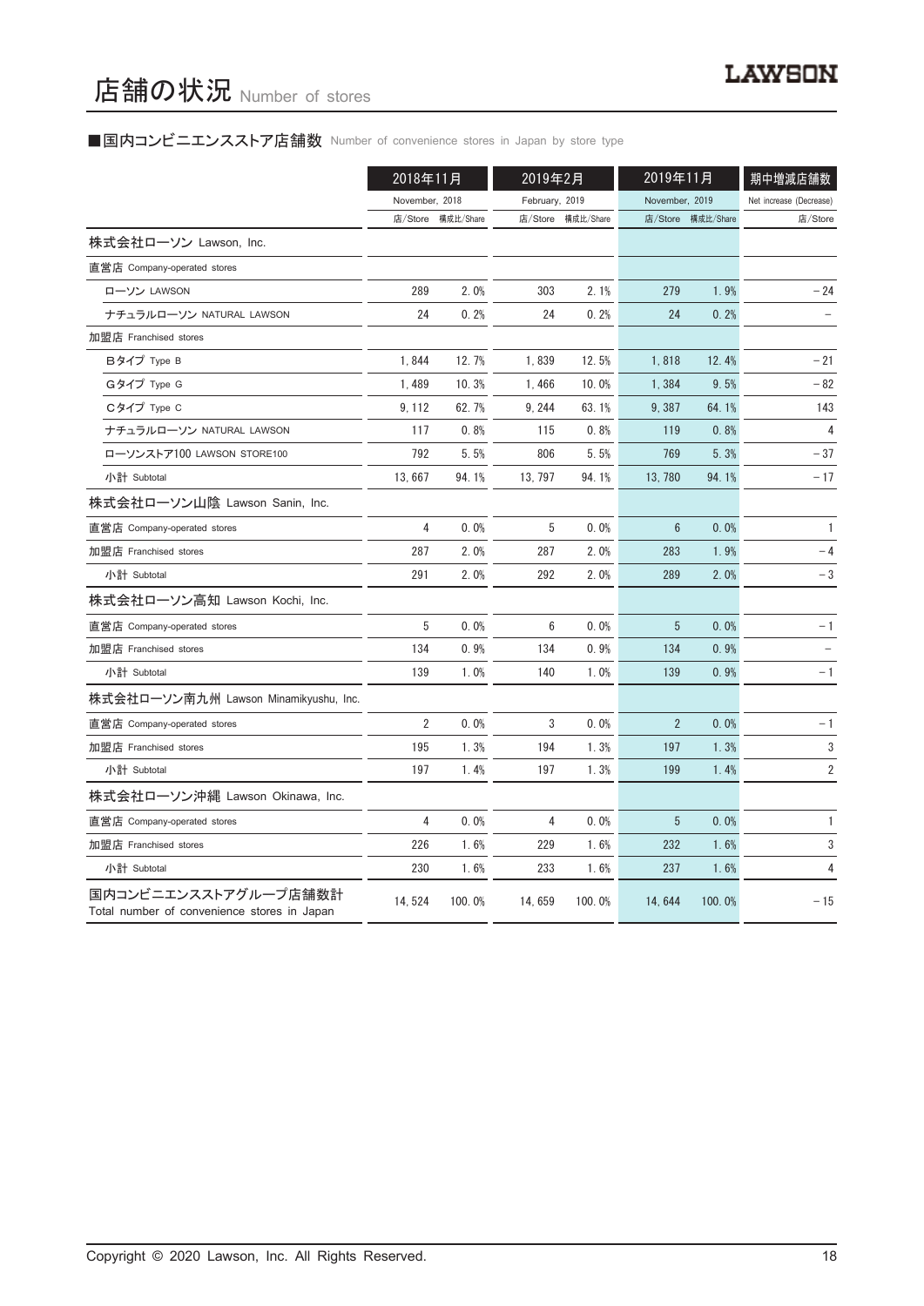# ■国内コンビニエンスストア店舗数 Number of convenience stores in Japan by store type

|                                                                     | 2018年11月       |           | 2019年2月        |           | 2019年11月       |                   | 期中増減店舗数                 |
|---------------------------------------------------------------------|----------------|-----------|----------------|-----------|----------------|-------------------|-------------------------|
|                                                                     | November, 2018 |           | February, 2019 |           | November, 2019 |                   | Net increase (Decrease) |
|                                                                     | 店/Store        | 構成比/Share | 店/Store        | 構成比/Share |                | 店/Store 構成比/Share | 店/Store                 |
| 株式会社ローソン Lawson, Inc.                                               |                |           |                |           |                |                   |                         |
| 直営店 Company-operated stores                                         |                |           |                |           |                |                   |                         |
| ローソン LAWSON                                                         | 289            | 2.0%      | 303            | 2.1%      | 279            | 1.9%              | $-24$                   |
| ナチュラルローソン NATURAL LAWSON                                            | 24             | 0.2%      | 24             | 0.2%      | 24             | 0.2%              |                         |
| 加盟店 Franchised stores                                               |                |           |                |           |                |                   |                         |
| Bタイプ Type B                                                         | 1,844          | 12.7%     | 1,839          | 12.5%     | 1,818          | 12.4%             | $-21$                   |
| Gタイプ Type G                                                         | 1,489          | 10.3%     | 1,466          | 10.0%     | 1,384          | 9.5%              | - 82                    |
| Cタイプ Type C                                                         | 9, 112         | 62.7%     | 9, 244         | 63.1%     | 9,387          | 64.1%             | 143                     |
| ナチュラルローソン NATURAL LAWSON                                            | 117            | 0.8%      | 115            | 0.8%      | 119            | 0.8%              | 4                       |
| ローソンストア100 LAWSON STORE100                                          | 792            | 5.5%      | 806            | 5.5%      | 769            | 5.3%              | - 37                    |
| 小計 Subtotal                                                         | 13,667         | 94.1%     | 13, 797        | 94.1%     | 13, 780        | 94.1%             | - 17                    |
| 株式会社ローソン山陰 Lawson Sanin, Inc.                                       |                |           |                |           |                |                   |                         |
| 直営店 Company-operated stores                                         | 4              | 0.0%      | 5              | 0.0%      | 6              | 0.0%              | $\mathbf{1}$            |
| 加盟店 Franchised stores                                               | 287            | 2.0%      | 287            | 2.0%      | 283            | 1.9%              | $-4$                    |
| 小計 Subtotal                                                         | 291            | 2.0%      | 292            | 2.0%      | 289            | 2.0%              | $-3$                    |
| 株式会社ローソン高知 Lawson Kochi, Inc.                                       |                |           |                |           |                |                   |                         |
| 直営店 Company-operated stores                                         | 5              | 0.0%      | 6              | 0.0%      | 5              | 0.0%              | $-1$                    |
| 加盟店 Franchised stores                                               | 134            | 0.9%      | 134            | 0.9%      | 134            | 0.9%              |                         |
| 小計 Subtotal                                                         | 139            | 1.0%      | 140            | 1.0%      | 139            | 0.9%              | $-1$                    |
| 株式会社ローソン南九州 Lawson Minamikyushu, Inc.                               |                |           |                |           |                |                   |                         |
| 直営店 Company-operated stores                                         | $\overline{2}$ | 0.0%      | 3              | 0.0%      | $\overline{2}$ | 0.0%              | $-1$                    |
| 加盟店 Franchised stores                                               | 195            | 1.3%      | 194            | 1.3%      | 197            | 1.3%              | 3                       |
| 小計 Subtotal                                                         | 197            | 1.4%      | 197            | 1.3%      | 199            | 1.4%              | $\overline{\mathbf{c}}$ |
| 株式会社ローソン沖縄 Lawson Okinawa, Inc.                                     |                |           |                |           |                |                   |                         |
| 直営店 Company-operated stores                                         | 4              | 0.0%      | 4              | 0.0%      | 5              | 0.0%              | 1                       |
| 加盟店 Franchised stores                                               | 226            | 1.6%      | 229            | 1.6%      | 232            | 1.6%              | 3                       |
| 小計 Subtotal                                                         | 230            | 1.6%      | 233            | 1.6%      | 237            | 1.6%              | 4                       |
| 国内コンビニエンスストアグループ店舗数計<br>Total number of convenience stores in Japan | 14,524         | 100.0%    | 14,659         | 100.0%    | 14, 644        | 100.0%            | $-15$                   |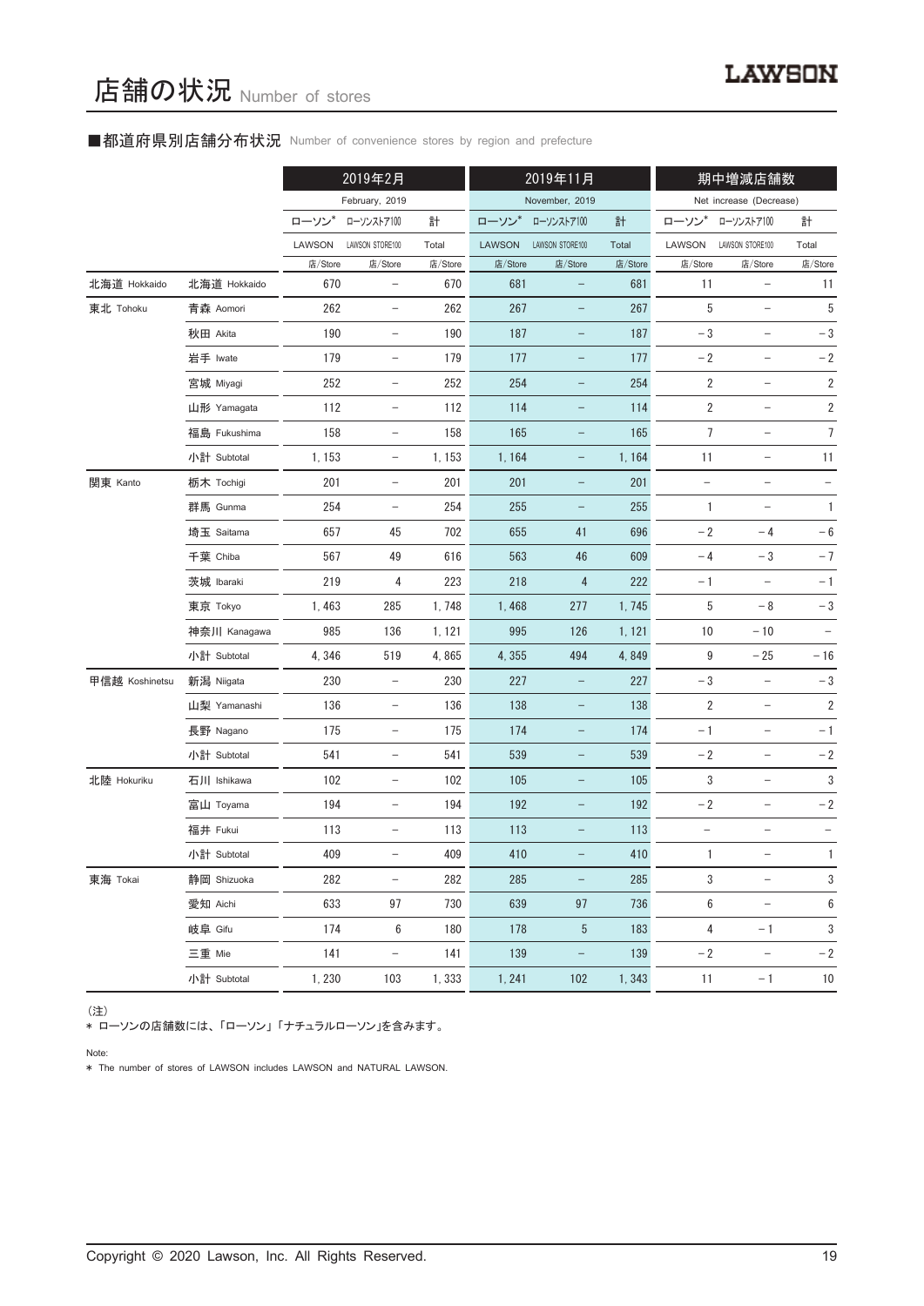## ■都道府県別店舗分布状況 Number of convenience stores by region and prefecture

|                |              |         | 2019年2月                  |         |         | 2019年11月                 |         |                          | 期中増減店舗数                  |                |
|----------------|--------------|---------|--------------------------|---------|---------|--------------------------|---------|--------------------------|--------------------------|----------------|
|                |              |         | February, 2019           |         |         | November, 2019           |         |                          | Net increase (Decrease)  |                |
|                |              | ローソン    | ローソンストア100               | 計       | ローソン    | ローソンストア100               | 計       | ローソン                     | ローソンストア100               | 計              |
|                |              | LAWSON  | LAWSON STORE100          | Total   | LAWSON  | LAWSON STORE100          | Total   | LAWSON                   | LAWSON STORE100          | Total          |
|                |              | 店/Store | 店/Store                  | 店/Store | 店/Store | 店/Store                  | 店/Store | 店/Store                  | 店/Store                  | 店/Store        |
| 北海道 Hokkaido   | 北海道 Hokkaido | 670     | $\qquad \qquad -$        | 670     | 681     |                          | 681     | 11                       |                          | 11             |
| 東北 Tohoku      | 青森 Aomori    | 262     | $\qquad \qquad -$        | 262     | 267     | $\qquad \qquad -$        | 267     | 5                        | $\overline{\phantom{0}}$ | $\overline{5}$ |
|                | 秋田 Akita     | 190     | $\overline{\phantom{a}}$ | 190     | 187     | -                        | 187     | $-3$                     | -                        | $-3$           |
|                | 岩手 Iwate     | 179     | $\qquad \qquad -$        | 179     | 177     |                          | 177     | $-2$                     |                          | $-2$           |
|                | 宮城 Miyagi    | 252     | $\overline{\phantom{a}}$ | 252     | 254     | $\qquad \qquad -$        | 254     | $\overline{2}$           | $\qquad \qquad -$        | $\sqrt{2}$     |
|                | 山形 Yamagata  | 112     | $\overline{\phantom{a}}$ | 112     | 114     | -                        | 114     | $\overline{2}$           | $\overline{\phantom{a}}$ | $\sqrt{2}$     |
|                | 福島 Fukushima | 158     | $\qquad \qquad -$        | 158     | 165     |                          | 165     | 7                        |                          | $\overline{7}$ |
|                | 小計 Subtotal  | 1, 153  | $\overline{\phantom{a}}$ | 1, 153  | 1, 164  | -                        | 1,164   | 11                       | $\qquad \qquad -$        | 11             |
| 関東 Kanto       | 栃木 Tochigi   | 201     | $\overline{\phantom{a}}$ | 201     | 201     | -                        | 201     | $\overline{\phantom{m}}$ | $\overline{\phantom{a}}$ |                |
|                | 群馬 Gunma     | 254     | $\qquad \qquad -$        | 254     | 255     |                          | 255     | $\mathbf{1}$             |                          | $\mathbf{1}$   |
|                | 埼玉 Saitama   | 657     | 45                       | 702     | 655     | 41                       | 696     | $-2$                     | $-4$                     | $-6$           |
|                | 千葉 Chiba     | 567     | 49                       | 616     | 563     | 46                       | 609     | $-4$                     | $-3$                     | $-7$           |
|                | 茨城 Ibaraki   | 219     | 4                        | 223     | 218     | 4                        | 222     | - 1                      |                          | $-1$           |
|                | 東京 Tokyo     | 1,463   | 285                      | 1,748   | 1,468   | 277                      | 1,745   | 5                        | $-8$                     | $-\sqrt{3}$    |
|                | 神奈川 Kanagawa | 985     | 136                      | 1, 121  | 995     | 126                      | 1, 121  | 10                       | $-10$                    |                |
|                | 小計 Subtotal  | 4,346   | 519                      | 4,865   | 4,355   | 494                      | 4,849   | 9                        | $-25$                    | $-16$          |
| 甲信越 Koshinetsu | 新潟 Niigata   | 230     | $\overline{\phantom{m}}$ | 230     | 227     | -                        | 227     | $-3$                     | $\qquad \qquad -$        | $-\sqrt{3}$    |
|                | 山梨 Yamanashi | 136     | $\overline{\phantom{a}}$ | 136     | 138     | $\qquad \qquad -$        | 138     | 2                        | $\overline{\phantom{a}}$ | $\sqrt{2}$     |
|                | 長野 Nagano    | 175     | $\qquad \qquad -$        | 175     | 174     |                          | 174     | $-1$                     |                          | $-1$           |
|                | 小計 Subtotal  | 541     | $\overline{\phantom{m}}$ | 541     | 539     | $\qquad \qquad -$        | 539     | $-2$                     | $\overline{\phantom{0}}$ | $-2$           |
| 北陸 Hokuriku    | 石川 Ishikawa  | 102     | $\overline{\phantom{a}}$ | 102     | 105     | -                        | 105     | 3                        | $\qquad \qquad -$        | 3              |
|                | 富山 Toyama    | 194     |                          | 194     | 192     |                          | 192     | $-2$                     |                          | $-2$           |
|                | 福井 Fukui     | 113     | $\qquad \qquad -$        | 113     | 113     | $\qquad \qquad -$        | 113     | $\overline{\phantom{0}}$ |                          |                |
|                | 小計 Subtotal  | 409     | -                        | 409     | 410     |                          | 410     | $\mathbf{1}$             |                          | $\mathbf{1}$   |
| 東海 Tokai       | 静岡 Shizuoka  | 282     | $\overline{\phantom{a}}$ | 282     | 285     |                          | 285     | 3                        | $\qquad \qquad -$        | $\sqrt{3}$     |
|                | 愛知 Aichi     | 633     | 97                       | 730     | 639     | 97                       | 736     | 6                        | $\qquad \qquad -$        | 6              |
|                | 岐阜 Gifu      | 174     | 6                        | 180     | 178     | 5                        | 183     | $\overline{4}$           | $-1$                     | 3              |
|                | 三重 Mie       | 141     | $\overline{\phantom{a}}$ | 141     | 139     | $\overline{\phantom{0}}$ | 139     | $-2$                     | $\overline{\phantom{a}}$ | $-2$           |
|                | 小計 Subtotal  | 1,230   | 103                      | 1,333   | 1, 241  | 102                      | 1,343   | 11                       | $-1$                     | 10             |

(注)

\* ローソンの店舗数には、「ローソン」 「ナチュラルローソン」を含みます。

Note:

\* The number of stores of LAWSON includes LAWSON and NATURAL LAWSON.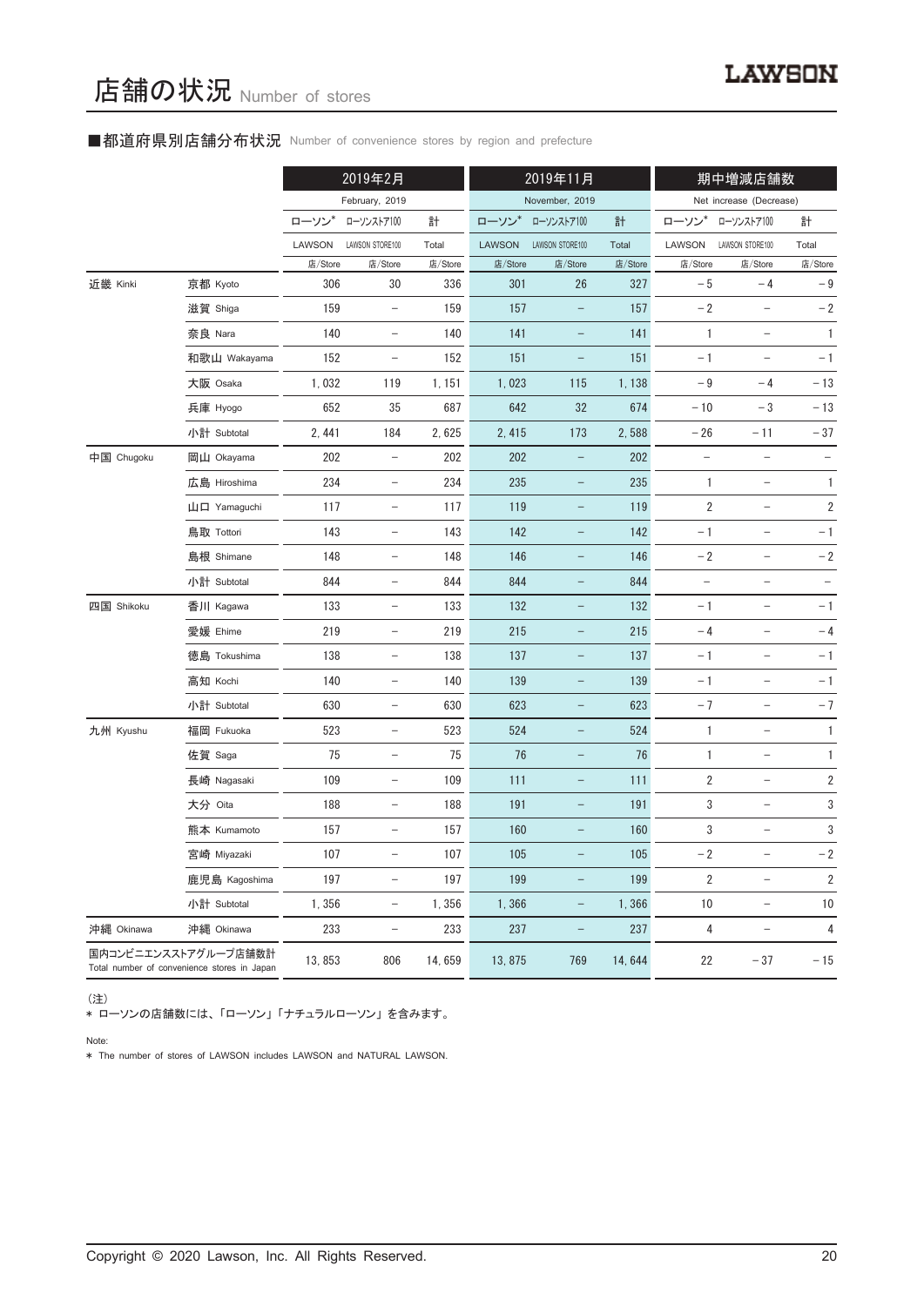## ■都道府県別店舗分布状況 Number of convenience stores by region and prefecture

|            |                                                                     |         | 2019年2月                  |         |               | 2019年11月          |         |                          | 期中増減店舗数                  |                          |
|------------|---------------------------------------------------------------------|---------|--------------------------|---------|---------------|-------------------|---------|--------------------------|--------------------------|--------------------------|
|            |                                                                     |         | February, 2019           |         |               | November, 2019    |         |                          | Net increase (Decrease)  |                          |
|            |                                                                     | ローソン    | ローソンストア100               | 計       | ローソン*         | ローソンストア100        | 計       | ローソン                     | ローソンストア100               | 計                        |
|            |                                                                     | LAWSON  | LAWSON STORE100          | Total   | <b>LAWSON</b> | LAWSON STORE100   | Total   | LAWSON                   | LAWSON STORE100          | Total                    |
|            |                                                                     | 店/Store | 店/Store                  | 店/Store | 店/Store       | 店/Store           | 店/Store | 店/Store                  | 店/Store                  | 店/Store                  |
| 近畿 Kinki   | 京都 Kyoto                                                            | 306     | 30                       | 336     | 301           | 26                | 327     | $-5$                     | $-4$                     | $-9$                     |
|            | 滋賀 Shiga                                                            | 159     | $\overline{\phantom{a}}$ | 159     | 157           |                   | 157     | $-2$                     | $\overline{\phantom{0}}$ | $-2$                     |
|            | 奈良 Nara                                                             | 140     | $\overline{\phantom{a}}$ | 140     | 141           | $\qquad \qquad -$ | 141     | $\mathbf{1}$             | $\overline{\phantom{a}}$ | $\mathbf{1}$             |
|            | 和歌山 Wakayama                                                        | 152     | $\qquad \qquad -$        | 152     | 151           | $\qquad \qquad -$ | 151     | $-1$                     |                          | $-1$                     |
|            | 大阪 Osaka                                                            | 1,032   | 119                      | 1, 151  | 1,023         | 115               | 1,138   | $-9$                     | $-4$                     | $-13$                    |
|            | 兵庫 Hyogo                                                            | 652     | 35                       | 687     | 642           | 32                | 674     | $-10$                    | $-3$                     | $-13$                    |
|            | 小計 Subtotal                                                         | 2, 441  | 184                      | 2,625   | 2, 415        | 173               | 2,588   | $-26$                    | $-11$                    | $-37$                    |
| 中国 Chugoku | 岡山 Okayama                                                          | 202     | $\overline{\phantom{a}}$ | 202     | 202           | $\qquad \qquad -$ | 202     | $\overline{\phantom{a}}$ | $\overline{\phantom{a}}$ | $\overline{\phantom{a}}$ |
|            | 広島 Hiroshima                                                        | 234     | $\overline{\phantom{a}}$ | 234     | 235           | $\qquad \qquad -$ | 235     | 1                        | $\overline{\phantom{a}}$ | 1                        |
|            | 山口 Yamaguchi                                                        | 117     | $\overline{\phantom{a}}$ | 117     | 119           | $\qquad \qquad -$ | 119     | 2                        | $\qquad \qquad -$        | $\sqrt{2}$               |
|            | 鳥取 Tottori                                                          | 143     | $\overline{\phantom{a}}$ | 143     | 142           | $\qquad \qquad -$ | 142     | $-1$                     | $\qquad \qquad -$        | $-1$                     |
|            | 島根 Shimane                                                          | 148     | $\overline{\phantom{a}}$ | 148     | 146           | $\qquad \qquad -$ | 146     | $-2$                     | $\overline{\phantom{a}}$ | $-2$                     |
|            | 小計 Subtotal                                                         | 844     | $\overline{\phantom{a}}$ | 844     | 844           | $\qquad \qquad -$ | 844     | $\qquad \qquad -$        | $\qquad \qquad -$        | $\qquad \qquad -$        |
| 四国 Shikoku | 香川 Kagawa                                                           | 133     | $\overline{\phantom{a}}$ | 133     | 132           | -                 | 132     | $-1$                     | $\overline{\phantom{0}}$ | $-1$                     |
|            | 愛媛 Ehime                                                            | 219     | $\overline{\phantom{a}}$ | 219     | 215           | $\qquad \qquad -$ | 215     | $-4$                     | $\overline{\phantom{a}}$ | $-4$                     |
|            | 徳島 Tokushima                                                        | 138     | $\qquad \qquad -$        | 138     | 137           | $\qquad \qquad -$ | 137     | $-1$                     |                          | $-1$                     |
|            | 高知 Kochi                                                            | 140     | $\overline{\phantom{a}}$ | 140     | 139           | $\qquad \qquad -$ | 139     | $-1$                     | $\qquad \qquad -$        | $-1$                     |
|            | 小計 Subtotal                                                         | 630     | $\overline{\phantom{a}}$ | 630     | 623           | $\qquad \qquad -$ | 623     | $-7$                     | $\overline{\phantom{0}}$ | $-7$                     |
| 九州 Kyushu  | 福岡 Fukuoka                                                          | 523     | $\overline{\phantom{a}}$ | 523     | 524           | -                 | 524     | $\mathbf{1}$             | $\qquad \qquad -$        | 1                        |
|            | 佐賀 Saga                                                             | 75      | $\overline{\phantom{a}}$ | 75      | 76            | -                 | 76      | 1                        | $\qquad \qquad -$        | 1                        |
|            | 長崎 Nagasaki                                                         | 109     | $\overline{\phantom{a}}$ | 109     | 111           | $\qquad \qquad -$ | 111     | $\overline{2}$           | $\qquad \qquad -$        | $\overline{\mathbf{c}}$  |
|            | 大分 Oita                                                             | 188     | $\qquad \qquad -$        | 188     | 191           | -                 | 191     | 3                        | $\qquad \qquad -$        | 3                        |
|            | 熊本 Kumamoto                                                         | 157     | $\overline{\phantom{a}}$ | 157     | 160           |                   | 160     | 3                        |                          | 3                        |
|            | 宮崎 Miyazaki                                                         | 107     | $\overline{\phantom{a}}$ | 107     | 105           |                   | 105     | $-2$                     | $\qquad \qquad -$        | $-2$                     |
|            | 鹿児島 Kagoshima                                                       | 197     | $\overline{\phantom{a}}$ | 197     | 199           | $\qquad \qquad -$ | 199     | 2                        | $\overline{\phantom{0}}$ | 2                        |
|            | 小計 Subtotal                                                         | 1,356   | $\overline{\phantom{a}}$ | 1,356   | 1,366         | $\qquad \qquad -$ | 1,366   | $10$                     | $\qquad \qquad -$        | $10$                     |
| 沖縄 Okinawa | 沖縄 Okinawa                                                          | 233     | -                        | 233     | 237           | -                 | 237     | $\overline{\mathbf{4}}$  | $\qquad \qquad -$        | $\overline{\mathbf{4}}$  |
|            | 国内コンビニエンスストアグループ店舗数計<br>Total number of convenience stores in Japan | 13,853  | 806                      | 14,659  | 13,875        | 769               | 14,644  | 22                       | $-37$                    | $-15$                    |

(注)

\* ローソンの店舗数には、 「ローソン」 「ナチュラルローソン」 を含みます。

Note:

\* The number of stores of LAWSON includes LAWSON and NATURAL LAWSON.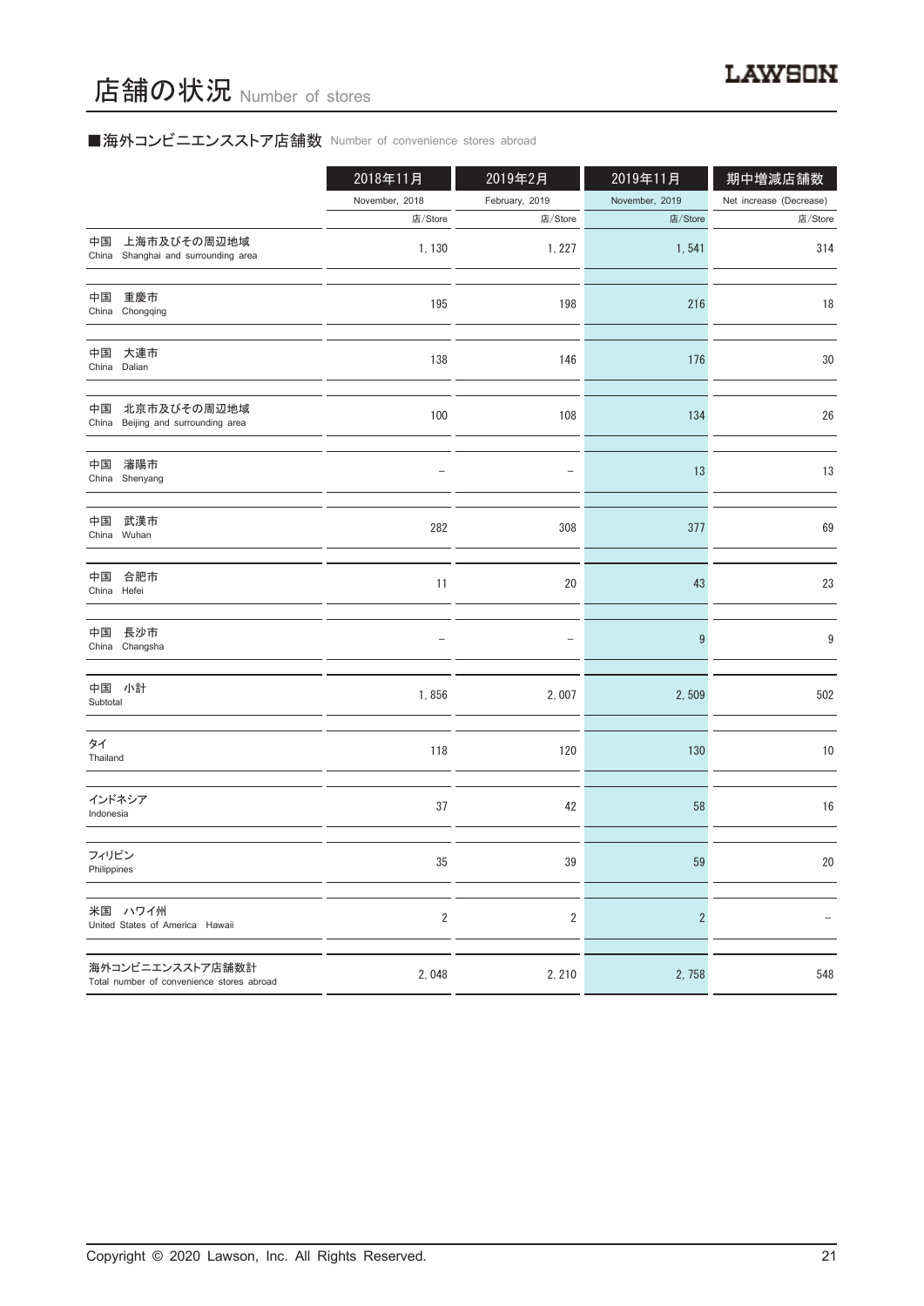# ■海外コンビニエンスストア店舗数 Number of convenience stores abroad

|                                                               | 2018年11月                | 2019年2月        | 2019年11月       | 期中増減店舗数                 |
|---------------------------------------------------------------|-------------------------|----------------|----------------|-------------------------|
|                                                               | November, 2018          | February, 2019 | November, 2019 | Net increase (Decrease) |
|                                                               | 店/Store                 | 店/Store        | 店/Store        | 店/Store                 |
| 上海市及びその周辺地域<br>中国<br>China Shanghai and surrounding area      | 1,130                   | 1, 227         | 1,541          | 314                     |
| 中国<br>重慶市<br>China Chongqing                                  | 195                     | 198            | 216            | 18                      |
| 中国<br>大連市<br>China Dalian                                     | 138                     | 146            | 176            | $30\,$                  |
| 北京市及びその周辺地域<br>中国<br>China Beijing and surrounding area       | 100                     | 108            | 134            | 26                      |
| 瀋陽市<br>中国<br>China Shenyang                                   |                         |                | 13             | 13                      |
| 中国<br>武漢市<br>China Wuhan                                      | 282                     | 308            | 377            | 69                      |
| 中国<br>合肥市<br>China Hefei                                      | 11                      | 20             | 43             | 23                      |
| 長沙市<br>中国<br>China Changsha                                   |                         |                | 9              | 9                       |
| 中国 小計<br>Subtotal                                             | 1,856                   | 2,007          | 2,509          | 502                     |
| タイ<br>Thailand                                                | 118                     | 120            | 130            | $10$                    |
| インドネシア<br>Indonesia                                           | 37                      | 42             | 58             | 16                      |
| フィリピン<br>Philippines                                          | 35                      | 39             | 59             | 20                      |
| 米国 ハワイ州<br>United States of America Hawaii                    | $\overline{\mathbf{c}}$ | $\overline{2}$ | $\overline{c}$ |                         |
| 海外コンビニエンスストア店舗数計<br>Total number of convenience stores abroad | 2,048                   | 2, 210         | 2,758          | 548                     |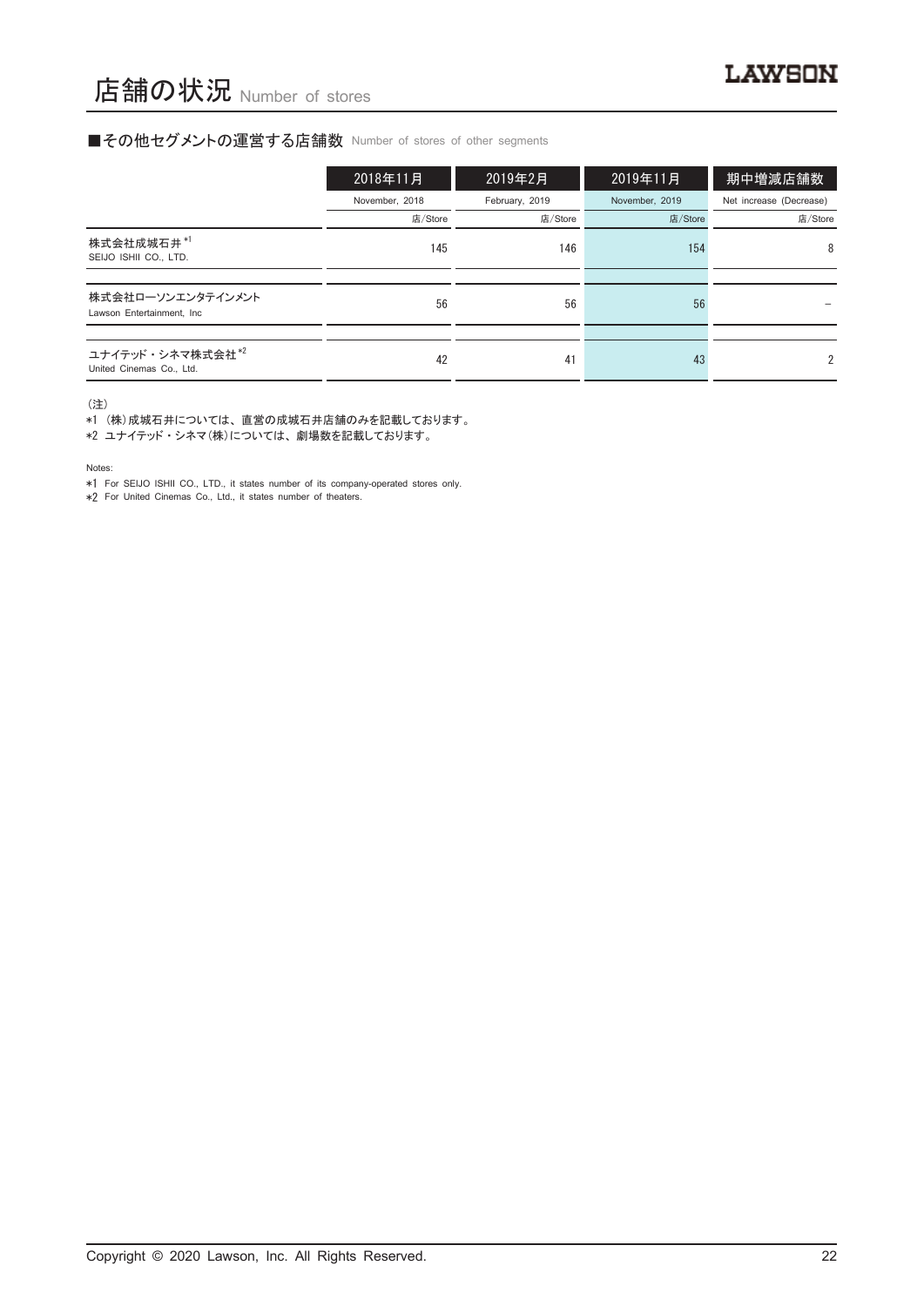#### ■その他セグメントの運営する店舗数 Number of stores of other segments

|                                                          | 2018年11月       | 2019年2月        | 2019年11月       | 期中増減店舗数                 |
|----------------------------------------------------------|----------------|----------------|----------------|-------------------------|
|                                                          | November, 2018 | February, 2019 | November, 2019 | Net increase (Decrease) |
|                                                          | 店/Store        | 店/Store        | 店/Store        | 店/Store                 |
| 株式会社成城石井*1<br>SEIJO ISHII CO., LTD.                      | 145            | 146            | 154            | 8                       |
|                                                          |                |                |                |                         |
| 株式会社ローソンエンタテインメント<br>Lawson Entertainment. Inc.          | 56             | 56             | 56             |                         |
|                                                          |                |                |                |                         |
| ユナイテッド・シネマ株式会社 <sup>*2</sup><br>United Cinemas Co., Ltd. | 42             | 41             | 43             | $\mathfrak{p}$          |

(注)

\*1 (株)成城石井については、 直営の成城石井店舗のみを記載しております。

\*2 ユナイテッド ・ シネマ(株)については、 劇場数を記載しております。

Notes:

\*1 For SEIJO ISHII CO., LTD., it states number of its company-operated stores only.

\*2 For United Cinemas Co., Ltd., it states number of theaters.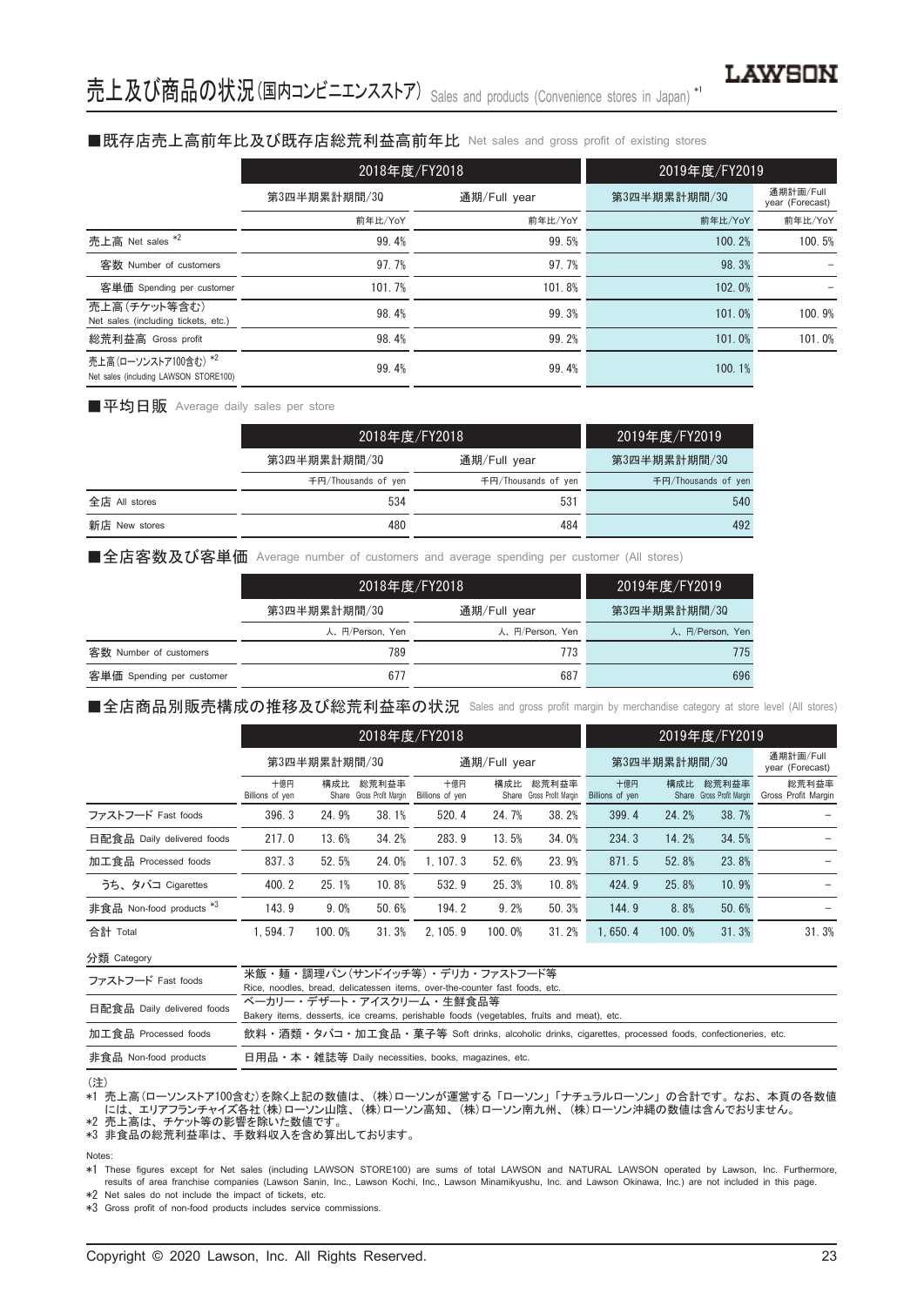#### ■既存店売上高前年比及び既存店総荒利益高前年比 Net sales and gross profit of existing stores

|                                                               | 2018年度/FY2018 |              | 2019年度/FY2019 |                              |
|---------------------------------------------------------------|---------------|--------------|---------------|------------------------------|
|                                                               | 第3四半期累計期間/30  | 通期/Full year | 第3四半期累計期間/30  | 通期計画/Full<br>year (Forecast) |
|                                                               | 前年比/YoY       | 前年比/YoY      | 前年比/YoY       | 前年比/YoY                      |
| 売上高 Net sales *2                                              | 99.4%         | 99.5%        | 100.2%        | 100.5%                       |
| 客数 Number of customers                                        | 97.7%         | 97.7%        | 98.3%         |                              |
| 客単価 Spending per customer                                     | 101.7%        | 101.8%       | 102.0%        |                              |
| 売上高(チケット等含む)<br>Net sales (including tickets, etc.)           | 98.4%         | 99.3%        | 101.0%        | 100.9%                       |
| 総荒利益高 Gross profit                                            | 98.4%         | 99.2%        | 101.0%        | 101.0%                       |
| 売上高(ローソンストア100含む) *2<br>Net sales (including LAWSON STORE100) | 99.4%         | 99.4%        | 100.1%        |                              |

■平均日販 Average daily sales per store

|               |                     | 2018年度/FY2018       | 2019年度/FY2019       |
|---------------|---------------------|---------------------|---------------------|
|               | 第3四半期累計期間/30        | 通期/Full year        | 第3四半期累計期間/30        |
|               | 千円/Thousands of yen | 千円/Thousands of yen | 千円/Thousands of yen |
| 全店 All stores | 534                 | 531                 | 540                 |
| 新店 New stores | 480                 | 484                 | 492                 |

■全店客数及び客単価 Average number of customers and average spending per customer (All stores)

|                           | 2018年度/FY2018   |                 | 2019年度/FY2019'  |  |
|---------------------------|-----------------|-----------------|-----------------|--|
|                           | 第3四半期累計期間/30    | 通期/Full year    | 第3四半期累計期間/30    |  |
|                           | 人、円/Person, Yen | 人、円/Person, Yen | 人、円/Person, Yen |  |
| 客数 Number of customers    | 789             | 773             | 775             |  |
| 客単価 Spending per customer | 677             | 687             | 696             |  |

■全店商品別販売構成の推移及び総荒利益率の状況 Sales and gross profit margin by merchandise category at store level (All stores)

|                                     |                        | 2018年度/FY2018 |                                    |                        |        |                                    |                        |        | 2019年度/FY2019                      |                              |
|-------------------------------------|------------------------|---------------|------------------------------------|------------------------|--------|------------------------------------|------------------------|--------|------------------------------------|------------------------------|
|                                     | 第3四半期累計期間/30           |               |                                    | 通期/Full year           |        |                                    | 第3四半期累計期間/30           |        |                                    | 通期計画/Full<br>year (Forecast) |
|                                     | 十億円<br>Billions of yen | 構成比           | 総荒利益率<br>Share Gross Profit Margin | 十億円<br>Billions of yen | 構成比    | 総荒利益率<br>Share Gross Profit Margin | 十億円<br>Billions of yen | 構成比    | 総荒利益率<br>Share Gross Profit Margin | 総荒利益率<br>Gross Profit Margin |
| ファストフード Fast foods                  | 396.3                  | 24.9%         | 38.1%                              | 520.4                  | 24.7%  | 38.2%                              | 399.4                  | 24.2%  | 38.7%                              |                              |
| 日配食品 Daily delivered foods          | 217.0                  | 13.6%         | 34.2%                              | 283.9                  | 13.5%  | 34.0%                              | 234.3                  | 14.2%  | 34.5%                              |                              |
| 加工食品 Processed foods                | 837.3                  | 52.5%         | 24.0%                              | 1.107.3                | 52.6%  | 23.9%                              | 871.5                  | 52.8%  | 23.8%                              |                              |
| うち、タバコ Cigarettes                   | 400.2                  | 25.1%         | 10.8%                              | 532.9                  | 25.3%  | 10.8%                              | 424.9                  | 25.8%  | 10.9%                              |                              |
| 非食品 Non-food products <sup>*3</sup> | 143.9                  | 9.0%          | 50.6%                              | 194.2                  | 9.2%   | 50.3%                              | 144.9                  | 8.8%   | 50.6%                              |                              |
| 合計 Total                            | 1.594.7                | 100.0%        | 31.3%                              | 2.105.9                | 100.0% | 31.2%                              | 1.650.4                | 100.0% | 31.3%                              | 31.3%                        |

分類 Category

| ファストフード Fast foods         | 米飯・麺・調理パン(サンドイッチ等)・ デリカ・ファストフード等                                                                     |
|----------------------------|------------------------------------------------------------------------------------------------------|
|                            | Rice, noodles, bread, delicatessen items, over-the-counter fast foods, etc.                          |
| 日配食品 Daily delivered foods | ベーカリー・デザート・アイスクリーム・牛鮮食品等                                                                             |
|                            | Bakery items, desserts, ice creams, perishable foods (vegetables, fruits and meat), etc.             |
| 加工食品 Processed foods       | 飲料・酒類・タバコ・加工食品・菓子等 Soft drinks, alcoholic drinks, cigarettes, processed foods, confectioneries, etc. |
| 非食品 Non-food products      | 日用品 • 本 • 雑誌等 Daily necessities, books, magazines, etc.                                              |
|                            |                                                                                                      |

#### (注)

\*1 売上高(ローソンストア100含む)を除く上記の数値は、 (株)ローソンが運営する 「ローソン」 「ナチュラルローソン」 の合計です。 なお、 本頁の各数値 - には、エリアフランチャイズ各社(株)ローソン山陰、(株)ローソン高知、(株)ローソン南九州、(株)ローソン沖縄の数値は含んでおりません。<br>\*2 売上高は、チケット等の影響を除いた数値です。

\*3 非食品の総荒利益率は、 手数料収入を含め算出しております。

#### Notes:

\*1 These figures except for Net sales (including LAWSON STORE100) are sums of total LAWSON and NATURAL LAWSON operated by Lawson, Inc. Furthermore, results of area franchise companies (Lawson Sanin, Inc., Lawson Kochi, Inc., Lawson Minamikyushu, Inc. and Lawson Okinawa, Inc.) are not included in this page.

\*2 Net sales do not include the impact of tickets, etc.

\*3 Gross profit of non-food products includes service commissions.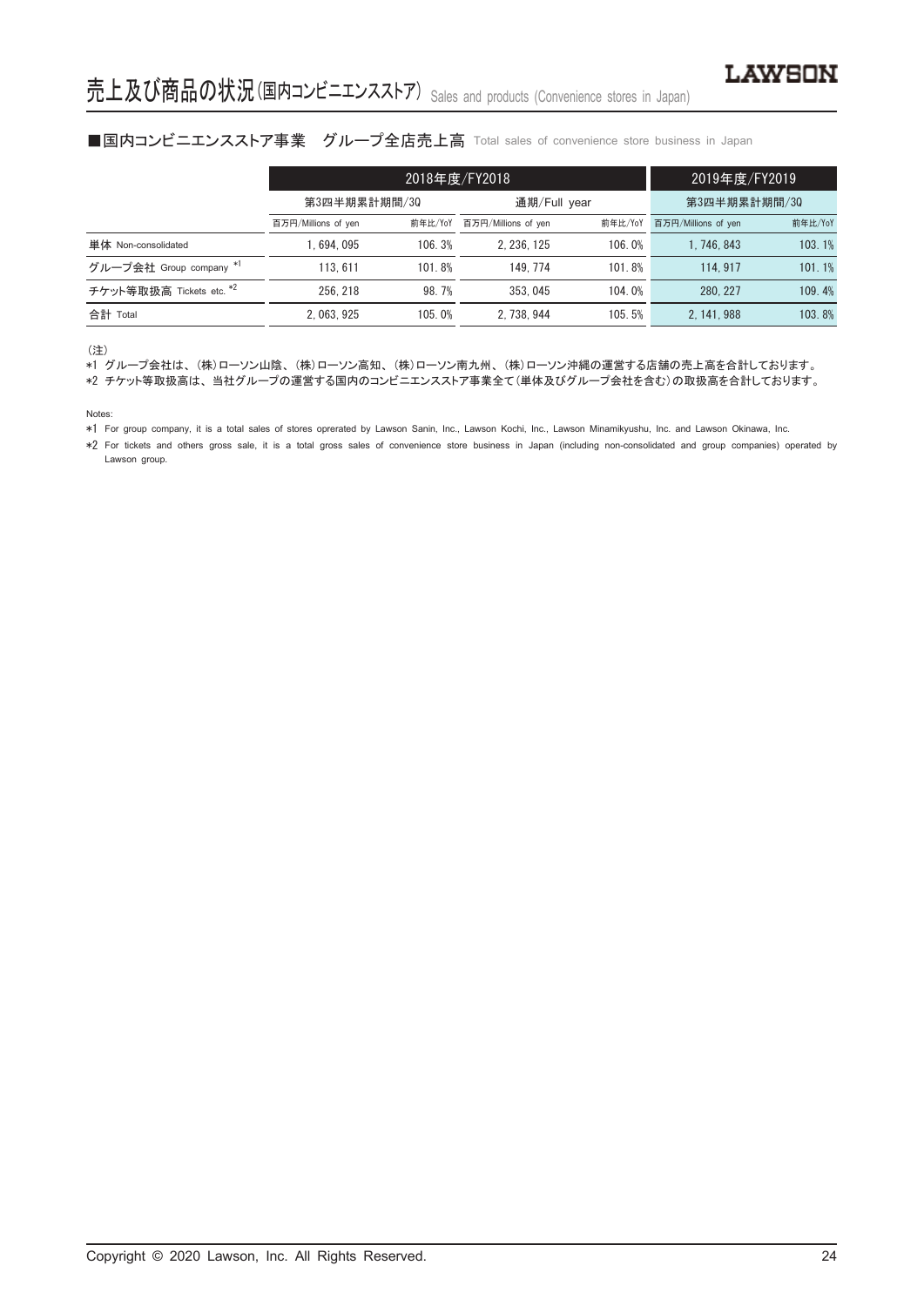## ■国内コンビニエンスストア事業 グループ全店売上高 Total sales of convenience store business in Japan

|                          |                     | 2018年度/FY2018 | 2019年度/FY2019       |         |                     |         |
|--------------------------|---------------------|---------------|---------------------|---------|---------------------|---------|
|                          | 第3四半期累計期間/30        |               | 通期/Full year        |         | 第3四半期累計期間/30        |         |
|                          | 百万円/Millions of yen | 前年比/YoY       | 百万円/Millions of yen | 前年比/YoY | 百万円/Millions of yen | 前年比/YoY |
| 単体 Non-consolidated      | .694.095            | 106.3%        | 2.236.125           | 106.0%  | 1.746.843           | 103.1%  |
| グループ会社 Group company *1  | 113.611             | 101.8%        | 149.774             | 101.8%  | 114, 917            | 101.1%  |
| チケット等取扱高 Tickets etc. *2 | 256.218             | 98.7%         | 353, 045            | 104.0%  | 280.227             | 109.4%  |
| 合計 Total                 | 2.063.925           | 105.0%        | 2.738.944           | 105.5%  | 2.141.988           | 103.8%  |

(注)

\*1 グループ会社は、 (株)ローソン山陰、 (株)ローソン高知、 (株)ローソン南九州、 (株)ローソン沖縄の運営する店舗の売上高を合計しております。

\*2 チケット等取扱高は、 当社グループの運営する国内のコンビニエンスストア事業全て(単体及びグループ会社を含む)の取扱高を合計しております。

Notes:

\*1 For group company, it is a total sales of stores oprerated by Lawson Sanin, Inc., Lawson Kochi, Inc., Lawson Minamikyushu, Inc. and Lawson Okinawa, Inc.

\*2 For tickets and others gross sale, it is a total gross sales of convenience store business in Japan (including non-consolidated and group companies) operated by Lawson group.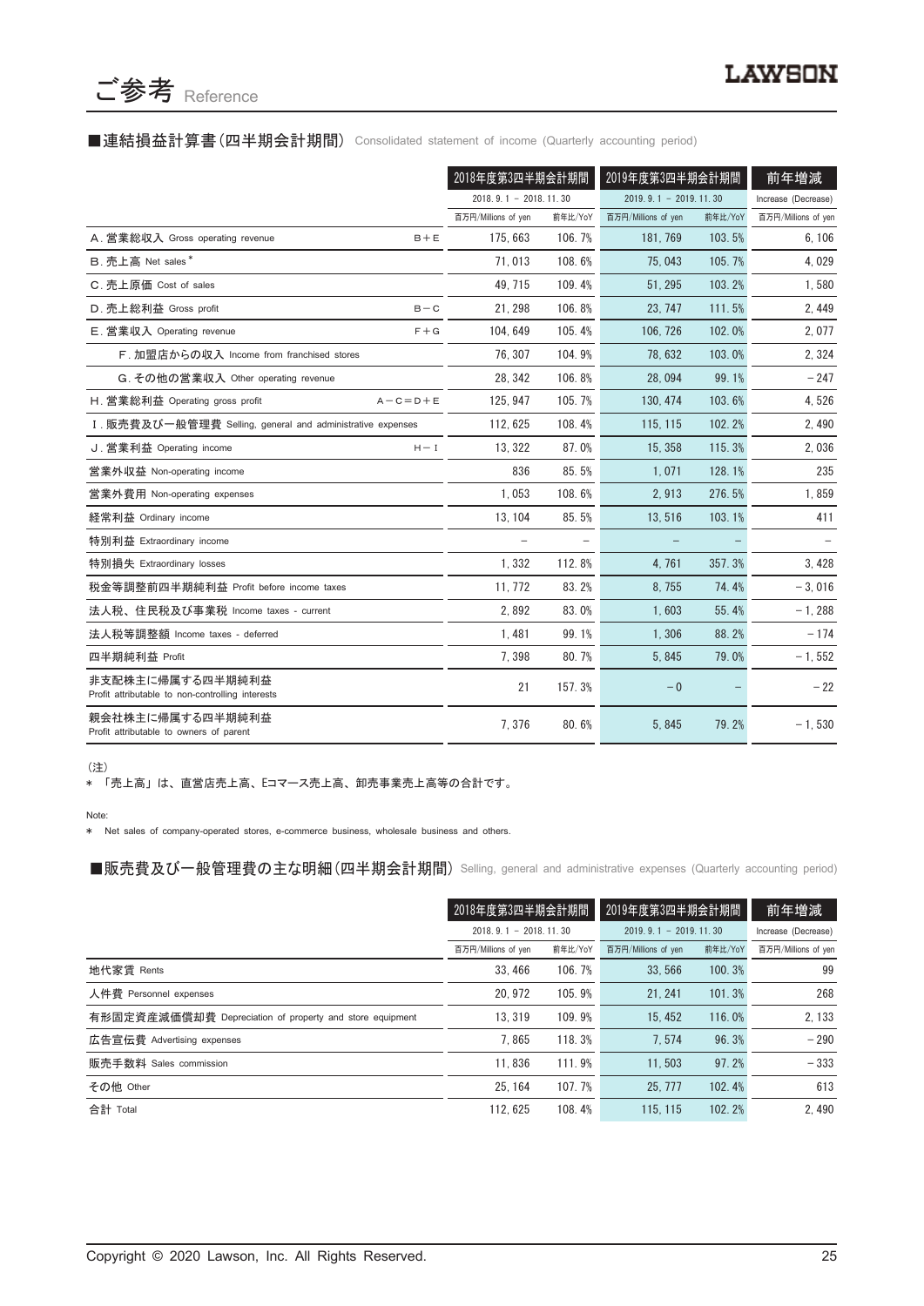

#### ■連結損益計算書(四半期会計期間) Consolidated statement of income (Quarterly accounting period)

|                                                                      | 2018年度第3四半期会計期間         |         | 2019年度第3四半期会計期間         |         | 前年増減                |
|----------------------------------------------------------------------|-------------------------|---------|-------------------------|---------|---------------------|
|                                                                      | $2018.9.1 - 2018.11.30$ |         | $2019.9.1 - 2019.11.30$ |         | Increase (Decrease) |
|                                                                      | 百万円/Millions of yen     | 前年比/YoY | 百万円/Millions of yen     | 前年比/YoY | 百万円/Millions of yen |
| A. 営業総収入 Gross operating revenue<br>$B + E$                          | 175, 663                | 106.7%  | 181, 769                | 103.5%  | 6, 106              |
| B. 売上高 Net sales*                                                    | 71,013                  | 108.6%  | 75,043                  | 105.7%  | 4,029               |
| C. 売上原価 Cost of sales                                                | 49.715                  | 109.4%  | 51.295                  | 103.2%  | 1,580               |
| D. 売上総利益 Gross profit<br>$B - C$                                     | 21, 298                 | 106.8%  | 23.747                  | 111.5%  | 2, 449              |
| E. 営業収入 Operating revenue<br>$F + G$                                 | 104.649                 | 105.4%  | 106.726                 | 102.0%  | 2,077               |
| F. 加盟店からの収入 Income from franchised stores                            | 76, 307                 | 104.9%  | 78.632                  | 103.0%  | 2,324               |
| G. その他の営業収入 Other operating revenue                                  | 28.342                  | 106.8%  | 28.094                  | 99.1%   | $-247$              |
| H. 営業総利益 Operating gross profit<br>$A - C = D + E$                   | 125, 947                | 105.7%  | 130, 474                | 103.6%  | 4,526               |
| I. 販売費及び一般管理費 Selling, general and administrative expenses           | 112.625                 | 108.4%  | 115, 115                | 102.2%  | 2,490               |
| J. 営業利益 Operating income<br>$H - I$                                  | 13, 322                 | 87.0%   | 15.358                  | 115.3%  | 2,036               |
| 営業外収益 Non-operating income                                           | 836                     | 85.5%   | 1.071                   | 128.1%  | 235                 |
| 営業外費用 Non-operating expenses                                         | 1,053                   | 108.6%  | 2,913                   | 276.5%  | 1,859               |
| 経常利益 Ordinary income                                                 | 13, 104                 | 85.5%   | 13,516                  | 103.1%  | 411                 |
| 特別利益 Extraordinary income                                            | $\qquad \qquad -$       |         |                         |         |                     |
| 特別損失 Extraordinary losses                                            | 1.332                   | 112.8%  | 4.761                   | 357.3%  | 3,428               |
| 税金等調整前四半期純利益 Profit before income taxes                              | 11, 772                 | 83.2%   | 8,755                   | 74.4%   | $-3,016$            |
| 法人税、住民税及び事業税 Income taxes - current                                  | 2,892                   | 83.0%   | 1.603                   | 55.4%   | $-1,288$            |
| 法人税等調整額 Income taxes - deferred                                      | 1,481                   | 99.1%   | 1,306                   | 88.2%   | $-174$              |
| 四半期純利益 Profit                                                        | 7.398                   | 80.7%   | 5.845                   | 79.0%   | $-1, 552$           |
| 非支配株主に帰属する四半期純利益<br>Profit attributable to non-controlling interests | 21                      | 157.3%  | $-0$                    |         | $-22$               |
| 親会社株主に帰属する四半期純利益<br>Profit attributable to owners of parent          | 7,376                   | 80.6%   | 5,845                   | 79.2%   | $-1,530$            |

(注)

\* 「売上高」 は、 直営店売上高、 Eコマース売上高、 卸売事業売上高等の合計です。

Note:

\* Net sales of company-operated stores, e-commerce business, wholesale business and others.

■販売費及び一般管理費の主な明細 (四半期会計期間) Selling, general and administrative expenses (Quarterly accounting period)

|                                                          | 2018年度第3四半期会計期間<br>$2018, 9, 1 - 2018, 11, 30$ |         | 2019年度第3四半期会計期間<br>$2019.9.1 - 2019.11.30$ |         | 前年増減                |
|----------------------------------------------------------|------------------------------------------------|---------|--------------------------------------------|---------|---------------------|
|                                                          |                                                |         |                                            |         | Increase (Decrease) |
|                                                          | 百万円/Millions of yen                            | 前年比/YoY | 百万円/Millions of yen                        | 前年比/YoY | 百万円/Millions of yen |
| 地代家賃 Rents                                               | 33.466                                         | 106.7%  | 33.566                                     | 100.3%  | 99                  |
| 人件費 Personnel expenses                                   | 20.972                                         | 105.9%  | 21.241                                     | 101.3%  | 268                 |
| 有形固定資産減価償却費 Depreciation of property and store equipment | 13.319                                         | 109.9%  | 15.452                                     | 116.0%  | 2, 133              |
| 広告宣伝費 Advertising expenses                               | 7.865                                          | 118.3%  | 7.574                                      | 96.3%   | $-290$              |
| 販売手数料 Sales commission                                   | 11.836                                         | 111.9%  | 11.503                                     | 97.2%   | $-333$              |
| その他 Other                                                | 25.164                                         | 107.7%  | 25, 777                                    | 102.4%  | 613                 |
| 合計 Total                                                 | 112.625                                        | 108.4%  | 115, 115                                   | 102.2%  | 2.490               |